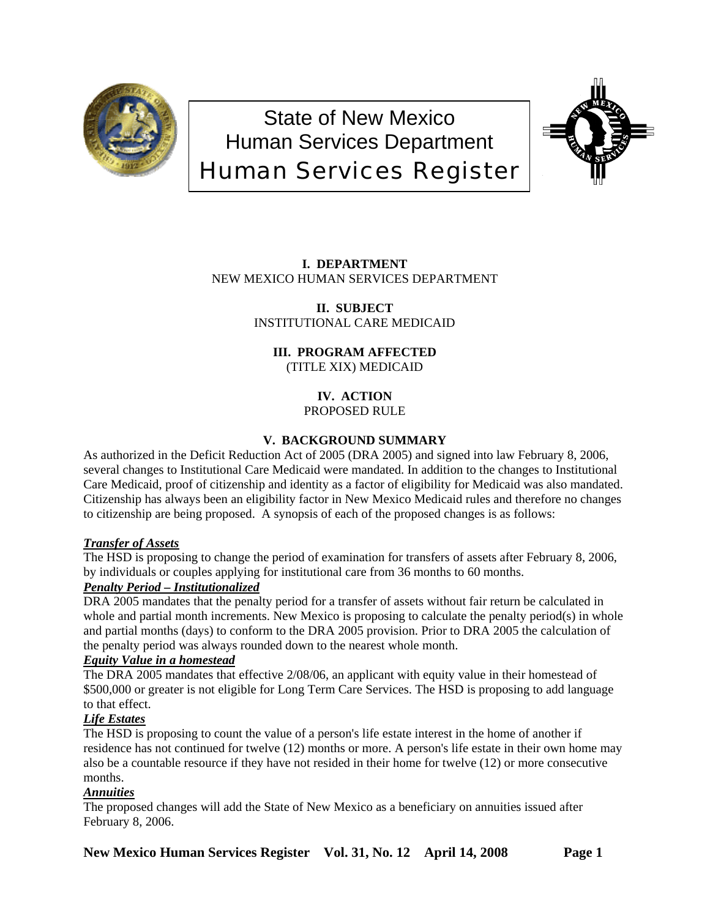

# State of New Mexico Human Services Department Human Services Register



# **I. DEPARTMENT** NEW MEXICO HUMAN SERVICES DEPARTMENT

**II. SUBJECT** INSTITUTIONAL CARE MEDICAID

# **III. PROGRAM AFFECTED** (TITLE XIX) MEDICAID

**IV. ACTION**

PROPOSED RULE

# **V. BACKGROUND SUMMARY**

As authorized in the Deficit Reduction Act of 2005 (DRA 2005) and signed into law February 8, 2006, several changes to Institutional Care Medicaid were mandated. In addition to the changes to Institutional Care Medicaid, proof of citizenship and identity as a factor of eligibility for Medicaid was also mandated. Citizenship has always been an eligibility factor in New Mexico Medicaid rules and therefore no changes to citizenship are being proposed. A synopsis of each of the proposed changes is as follows:

# *Transfer of Assets*

The HSD is proposing to change the period of examination for transfers of assets after February 8, 2006, by individuals or couples applying for institutional care from 36 months to 60 months.

# *Penalty Period – Institutionalized*

DRA 2005 mandates that the penalty period for a transfer of assets without fair return be calculated in whole and partial month increments. New Mexico is proposing to calculate the penalty period(s) in whole and partial months (days) to conform to the DRA 2005 provision. Prior to DRA 2005 the calculation of the penalty period was always rounded down to the nearest whole month.

# *Equity Value in a homestead*

The DRA 2005 mandates that effective 2/08/06, an applicant with equity value in their homestead of \$500,000 or greater is not eligible for Long Term Care Services. The HSD is proposing to add language to that effect.

# *Life Estates*

The HSD is proposing to count the value of a person's life estate interest in the home of another if residence has not continued for twelve (12) months or more. A person's life estate in their own home may also be a countable resource if they have not resided in their home for twelve (12) or more consecutive months.

# *Annuities*

The proposed changes will add the State of New Mexico as a beneficiary on annuities issued after February 8, 2006.

**New Mexico Human Services Register Vol. 31, No. 12 April 14, 2008 Page 1**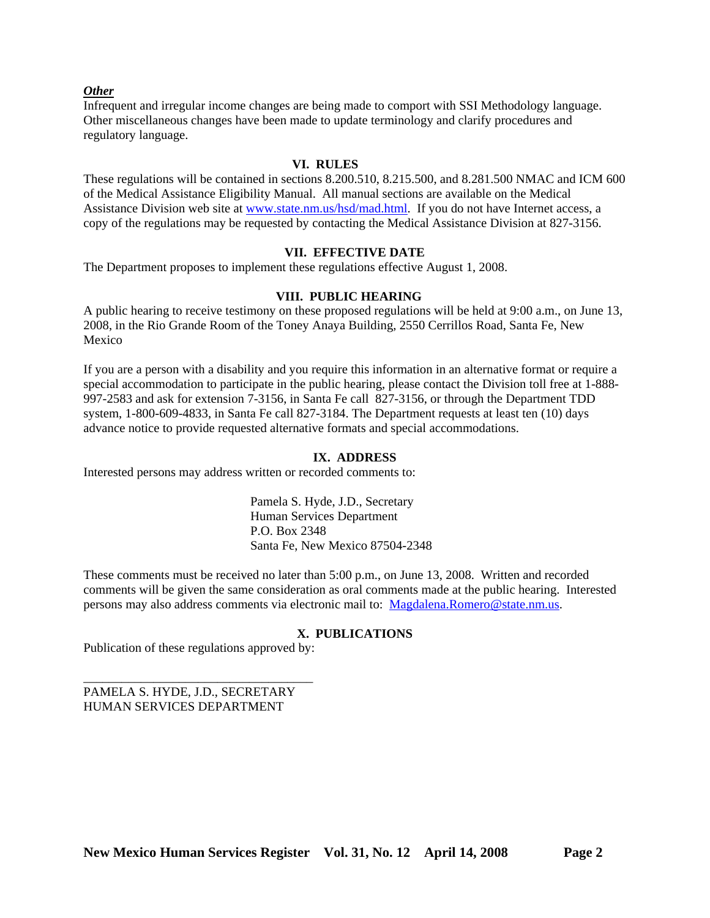# *Other*

Infrequent and irregular income changes are being made to comport with SSI Methodology language. Other miscellaneous changes have been made to update terminology and clarify procedures and regulatory language.

### **VI. RULES**

These regulations will be contained in sections 8.200.510, 8.215.500, and 8.281.500 NMAC and ICM 600 of the Medical Assistance Eligibility Manual. All manual sections are available on the Medical Assistance Division web site at [www.state.nm.us/hsd/mad.html.](http://www.state.nm.us/hsd/mad.html) If you do not have Internet access, a copy of the regulations may be requested by contacting the Medical Assistance Division at 827-3156.

# **VII. EFFECTIVE DATE**

The Department proposes to implement these regulations effective August 1, 2008.

# **VIII. PUBLIC HEARING**

A public hearing to receive testimony on these proposed regulations will be held at 9:00 a.m., on June 13, 2008, in the Rio Grande Room of the Toney Anaya Building, 2550 Cerrillos Road, Santa Fe, New Mexico

If you are a person with a disability and you require this information in an alternative format or require a special accommodation to participate in the public hearing, please contact the Division toll free at 1-888- 997-2583 and ask for extension 7-3156, in Santa Fe call 827-3156, or through the Department TDD system, 1-800-609-4833, in Santa Fe call 827-3184. The Department requests at least ten (10) days advance notice to provide requested alternative formats and special accommodations.

### **IX. ADDRESS**

Interested persons may address written or recorded comments to:

Pamela S. Hyde, J.D., Secretary Human Services Department P.O. Box 2348 Santa Fe, New Mexico 87504-2348

These comments must be received no later than 5:00 p.m., on June 13, 2008. Written and recorded comments will be given the same consideration as oral comments made at the public hearing. Interested persons may also address comments via electronic mail to: [Magdalena.Romero@state.nm.us.](mailto:Magdalena.Romero@state.nm.us)

### **X. PUBLICATIONS**

Publication of these regulations approved by:

\_\_\_\_\_\_\_\_\_\_\_\_\_\_\_\_\_\_\_\_\_\_\_\_\_\_\_\_\_\_\_\_\_\_\_\_

PAMELA S. HYDE, J.D., SECRETARY HUMAN SERVICES DEPARTMENT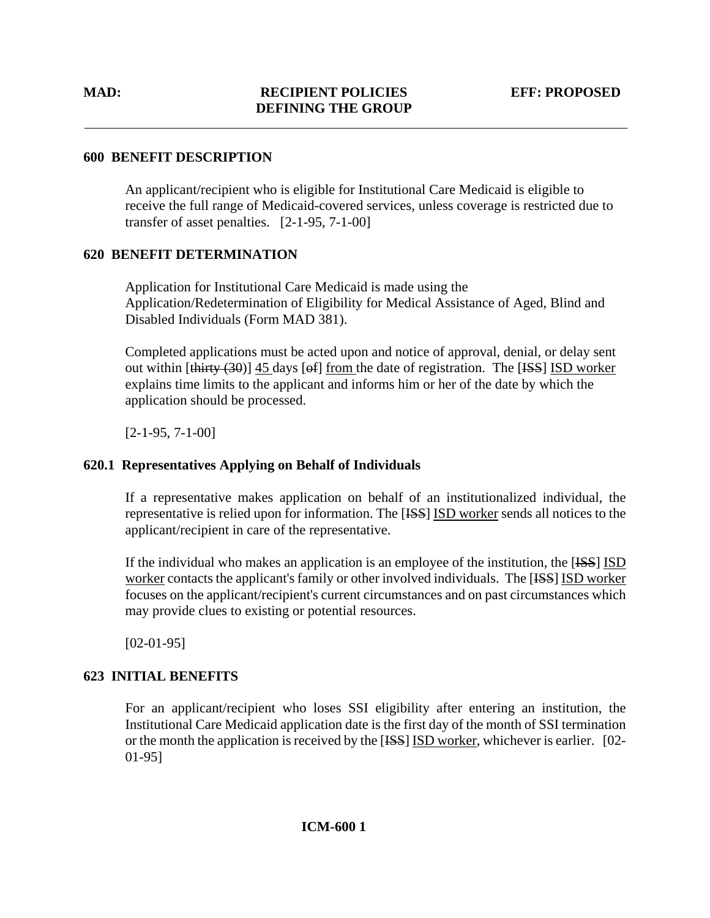# **600 BENEFIT DESCRIPTION**

An applicant/recipient who is eligible for Institutional Care Medicaid is eligible to receive the full range of Medicaid-covered services, unless coverage is restricted due to transfer of asset penalties. [2-1-95, 7-1-00]

# **620 BENEFIT DETERMINATION**

Application for Institutional Care Medicaid is made using the Application/Redetermination of Eligibility for Medical Assistance of Aged, Blind and Disabled Individuals (Form MAD 381).

Completed applications must be acted upon and notice of approval, denial, or delay sent out within  $[\text{thirty} (30)]$  45 days  $[6f]$  from the date of registration. The  $[\text{ISS}]$  ISD worker explains time limits to the applicant and informs him or her of the date by which the application should be processed.

[2-1-95, 7-1-00]

# **620.1 Representatives Applying on Behalf of Individuals**

If a representative makes application on behalf of an institutionalized individual, the representative is relied upon for information. The [ISS] ISD worker sends all notices to the applicant/recipient in care of the representative.

 If the individual who makes an application is an employee of the institution, the [ISS] ISD worker contacts the applicant's family or other involved individuals. The [ISS] ISD worker focuses on the applicant/recipient's current circumstances and on past circumstances which may provide clues to existing or potential resources.

[02-01-95]

# **623 INITIAL BENEFITS**

For an applicant/recipient who loses SSI eligibility after entering an institution, the Institutional Care Medicaid application date is the first day of the month of SSI termination or the month the application is received by the [ISS] ISD worker, whichever is earlier. [02- 01-95]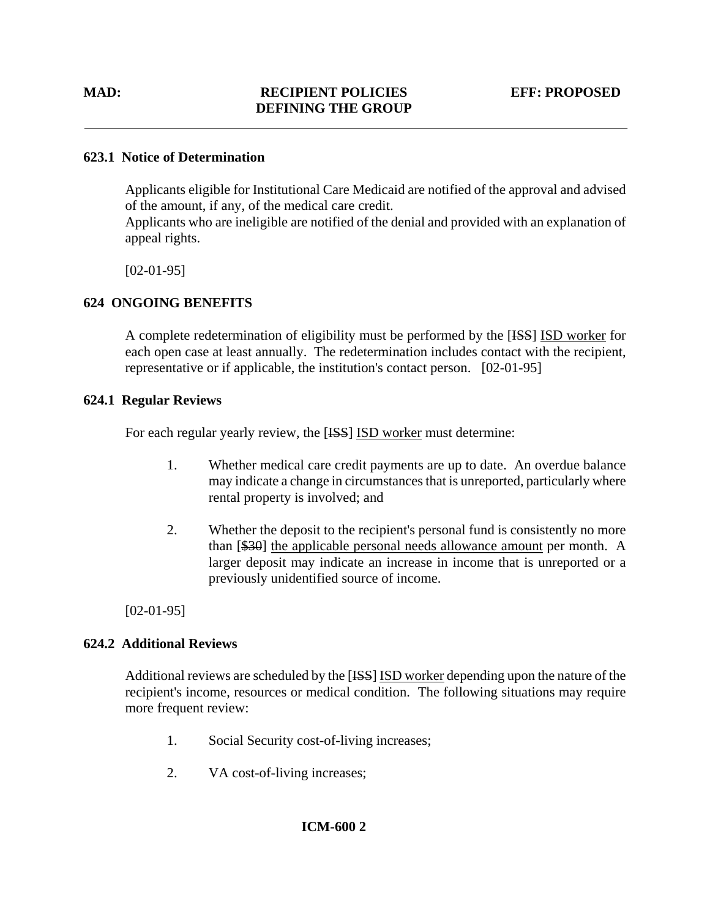# **623.1 Notice of Determination**

Applicants eligible for Institutional Care Medicaid are notified of the approval and advised of the amount, if any, of the medical care credit.

Applicants who are ineligible are notified of the denial and provided with an explanation of appeal rights.

[02-01-95]

# **624 ONGOING BENEFITS**

A complete redetermination of eligibility must be performed by the [ISS] ISD worker for each open case at least annually. The redetermination includes contact with the recipient, representative or if applicable, the institution's contact person. [02-01-95]

# **624.1 Regular Reviews**

For each regular yearly review, the [ISS] ISD worker must determine:

- 1. Whether medical care credit payments are up to date. An overdue balance may indicate a change in circumstances that is unreported, particularly where rental property is involved; and
- 2. Whether the deposit to the recipient's personal fund is consistently no more than [\$30] the applicable personal needs allowance amount per month. A larger deposit may indicate an increase in income that is unreported or a previously unidentified source of income.

 $[02-01-95]$ 

# **624.2 Additional Reviews**

Additional reviews are scheduled by the [ISS] ISD worker depending upon the nature of the recipient's income, resources or medical condition. The following situations may require more frequent review:

- 1. Social Security cost-of-living increases;
- 2. VA cost-of-living increases;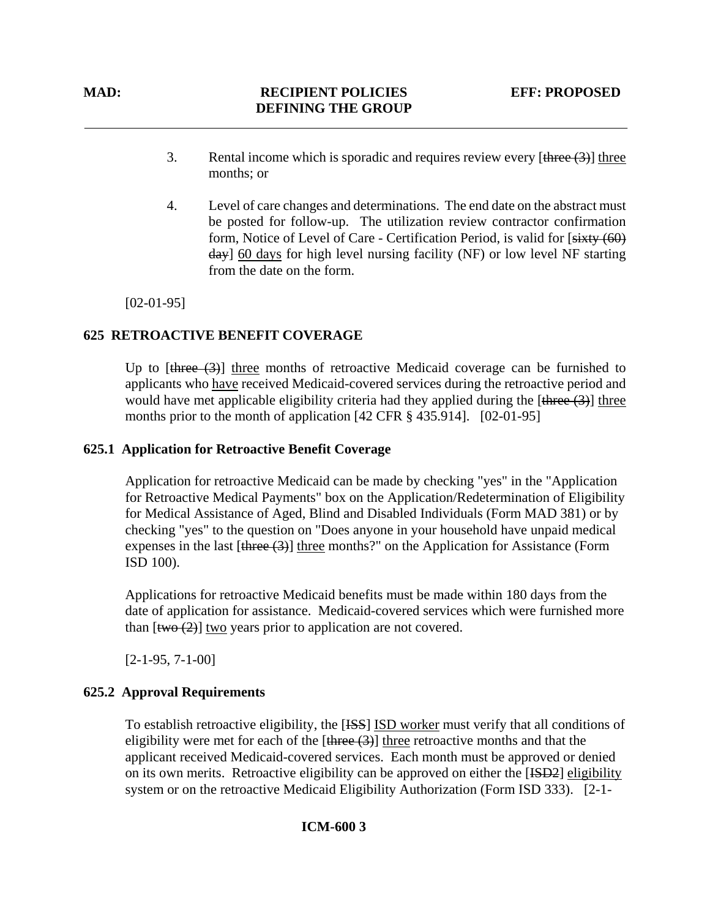- 3. Rental income which is sporadic and requires review every  $[\frac{\text{three}}{(3)}]$  three months; or
- 4. Level of care changes and determinations. The end date on the abstract must be posted for follow-up. The utilization review contractor confirmation form, Notice of Level of Care - Certification Period, is valid for [sixty (60) day] 60 days for high level nursing facility (NF) or low level NF starting from the date on the form.

 $[02-01-95]$ 

# **625 RETROACTIVE BENEFIT COVERAGE**

Up to  $[\theta]$  three  $(\theta)$  three months of retroactive Medicaid coverage can be furnished to applicants who have received Medicaid-covered services during the retroactive period and would have met applicable eligibility criteria had they applied during the  $[\frac{4 \text{hree}}{3}]$  three months prior to the month of application [42 CFR § 435.914]. [02-01-95]

# **625.1 Application for Retroactive Benefit Coverage**

Application for retroactive Medicaid can be made by checking "yes" in the "Application for Retroactive Medical Payments" box on the Application/Redetermination of Eligibility for Medical Assistance of Aged, Blind and Disabled Individuals (Form MAD 381) or by checking "yes" to the question on "Does anyone in your household have unpaid medical expenses in the last  $[there (3)]$  three months?" on the Application for Assistance (Form ISD 100).

Applications for retroactive Medicaid benefits must be made within 180 days from the date of application for assistance. Medicaid-covered services which were furnished more than  $[\frac{two (2)}]$  two years prior to application are not covered.

[2-1-95, 7-1-00]

# **625.2 Approval Requirements**

To establish retroactive eligibility, the [ISS] ISD worker must verify that all conditions of eligibility were met for each of the  $[\frac{three(3)}{three(6)}]$  three retroactive months and that the applicant received Medicaid-covered services. Each month must be approved or denied on its own merits. Retroactive eligibility can be approved on either the [ISD2] eligibility system or on the retroactive Medicaid Eligibility Authorization (Form ISD 333). [2-1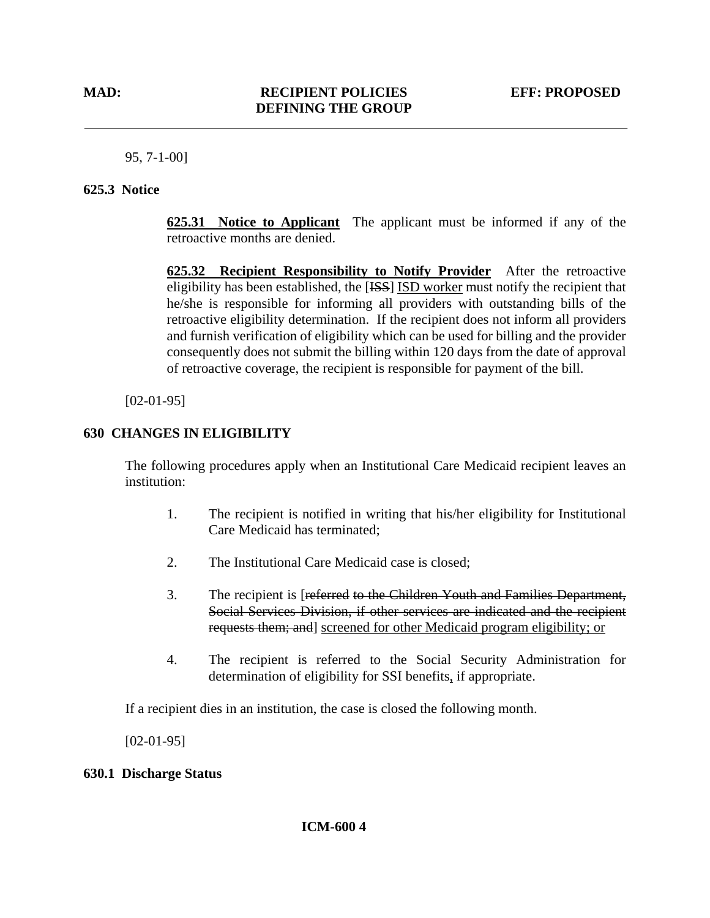95, 7-1-00]

# **625.3 Notice**

**625.31 Notice to Applicant** The applicant must be informed if any of the retroactive months are denied.

**625.32 Recipient Responsibility to Notify Provider** After the retroactive eligibility has been established, the [ISS] ISD worker must notify the recipient that he/she is responsible for informing all providers with outstanding bills of the retroactive eligibility determination. If the recipient does not inform all providers and furnish verification of eligibility which can be used for billing and the provider consequently does not submit the billing within 120 days from the date of approval of retroactive coverage, the recipient is responsible for payment of the bill.

 $[02-01-95]$ 

# **630 CHANGES IN ELIGIBILITY**

The following procedures apply when an Institutional Care Medicaid recipient leaves an institution:

- 1. The recipient is notified in writing that his/her eligibility for Institutional Care Medicaid has terminated;
- 2. The Institutional Care Medicaid case is closed;
- 3. The recipient is [referred to the Children Youth and Families Department, Social Services Division, if other services are indicated and the recipient requests them; and] screened for other Medicaid program eligibility; or
- 4. The recipient is referred to the Social Security Administration for determination of eligibility for SSI benefits, if appropriate.

If a recipient dies in an institution, the case is closed the following month.

[02-01-95]

# **630.1 Discharge Status**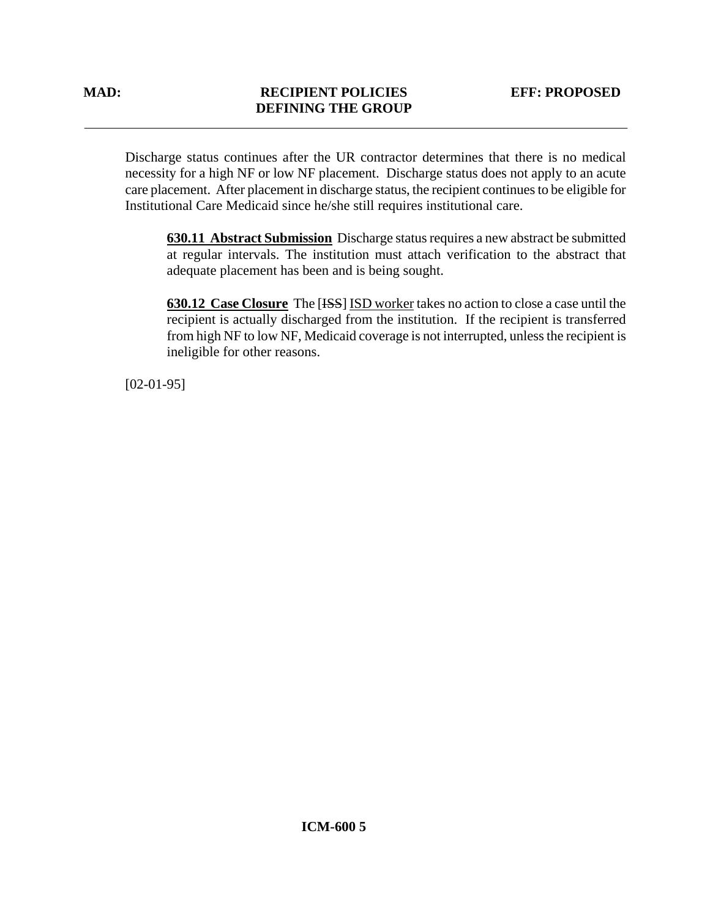Discharge status continues after the UR contractor determines that there is no medical necessity for a high NF or low NF placement. Discharge status does not apply to an acute care placement. After placement in discharge status, the recipient continues to be eligible for Institutional Care Medicaid since he/she still requires institutional care.

**630.11 Abstract Submission** Discharge status requires a new abstract be submitted at regular intervals. The institution must attach verification to the abstract that adequate placement has been and is being sought.

**630.12 Case Closure** The [ISS] ISD worker takes no action to close a case until the recipient is actually discharged from the institution. If the recipient is transferred from high NF to low NF, Medicaid coverage is not interrupted, unless the recipient is ineligible for other reasons.

[02-01-95]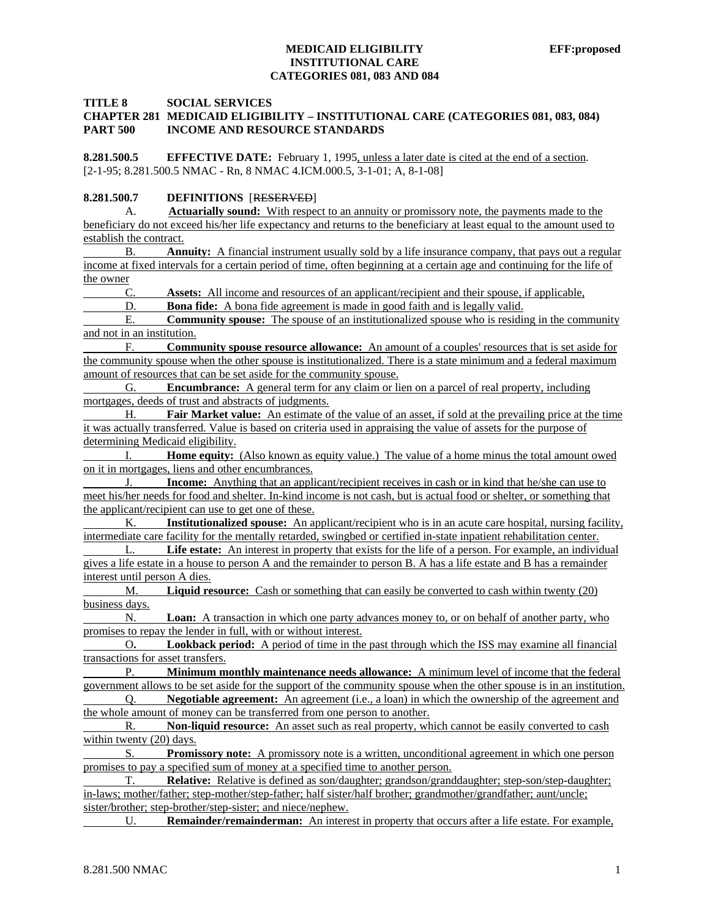#### **TITLE 8 SOCIAL SERVICES**

#### **CHAPTER 281 MEDICAID ELIGIBILITY – INSTITUTIONAL CARE (CATEGORIES 081, 083, 084) PART 500 INCOME AND RESOURCE STANDARDS**

**8.281.500.5 EFFECTIVE DATE:** February 1, 1995, unless a later date is cited at the end of a section. [2-1-95; 8.281.500.5 NMAC - Rn, 8 NMAC 4.ICM.000.5, 3-1-01; A, 8-1-08]

#### **8.281.500.7 DEFINITIONS** [RESERVED]

 A. **Actuarially sound:** With respect to an annuity or promissory note, the payments made to the beneficiary do not exceed his/her life expectancy and returns to the beneficiary at least equal to the amount used to establish the contract.

 B. **Annuity:** A financial instrument usually sold by a life insurance company, that pays out a regular income at fixed intervals for a certain period of time, often beginning at a certain age and continuing for the life of the owner

C. **Assets:** All income and resources of an applicant/recipient and their spouse, if applicable,

D. **Bona fide:** A bona fide agreement is made in good faith and is legally valid.

E. **Community spouse:** The spouse of an institutionalized spouse who is residing in the community and not in an institution.

 F. **Community spouse resource allowance:** An amount of a couples' resources that is set aside for the community spouse when the other spouse is institutionalized. There is a state minimum and a federal maximum amount of resources that can be set aside for the community spouse.

 G. **Encumbrance:** A general term for any claim or lien on a parcel of real property, including mortgages, deeds of trust and abstracts of judgments.

 H. **Fair Market value:** An estimate of the value of an asset, if sold at the prevailing price at the time it was actually transferred. Value is based on criteria used in appraising the value of assets for the purpose of determining Medicaid eligibility.

 I. **Home equity:** (Also known as equity value.) The value of a home minus the total amount owed on it in mortgages, liens and other encumbrances.

 J. **Income:** Anything that an applicant/recipient receives in cash or in kind that he/she can use to meet his/her needs for food and shelter. In-kind income is not cash, but is actual food or shelter, or something that the applicant/recipient can use to get one of these.

 K. **Institutionalized spouse:** An applicant/recipient who is in an acute care hospital, nursing facility, intermediate care facility for the mentally retarded, swingbed or certified in-state inpatient rehabilitation center.

Life estate: An interest in property that exists for the life of a person. For example, an individual gives a life estate in a house to person A and the remainder to person B. A has a life estate and B has a remainder interest until person A dies.

 M. **Liquid resource:** Cash or something that can easily be converted to cash within twenty (20) business days.

 N. **Loan:** A transaction in which one party advances money to, or on behalf of another party, who promises to repay the lender in full, with or without interest.

O**. Lookback period:** A period of time in the past through which the ISS may examine all financial transactions for asset transfers.

 P. **Minimum monthly maintenance needs allowance:** A minimum level of income that the federal government allows to be set aside for the support of the community spouse when the other spouse is in an institution.

 Q. **Negotiable agreement:** An agreement (i.e., a loan) in which the ownership of the agreement and the whole amount of money can be transferred from one person to another.

 R. **Non-liquid resource:** An asset such as real property, which cannot be easily converted to cash within twenty (20) days.

 S. **Promissory note:** A promissory note is a written, unconditional agreement in which one person promises to pay a specified sum of money at a specified time to another person.

 T. **Relative:** Relative is defined as son/daughter; grandson/granddaughter; step-son/step-daughter; in-laws; mother/father; step-mother/step-father; half sister/half brother; grandmother/grandfather; aunt/uncle; sister/brother; step-brother/step-sister; and niece/nephew.

U. **Remainder/remainderman:** An interest in property that occurs after a life estate. For example,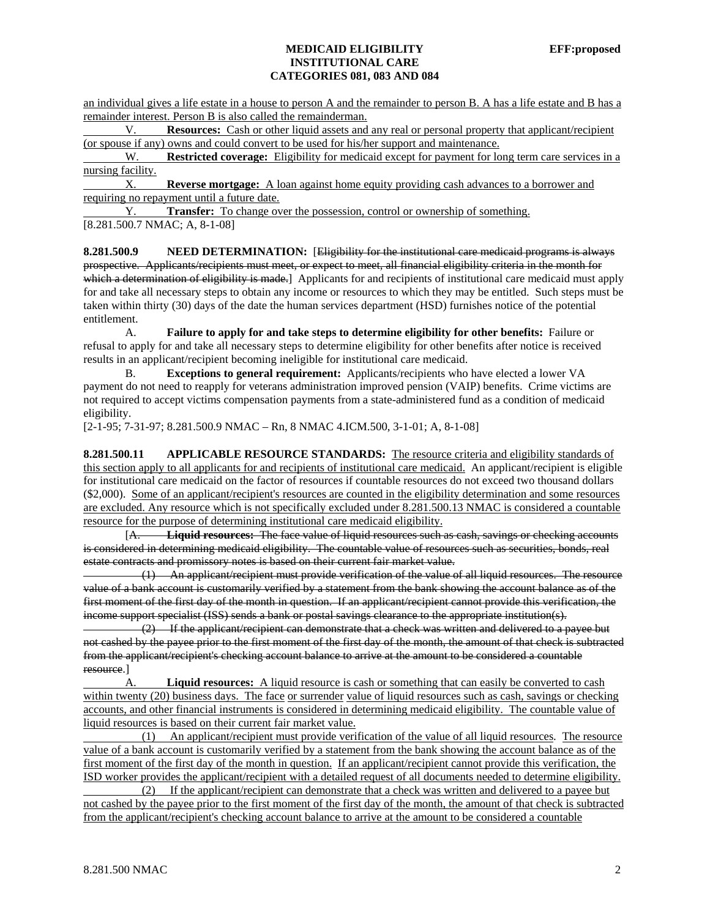an individual gives a life estate in a house to person A and the remainder to person B. A has a life estate and B has a remainder interest. Person B is also called the remainderman.

 V. **Resources:** Cash or other liquid assets and any real or personal property that applicant/recipient (or spouse if any) owns and could convert to be used for his/her support and maintenance.

W. **Restricted coverage:** Eligibility for medicaid except for payment for long term care services in a nursing facility.

 X. **Reverse mortgage:** A loan against home equity providing cash advances to a borrower and requiring no repayment until a future date.

 Y. **Transfer:** To change over the possession, control or ownership of something. [8.281.500.7 NMAC; A, 8-1-08]

**8.281.500.9 NEED DETERMINATION:** [Eligibility for the institutional care medicaid programs is always prospective. Applicants/recipients must meet, or expect to meet, all financial eligibility criteria in the month for which a determination of eligibility is made.] Applicants for and recipients of institutional care medicaid must apply for and take all necessary steps to obtain any income or resources to which they may be entitled. Such steps must be taken within thirty (30) days of the date the human services department (HSD) furnishes notice of the potential entitlement.

 A. **Failure to apply for and take steps to determine eligibility for other benefits:** Failure or refusal to apply for and take all necessary steps to determine eligibility for other benefits after notice is received results in an applicant/recipient becoming ineligible for institutional care medicaid.

 B. **Exceptions to general requirement:** Applicants/recipients who have elected a lower VA payment do not need to reapply for veterans administration improved pension (VAIP) benefits. Crime victims are not required to accept victims compensation payments from a state-administered fund as a condition of medicaid eligibility.

[2-1-95; 7-31-97; 8.281.500.9 NMAC – Rn, 8 NMAC 4.ICM.500, 3-1-01; A, 8-1-08]

**8.281.500.11 APPLICABLE RESOURCE STANDARDS:** The resource criteria and eligibility standards of this section apply to all applicants for and recipients of institutional care medicaid. An applicant/recipient is eligible for institutional care medicaid on the factor of resources if countable resources do not exceed two thousand dollars (\$2,000). Some of an applicant/recipient's resources are counted in the eligibility determination and some resources are excluded. Any resource which is not specifically excluded under 8.281.500.13 NMAC is considered a countable resource for the purpose of determining institutional care medicaid eligibility.

 [A. **Liquid resources:** The face value of liquid resources such as cash, savings or checking accounts is considered in determining medicaid eligibility. The countable value of resources such as securities, bonds, real estate contracts and promissory notes is based on their current fair market value.

 (1) An applicant/recipient must provide verification of the value of all liquid resources. The resource value of a bank account is customarily verified by a statement from the bank showing the account balance as of the first moment of the first day of the month in question. If an applicant/recipient cannot provide this verification, the income support specialist (ISS) sends a bank or postal savings clearance to the appropriate institution(s).

 (2) If the applicant/recipient can demonstrate that a check was written and delivered to a payee but not cashed by the payee prior to the first moment of the first day of the month, the amount of that check is subtracted from the applicant/recipient's checking account balance to arrive at the amount to be considered a countable resource.]

A. **Liquid resources:** A liquid resource is cash or something that can easily be converted to cash within twenty (20) business days. The face or surrender value of liquid resources such as cash, savings or checking accounts, and other financial instruments is considered in determining medicaid eligibility. The countable value of liquid resources is based on their current fair market value.

 (1) An applicant/recipient must provide verification of the value of all liquid resources. The resource value of a bank account is customarily verified by a statement from the bank showing the account balance as of the first moment of the first day of the month in question. If an applicant/recipient cannot provide this verification, the ISD worker provides the applicant/recipient with a detailed request of all documents needed to determine eligibility.

 (2) If the applicant/recipient can demonstrate that a check was written and delivered to a payee but not cashed by the payee prior to the first moment of the first day of the month, the amount of that check is subtracted from the applicant/recipient's checking account balance to arrive at the amount to be considered a countable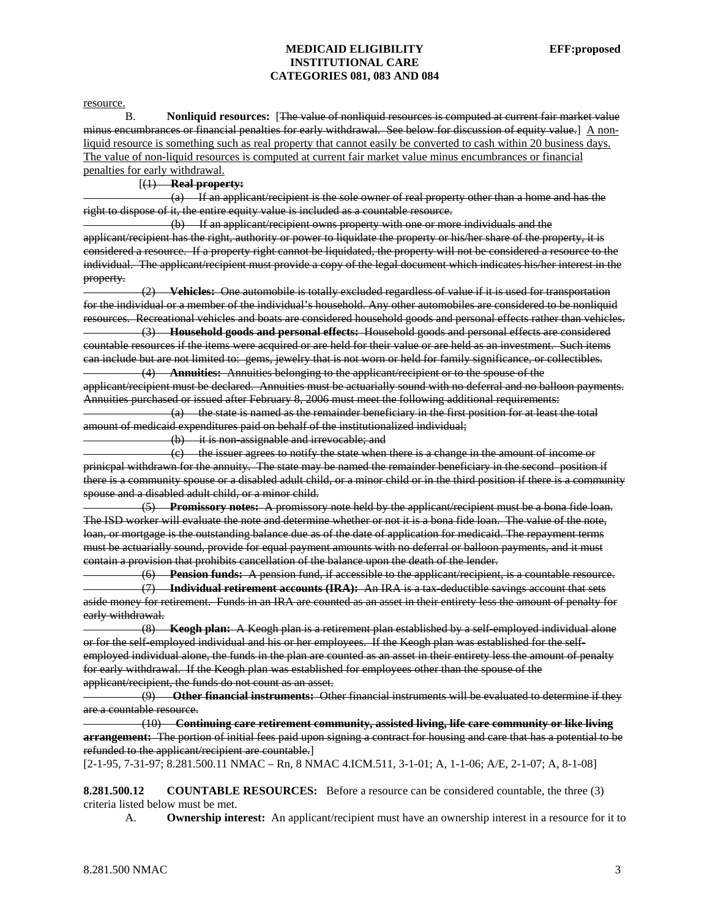resource.

B. **Nonliquid resources:** [The value of nonliquid resources is computed at current fair market value minus encumbrances or financial penalties for early withdrawal. See below for discussion of equity value.] A nonliquid resource is something such as real property that cannot easily be converted to cash within 20 business days. The value of non-liquid resources is computed at current fair market value minus encumbrances or financial penalties for early withdrawal.

[(1) **Real property:**

 (a) If an applicant/recipient is the sole owner of real property other than a home and has the right to dispose of it, the entire equity value is included as a countable resource.

 (b) If an applicant/recipient owns property with one or more individuals and the applicant/recipient has the right, authority or power to liquidate the property or his/her share of the property, it is considered a resource. If a property right cannot be liquidated, the property will not be considered a resource to the individual. The applicant/recipient must provide a copy of the legal document which indicates his/her interest in the property.

 (2) **Vehicles:** One automobile is totally excluded regardless of value if it is used for transportation for the individual or a member of the individual's household. Any other automobiles are considered to be nonliquid resources. Recreational vehicles and boats are considered household goods and personal effects rather than vehicles. (3) **Household goods and personal effects:** Household goods and personal effects are considered countable resources if the items were acquired or are held for their value or are held as an investment. Such items

can include but are not limited to: gems, jewelry that is not worn or held for family significance, or collectibles. (4) **Annuities:** Annuities belonging to the applicant/recipient or to the spouse of the

applicant/recipient must be declared. Annuities must be actuarially sound with no deferral and no balloon payments. Annuities purchased or issued after February 8, 2006 must meet the following additional requirements:

 $(a)$  the state is named as the remainder beneficiary in the first position for at least the total amount of medicaid expenditures paid on behalf of the institutionalized individual;

(b) it is non-assignable and irrevocable; and

 (c) the issuer agrees to notify the state when there is a change in the amount of income or prinicpal withdrawn for the annuity. The state may be named the remainder beneficiary in the second position if there is a community spouse or a disabled adult child, or a minor child or in the third position if there is a community spouse and a disabled adult child, or a minor child.

 (5) **Promissory notes:** A promissory note held by the applicant/recipient must be a bona fide loan. The ISD worker will evaluate the note and determine whether or not it is a bona fide loan. The value of the note, loan, or mortgage is the outstanding balance due as of the date of application for medicaid. The repayment terms must be actuarially sound, provide for equal payment amounts with no deferral or balloon payments, and it must contain a provision that prohibits cancellation of the balance upon the death of the lender.

 (6) **Pension funds:** A pension fund, if accessible to the applicant/recipient, is a countable resource. (7) **Individual retirement accounts (IRA):** An IRA is a tax-deductible savings account that sets aside money for retirement. Funds in an IRA are counted as an asset in their entirety less the amount of penalty for early withdrawal.

 (8) **Keogh plan:** A Keogh plan is a retirement plan established by a self-employed individual alone or for the self-employed individual and his or her employees. If the Keogh plan was established for the selfemployed individual alone, the funds in the plan are counted as an asset in their entirety less the amount of penalty for early withdrawal. If the Keogh plan was established for employees other than the spouse of the applicant/recipient, the funds do not count as an asset.

 (9) **Other financial instruments:** Other financial instruments will be evaluated to determine if they are a countable resource.

 (10) **Continuing care retirement community, assisted living, life care community or like living arrangement:** The portion of initial fees paid upon signing a contract for housing and care that has a potential to be refunded to the applicant/recipient are countable.]

[2-1-95, 7-31-97; 8.281.500.11 NMAC – Rn, 8 NMAC 4.ICM.511, 3-1-01; A, 1-1-06; A/E, 2-1-07; A, 8-1-08]

**8.281.500.12** COUNTABLE RESOURCES: Before a resource can be considered countable, the three (3) criteria listed below must be met.

A. **Ownership interest:** An applicant/recipient must have an ownership interest in a resource for it to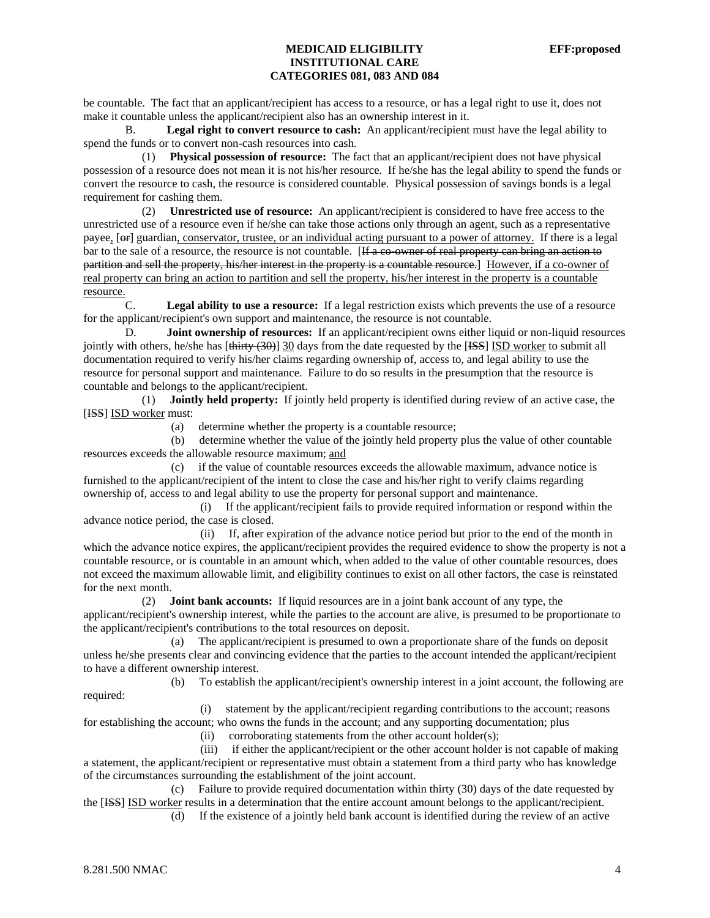be countable. The fact that an applicant/recipient has access to a resource, or has a legal right to use it, does not make it countable unless the applicant/recipient also has an ownership interest in it.

B. **Legal right to convert resource to cash:** An applicant/recipient must have the legal ability to spend the funds or to convert non-cash resources into cash.

 (1) **Physical possession of resource:** The fact that an applicant/recipient does not have physical possession of a resource does not mean it is not his/her resource. If he/she has the legal ability to spend the funds or convert the resource to cash, the resource is considered countable. Physical possession of savings bonds is a legal requirement for cashing them.

 (2) **Unrestricted use of resource:** An applicant/recipient is considered to have free access to the unrestricted use of a resource even if he/she can take those actions only through an agent, such as a representative payee, [ $\Theta$ ] guardian, conservator, trustee, or an individual acting pursuant to a power of attorney. If there is a legal bar to the sale of a resource, the resource is not countable. [If a co-owner of real property can bring an action to partition and sell the property, his/her interest in the property is a countable resource.] However, if a co-owner of real property can bring an action to partition and sell the property, his/her interest in the property is a countable resource.

 C. **Legal ability to use a resource:** If a legal restriction exists which prevents the use of a resource for the applicant/recipient's own support and maintenance, the resource is not countable.

D. **Joint ownership of resources:** If an applicant/recipient owns either liquid or non-liquid resources jointly with others, he/she has  $[\frac{\text{thirty (30)}}{30}$  days from the date requested by the  $[\frac{\text{ISS}}{1}$  ISD worker to submit all documentation required to verify his/her claims regarding ownership of, access to, and legal ability to use the resource for personal support and maintenance. Failure to do so results in the presumption that the resource is countable and belongs to the applicant/recipient.

 (1) **Jointly held property:** If jointly held property is identified during review of an active case, the [ISS] ISD worker must:

(a) determine whether the property is a countable resource;

 (b) determine whether the value of the jointly held property plus the value of other countable resources exceeds the allowable resource maximum; and

 (c) if the value of countable resources exceeds the allowable maximum, advance notice is furnished to the applicant/recipient of the intent to close the case and his/her right to verify claims regarding ownership of, access to and legal ability to use the property for personal support and maintenance.

 (i) If the applicant/recipient fails to provide required information or respond within the advance notice period, the case is closed.

 (ii) If, after expiration of the advance notice period but prior to the end of the month in which the advance notice expires, the applicant/recipient provides the required evidence to show the property is not a countable resource, or is countable in an amount which, when added to the value of other countable resources, does not exceed the maximum allowable limit, and eligibility continues to exist on all other factors, the case is reinstated for the next month.

 (2) **Joint bank accounts:** If liquid resources are in a joint bank account of any type, the applicant/recipient's ownership interest, while the parties to the account are alive, is presumed to be proportionate to the applicant/recipient's contributions to the total resources on deposit.

 (a) The applicant/recipient is presumed to own a proportionate share of the funds on deposit unless he/she presents clear and convincing evidence that the parties to the account intended the applicant/recipient to have a different ownership interest.

 (b) To establish the applicant/recipient's ownership interest in a joint account, the following are required:

(i) statement by the applicant/recipient regarding contributions to the account; reasons

for establishing the account; who owns the funds in the account; and any supporting documentation; plus

(ii) corroborating statements from the other account holder(s);

 (iii) if either the applicant/recipient or the other account holder is not capable of making a statement, the applicant/recipient or representative must obtain a statement from a third party who has knowledge of the circumstances surrounding the establishment of the joint account.

 (c) Failure to provide required documentation within thirty (30) days of the date requested by the [ISS] ISD worker results in a determination that the entire account amount belongs to the applicant/recipient. (d) If the existence of a jointly held bank account is identified during the review of an active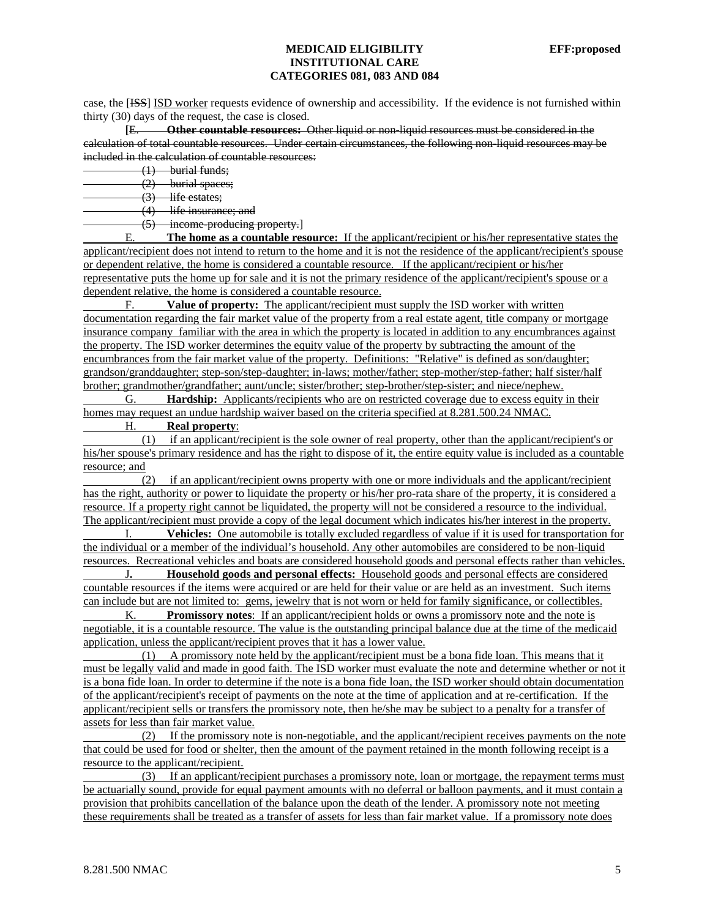case, the [ISS] ISD worker requests evidence of ownership and accessibility. If the evidence is not furnished within thirty (30) days of the request, the case is closed.

 **[**E. **Other countable resources:** Other liquid or non-liquid resources must be considered in the calculation of total countable resources. Under certain circumstances, the following non-liquid resources may be included in the calculation of countable resources:

(1) burial funds;

(2) burial spaces;

 $(3)$  life estates;

(4) life insurance; and

(5) income-producing property.]

E. **The home as a countable resource:** If the applicant/recipient or his/her representative states the applicant/recipient does not intend to return to the home and it is not the residence of the applicant/recipient's spouse or dependent relative, the home is considered a countable resource. If the applicant/recipient or his/her representative puts the home up for sale and it is not the primary residence of the applicant/recipient's spouse or a dependent relative, the home is considered a countable resource.

 F. **Value of property:** The applicant/recipient must supply the ISD worker with written documentation regarding the fair market value of the property from a real estate agent, title company or mortgage insurance company familiar with the area in which the property is located in addition to any encumbrances against the property. The ISD worker determines the equity value of the property by subtracting the amount of the encumbrances from the fair market value of the property. Definitions: "Relative" is defined as son/daughter; grandson/granddaughter; step-son/step-daughter; in-laws; mother/father; step-mother/step-father; half sister/half brother; grandmother/grandfather; aunt/uncle; sister/brother; step-brother/step-sister; and niece/nephew.

 G. **Hardship:** Applicants/recipients who are on restricted coverage due to excess equity in their homes may request an undue hardship waiver based on the criteria specified at 8.281.500.24 NMAC.

# H. **Real property**:

 (1) if an applicant/recipient is the sole owner of real property, other than the applicant/recipient's or his/her spouse's primary residence and has the right to dispose of it, the entire equity value is included as a countable resource; and

 (2) if an applicant/recipient owns property with one or more individuals and the applicant/recipient has the right, authority or power to liquidate the property or his/her pro-rata share of the property, it is considered a resource. If a property right cannot be liquidated, the property will not be considered a resource to the individual. The applicant/recipient must provide a copy of the legal document which indicates his/her interest in the property.

 I. **Vehicles:** One automobile is totally excluded regardless of value if it is used for transportation for the individual or a member of the individual's household. Any other automobiles are considered to be non-liquid resources. Recreational vehicles and boats are considered household goods and personal effects rather than vehicles.

 J**. Household goods and personal effects:** Household goods and personal effects are considered countable resources if the items were acquired or are held for their value or are held as an investment. Such items can include but are not limited to: gems, jewelry that is not worn or held for family significance, or collectibles.

 K. **Promissory notes**: If an applicant/recipient holds or owns a promissory note and the note is negotiable, it is a countable resource. The value is the outstanding principal balance due at the time of the medicaid application, unless the applicant/recipient proves that it has a lower value.

 (1) A promissory note held by the applicant/recipient must be a bona fide loan. This means that it must be legally valid and made in good faith. The ISD worker must evaluate the note and determine whether or not it is a bona fide loan. In order to determine if the note is a bona fide loan, the ISD worker should obtain documentation of the applicant/recipient's receipt of payments on the note at the time of application and at re-certification. If the applicant/recipient sells or transfers the promissory note, then he/she may be subject to a penalty for a transfer of assets for less than fair market value.

 (2) If the promissory note is non-negotiable, and the applicant/recipient receives payments on the note that could be used for food or shelter, then the amount of the payment retained in the month following receipt is a resource to the applicant/recipient.

 (3) If an applicant/recipient purchases a promissory note, loan or mortgage, the repayment terms must be actuarially sound, provide for equal payment amounts with no deferral or balloon payments, and it must contain a provision that prohibits cancellation of the balance upon the death of the lender. A promissory note not meeting these requirements shall be treated as a transfer of assets for less than fair market value. If a promissory note does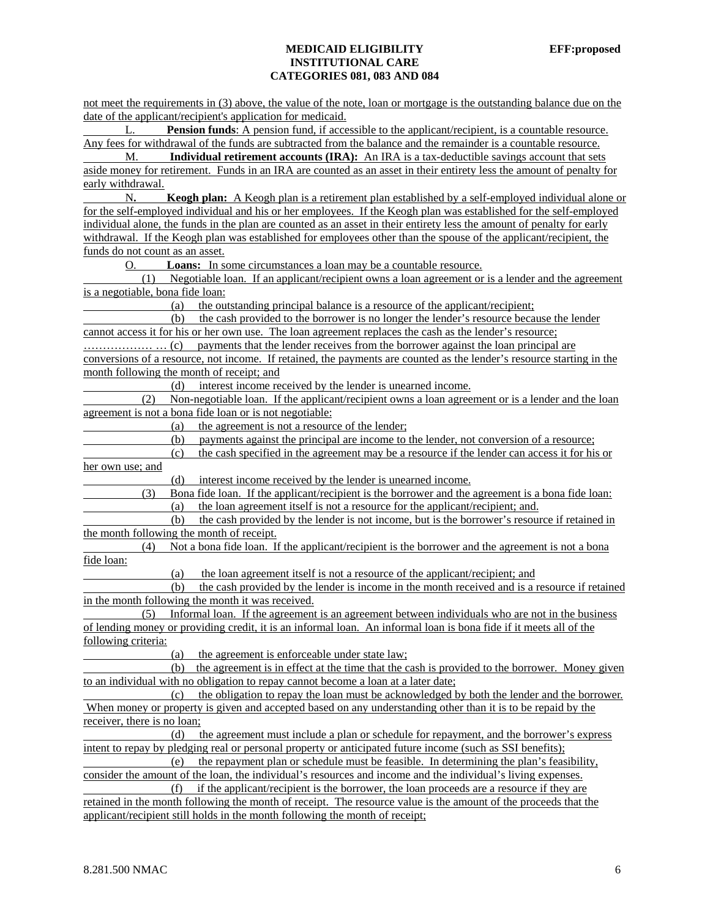not meet the requirements in (3) above, the value of the note, loan or mortgage is the outstanding balance due on the date of the applicant/recipient's application for medicaid.

**Pension funds**: A pension fund, if accessible to the applicant/recipient, is a countable resource. Any fees for withdrawal of the funds are subtracted from the balance and the remainder is a countable resource.

 M. **Individual retirement accounts (IRA):** An IRA is a tax-deductible savings account that sets aside money for retirement. Funds in an IRA are counted as an asset in their entirety less the amount of penalty for early withdrawal.

 N**. Keogh plan:** A Keogh plan is a retirement plan established by a self-employed individual alone or for the self-employed individual and his or her employees. If the Keogh plan was established for the self-employed individual alone, the funds in the plan are counted as an asset in their entirety less the amount of penalty for early withdrawal. If the Keogh plan was established for employees other than the spouse of the applicant/recipient, the funds do not count as an asset.

O. **Loans:** In some circumstances a loan may be a countable resource.

 (1) Negotiable loan. If an applicant/recipient owns a loan agreement or is a lender and the agreement is a negotiable, bona fide loan:

(a) the outstanding principal balance is a resource of the applicant/recipient;

 (b) the cash provided to the borrower is no longer the lender's resource because the lender cannot access it for his or her own use. The loan agreement replaces the cash as the lender's resource;

……………… … (c) payments that the lender receives from the borrower against the loan principal are conversions of a resource, not income. If retained, the payments are counted as the lender's resource starting in the month following the month of receipt; and

(d) interest income received by the lender is unearned income.

 (2) Non-negotiable loan. If the applicant/recipient owns a loan agreement or is a lender and the loan agreement is not a bona fide loan or is not negotiable:

(a) the agreement is not a resource of the lender;

(b) payments against the principal are income to the lender, not conversion of a resource;

 (c) the cash specified in the agreement may be a resource if the lender can access it for his or her own use; and

(d) interest income received by the lender is unearned income.

 (3) Bona fide loan. If the applicant/recipient is the borrower and the agreement is a bona fide loan: (a) the loan agreement itself is not a resource for the applicant/recipient; and.

 (b) the cash provided by the lender is not income, but is the borrower's resource if retained in the month following the month of receipt.

 (4) Not a bona fide loan. If the applicant/recipient is the borrower and the agreement is not a bona fide loan:

(a) the loan agreement itself is not a resource of the applicant/recipient; and

 (b) the cash provided by the lender is income in the month received and is a resource if retained in the month following the month it was received.

 (5) Informal loan. If the agreement is an agreement between individuals who are not in the business of lending money or providing credit, it is an informal loan. An informal loan is bona fide if it meets all of the following criteria:

(a) the agreement is enforceable under state law;

 (b) the agreement is in effect at the time that the cash is provided to the borrower. Money given to an individual with no obligation to repay cannot become a loan at a later date;

 (c) the obligation to repay the loan must be acknowledged by both the lender and the borrower. When money or property is given and accepted based on any understanding other than it is to be repaid by the receiver, there is no loan;

 (d) the agreement must include a plan or schedule for repayment, and the borrower's express intent to repay by pledging real or personal property or anticipated future income (such as SSI benefits);

 (e) the repayment plan or schedule must be feasible. In determining the plan's feasibility, consider the amount of the loan, the individual's resources and income and the individual's living expenses.

 (f) if the applicant/recipient is the borrower, the loan proceeds are a resource if they are retained in the month following the month of receipt. The resource value is the amount of the proceeds that the applicant/recipient still holds in the month following the month of receipt;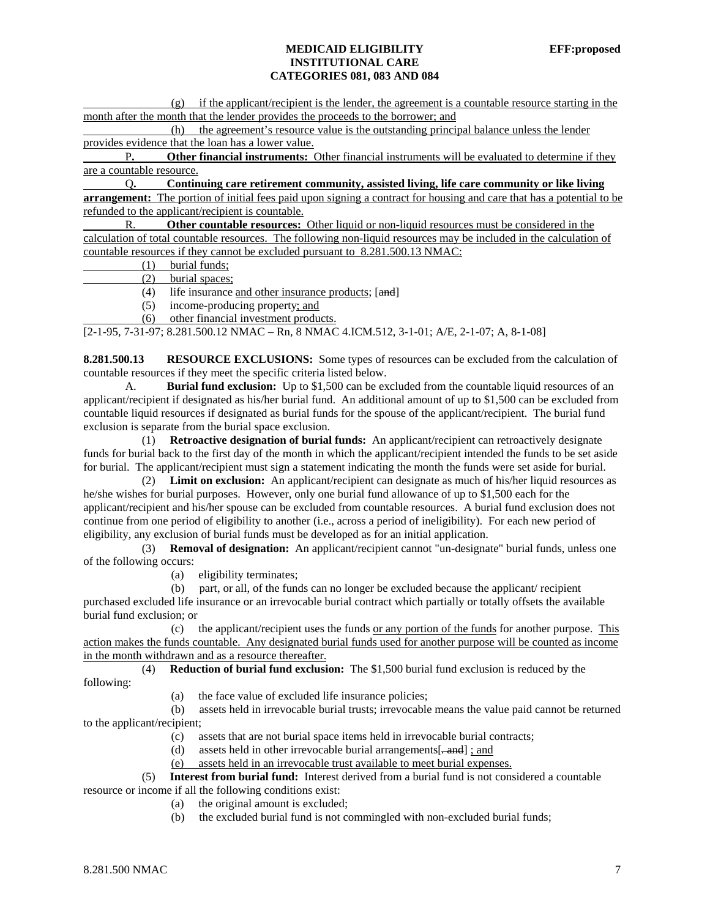(g) if the applicant/recipient is the lender, the agreement is a countable resource starting in the month after the month that the lender provides the proceeds to the borrower; and

 (h) the agreement's resource value is the outstanding principal balance unless the lender provides evidence that the loan has a lower value.

 P**. Other financial instruments:** Other financial instruments will be evaluated to determine if they are a countable resource.

 Q**. Continuing care retirement community, assisted living, life care community or like living**  arrangement: The portion of initial fees paid upon signing a contract for housing and care that has a potential to be refunded to the applicant/recipient is countable.

 R. **Other countable resources:** Other liquid or non-liquid resources must be considered in the calculation of total countable resources. The following non-liquid resources may be included in the calculation of countable resources if they cannot be excluded pursuant to 8.281.500.13 NMAC:

(1) burial funds;

 $(2)$  burial spaces;<br>(4) life insurance a

life insurance and other insurance products; [and]

(5) income-producing property; and

(6) other financial investment products.

[2-1-95, 7-31-97; 8.281.500.12 NMAC – Rn, 8 NMAC 4.ICM.512, 3-1-01; A/E, 2-1-07; A, 8-1-08]

**8.281.500.13 RESOURCE EXCLUSIONS:** Some types of resources can be excluded from the calculation of countable resources if they meet the specific criteria listed below.

A. **Burial fund exclusion:** Up to \$1,500 can be excluded from the countable liquid resources of an applicant/recipient if designated as his/her burial fund. An additional amount of up to \$1,500 can be excluded from countable liquid resources if designated as burial funds for the spouse of the applicant/recipient. The burial fund exclusion is separate from the burial space exclusion.

 (1) **Retroactive designation of burial funds:** An applicant/recipient can retroactively designate funds for burial back to the first day of the month in which the applicant/recipient intended the funds to be set aside for burial. The applicant/recipient must sign a statement indicating the month the funds were set aside for burial.

 (2) **Limit on exclusion:** An applicant/recipient can designate as much of his/her liquid resources as he/she wishes for burial purposes. However, only one burial fund allowance of up to \$1,500 each for the applicant/recipient and his/her spouse can be excluded from countable resources. A burial fund exclusion does not continue from one period of eligibility to another (i.e., across a period of ineligibility). For each new period of eligibility, any exclusion of burial funds must be developed as for an initial application.

 (3) **Removal of designation:** An applicant/recipient cannot "un-designate" burial funds, unless one of the following occurs:

(a) eligibility terminates;

 (b) part, or all, of the funds can no longer be excluded because the applicant/ recipient purchased excluded life insurance or an irrevocable burial contract which partially or totally offsets the available burial fund exclusion; or

 (c) the applicant/recipient uses the funds or any portion of the funds for another purpose. This action makes the funds countable. Any designated burial funds used for another purpose will be counted as income in the month withdrawn and as a resource thereafter.

 (4) **Reduction of burial fund exclusion:** The \$1,500 burial fund exclusion is reduced by the following:

(a) the face value of excluded life insurance policies;

 (b) assets held in irrevocable burial trusts; irrevocable means the value paid cannot be returned to the applicant/recipient;

(c) assets that are not burial space items held in irrevocable burial contracts;

(d) assets held in other irrevocable burial arrangements[ $\frac{1}{2}$  and  $\frac{1}{2}$ ; and

(e) assets held in an irrevocable trust available to meet burial expenses.

 (5) **Interest from burial fund:** Interest derived from a burial fund is not considered a countable resource or income if all the following conditions exist:

- (a) the original amount is excluded;
- (b) the excluded burial fund is not commingled with non-excluded burial funds;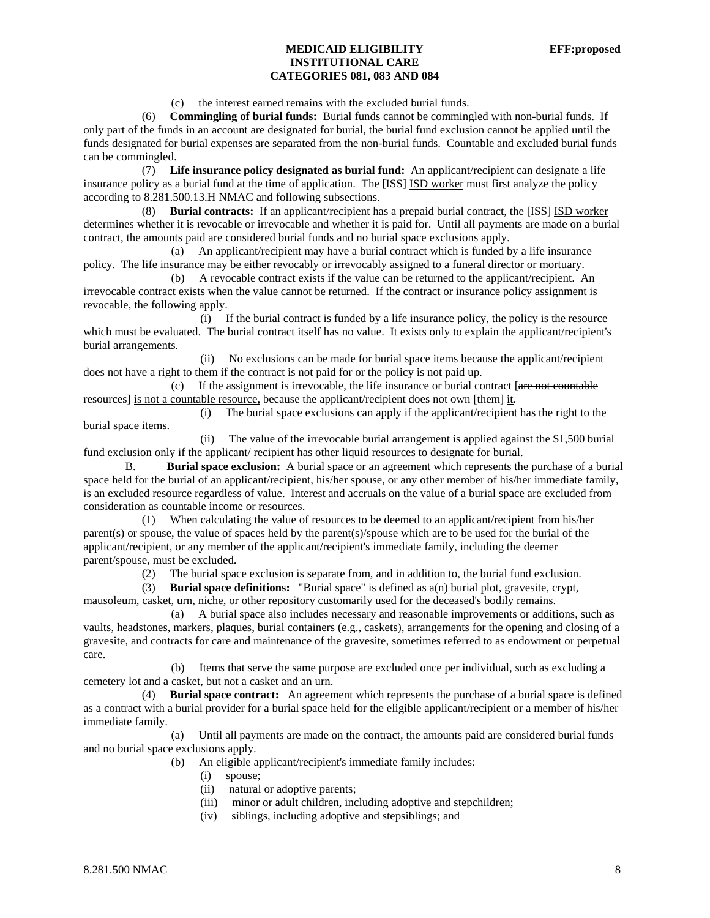(c) the interest earned remains with the excluded burial funds.

 (6) **Commingling of burial funds:** Burial funds cannot be commingled with non-burial funds. If only part of the funds in an account are designated for burial, the burial fund exclusion cannot be applied until the funds designated for burial expenses are separated from the non-burial funds. Countable and excluded burial funds can be commingled.

 (7) **Life insurance policy designated as burial fund:** An applicant/recipient can designate a life insurance policy as a burial fund at the time of application. The [ISS] ISD worker must first analyze the policy according to 8.281.500.13.H NMAC and following subsections.

 (8) **Burial contracts:** If an applicant/recipient has a prepaid burial contract, the [ISS] ISD worker determines whether it is revocable or irrevocable and whether it is paid for. Until all payments are made on a burial contract, the amounts paid are considered burial funds and no burial space exclusions apply.

 (a) An applicant/recipient may have a burial contract which is funded by a life insurance policy. The life insurance may be either revocably or irrevocably assigned to a funeral director or mortuary.

 (b) A revocable contract exists if the value can be returned to the applicant/recipient. An irrevocable contract exists when the value cannot be returned. If the contract or insurance policy assignment is revocable, the following apply.

 (i) If the burial contract is funded by a life insurance policy, the policy is the resource which must be evaluated. The burial contract itself has no value. It exists only to explain the applicant/recipient's burial arrangements.

 (ii) No exclusions can be made for burial space items because the applicant/recipient does not have a right to them if the contract is not paid for or the policy is not paid up.

 $(c)$  If the assignment is irrevocable, the life insurance or burial contract [are not countable resources] is not a countable resource, because the applicant/recipient does not own [them] it.

(i) The burial space exclusions can apply if the applicant/recipient has the right to the

burial space items.

 (ii) The value of the irrevocable burial arrangement is applied against the \$1,500 burial fund exclusion only if the applicant/ recipient has other liquid resources to designate for burial.

 B. **Burial space exclusion:** A burial space or an agreement which represents the purchase of a burial space held for the burial of an applicant/recipient, his/her spouse, or any other member of his/her immediate family, is an excluded resource regardless of value. Interest and accruals on the value of a burial space are excluded from consideration as countable income or resources.

 (1) When calculating the value of resources to be deemed to an applicant/recipient from his/her parent(s) or spouse, the value of spaces held by the parent(s)/spouse which are to be used for the burial of the applicant/recipient, or any member of the applicant/recipient's immediate family, including the deemer parent/spouse, must be excluded.

(2) The burial space exclusion is separate from, and in addition to, the burial fund exclusion.

 (3) **Burial space definitions:** "Burial space" is defined as a(n) burial plot, gravesite, crypt, mausoleum, casket, urn, niche, or other repository customarily used for the deceased's bodily remains.

 (a) A burial space also includes necessary and reasonable improvements or additions, such as vaults, headstones, markers, plaques, burial containers (e.g., caskets), arrangements for the opening and closing of a gravesite, and contracts for care and maintenance of the gravesite, sometimes referred to as endowment or perpetual care.

 (b) Items that serve the same purpose are excluded once per individual, such as excluding a cemetery lot and a casket, but not a casket and an urn.

 (4) **Burial space contract:** An agreement which represents the purchase of a burial space is defined as a contract with a burial provider for a burial space held for the eligible applicant/recipient or a member of his/her immediate family.

 (a) Until all payments are made on the contract, the amounts paid are considered burial funds and no burial space exclusions apply.

- (b) An eligible applicant/recipient's immediate family includes:
	- (i) spouse;
	- (ii) natural or adoptive parents;
	- (iii) minor or adult children, including adoptive and stepchildren;
	- (iv) siblings, including adoptive and stepsiblings; and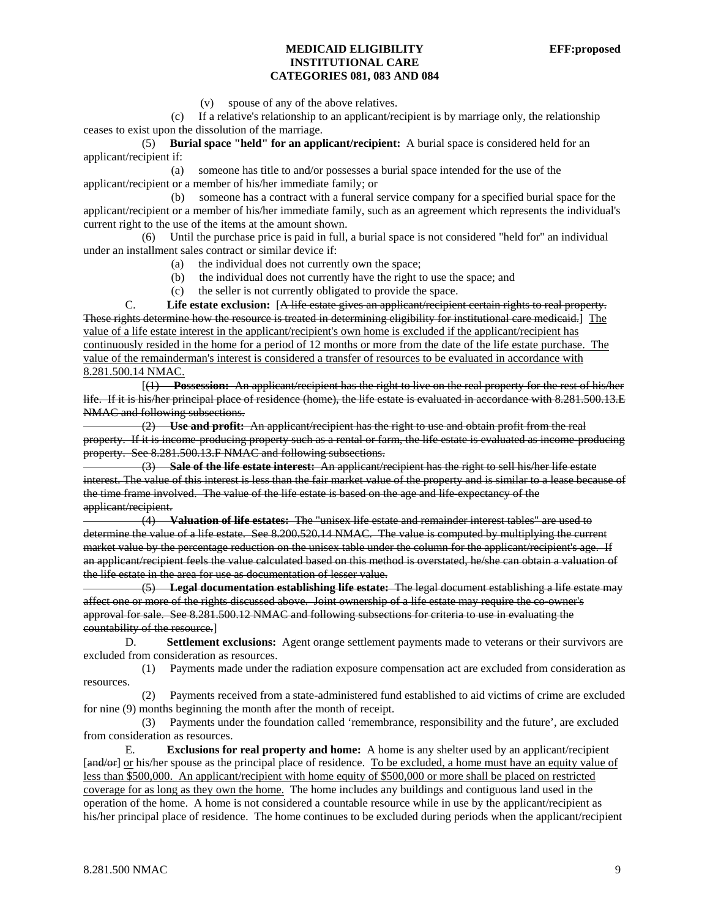(v) spouse of any of the above relatives.

 (c) If a relative's relationship to an applicant/recipient is by marriage only, the relationship ceases to exist upon the dissolution of the marriage.

 (5) **Burial space "held" for an applicant/recipient:** A burial space is considered held for an applicant/recipient if:

 (a) someone has title to and/or possesses a burial space intended for the use of the applicant/recipient or a member of his/her immediate family; or

 (b) someone has a contract with a funeral service company for a specified burial space for the applicant/recipient or a member of his/her immediate family, such as an agreement which represents the individual's current right to the use of the items at the amount shown.

 (6) Until the purchase price is paid in full, a burial space is not considered "held for" an individual under an installment sales contract or similar device if:

- (a) the individual does not currently own the space;
- (b) the individual does not currently have the right to use the space; and
- (c) the seller is not currently obligated to provide the space.

C. **Life estate exclusion:** [A life estate gives an applicant/recipient certain rights to real property. These rights determine how the resource is treated in determining eligibility for institutional care medicaid.] The value of a life estate interest in the applicant/recipient's own home is excluded if the applicant/recipient has continuously resided in the home for a period of 12 months or more from the date of the life estate purchase. The value of the remainderman's interest is considered a transfer of resources to be evaluated in accordance with 8.281.500.14 NMAC.

 [(1) **Possession:** An applicant/recipient has the right to live on the real property for the rest of his/her life. If it is his/her principal place of residence (home), the life estate is evaluated in accordance with 8.281.500.13.E NMAC and following subsections.

 (2) **Use and profit:** An applicant/recipient has the right to use and obtain profit from the real property. If it is income-producing property such as a rental or farm, the life estate is evaluated as income-producing property. See 8.281.500.13.F NMAC and following subsections.

 (3) **Sale of the life estate interest:** An applicant/recipient has the right to sell his/her life estate interest. The value of this interest is less than the fair market value of the property and is similar to a lease because of the time frame involved. The value of the life estate is based on the age and life-expectancy of the applicant/recipient.

 (4) **Valuation of life estates:** The "unisex life estate and remainder interest tables" are used to determine the value of a life estate. See 8.200.520.14 NMAC. The value is computed by multiplying the current market value by the percentage reduction on the unisex table under the column for the applicant/recipient's age. If an applicant/recipient feels the value calculated based on this method is overstated, he/she can obtain a valuation of the life estate in the area for use as documentation of lesser value.

 (5) **Legal documentation establishing life estate:** The legal document establishing a life estate may affect one or more of the rights discussed above. Joint ownership of a life estate may require the co-owner's approval for sale. See 8.281.500.12 NMAC and following subsections for criteria to use in evaluating the countability of the resource.]

 D. **Settlement exclusions:** Agent orange settlement payments made to veterans or their survivors are excluded from consideration as resources.

 (1) Payments made under the radiation exposure compensation act are excluded from consideration as resources.

 (2) Payments received from a state-administered fund established to aid victims of crime are excluded for nine (9) months beginning the month after the month of receipt.

 (3) Payments under the foundation called 'remembrance, responsibility and the future', are excluded from consideration as resources.

 E. **Exclusions for real property and home:** A home is any shelter used by an applicant/recipient [and/or] or his/her spouse as the principal place of residence. To be excluded, a home must have an equity value of less than \$500,000. An applicant/recipient with home equity of \$500,000 or more shall be placed on restricted coverage for as long as they own the home. The home includes any buildings and contiguous land used in the operation of the home. A home is not considered a countable resource while in use by the applicant/recipient as his/her principal place of residence. The home continues to be excluded during periods when the applicant/recipient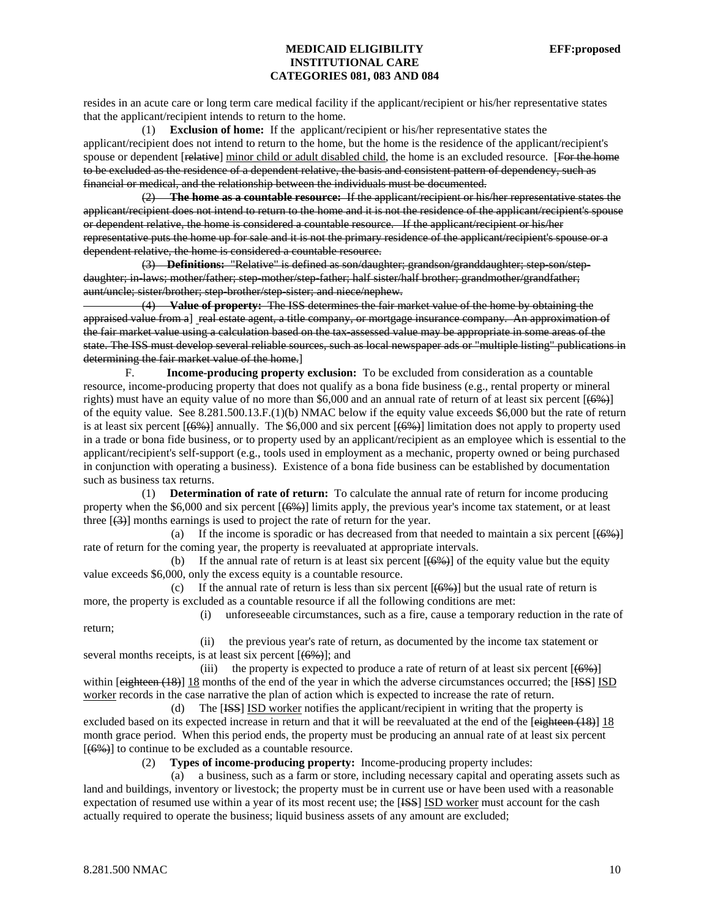resides in an acute care or long term care medical facility if the applicant/recipient or his/her representative states that the applicant/recipient intends to return to the home.

 (1) **Exclusion of home:** If the applicant/recipient or his/her representative states the applicant/recipient does not intend to return to the home, but the home is the residence of the applicant/recipient's spouse or dependent [relative] minor child or adult disabled child, the home is an excluded resource. [For the home to be excluded as the residence of a dependent relative, the basis and consistent pattern of dependency, such as financial or medical, and the relationship between the individuals must be documented.

 (2) **The home as a countable resource:** If the applicant/recipient or his/her representative states the applicant/recipient does not intend to return to the home and it is not the residence of the applicant/recipient's spouse or dependent relative, the home is considered a countable resource. If the applicant/recipient or his/her representative puts the home up for sale and it is not the primary residence of the applicant/recipient's spouse or a dependent relative, the home is considered a countable resource.

 (3) **Definitions:** "Relative" is defined as son/daughter; grandson/granddaughter; step-son/stepdaughter; in-laws; mother/father; step-mother/step-father; half sister/half brother; grandmother/grandfather; aunt/uncle; sister/brother; step-brother/step-sister; and niece/nephew.

 (4) **Value of property:** The ISS determines the fair market value of the home by obtaining the appraised value from a] real estate agent, a title company, or mortgage insurance company. An approximation of the fair market value using a calculation based on the tax-assessed value may be appropriate in some areas of the state. The ISS must develop several reliable sources, such as local newspaper ads or "multiple listing" publications in determining the fair market value of the home.]

F. **Income-producing property exclusion:** To be excluded from consideration as a countable resource, income-producing property that does not qualify as a bona fide business (e.g., rental property or mineral rights) must have an equity value of no more than \$6,000 and an annual rate of return of at least six percent  $[$ (6%)] of the equity value. See 8.281.500.13.F.(1)(b) NMAC below if the equity value exceeds \$6,000 but the rate of return is at least six percent  $[(6\%)]$  annually. The \$6,000 and six percent  $[(6\%)]$  limitation does not apply to property used in a trade or bona fide business, or to property used by an applicant/recipient as an employee which is essential to the applicant/recipient's self-support (e.g., tools used in employment as a mechanic, property owned or being purchased in conjunction with operating a business). Existence of a bona fide business can be established by documentation such as business tax returns.

 (1) **Determination of rate of return:** To calculate the annual rate of return for income producing property when the  $$6,000$  and six percent  $[6\%]$  limits apply, the previous year's income tax statement, or at least three  $\left[\frac{1}{3}\right]$  months earnings is used to project the rate of return for the year.

(a) If the income is sporadic or has decreased from that needed to maintain a six percent  $[6\%]$ rate of return for the coming year, the property is reevaluated at appropriate intervals.

(b) If the annual rate of return is at least six percent  $[(6\%)]$  of the equity value but the equity value exceeds \$6,000, only the excess equity is a countable resource.

(c) If the annual rate of return is less than six percent  $[(6%)]$  but the usual rate of return is more, the property is excluded as a countable resource if all the following conditions are met:

return;

(i) unforeseeable circumstances, such as a fire, cause a temporary reduction in the rate of

 (ii) the previous year's rate of return, as documented by the income tax statement or several months receipts, is at least six percent  $[$ ( $6\%$ ) $]$ ; and

(iii) the property is expected to produce a rate of return of at least six percent  $[(6\%)]$ within  $[$ eighteen  $(18)$ ] 18 months of the end of the year in which the adverse circumstances occurred; the  $[$ ISS $]$  ISD worker records in the case narrative the plan of action which is expected to increase the rate of return.

 (d) The [ISS] ISD worker notifies the applicant/recipient in writing that the property is excluded based on its expected increase in return and that it will be reevaluated at the end of the [eighteen (18)] 18 month grace period. When this period ends, the property must be producing an annual rate of at least six percent  $[6\%]$  to continue to be excluded as a countable resource.

(2) **Types of income-producing property:** Income-producing property includes:

 (a) a business, such as a farm or store, including necessary capital and operating assets such as land and buildings, inventory or livestock; the property must be in current use or have been used with a reasonable expectation of resumed use within a year of its most recent use; the [ISS] ISD worker must account for the cash actually required to operate the business; liquid business assets of any amount are excluded;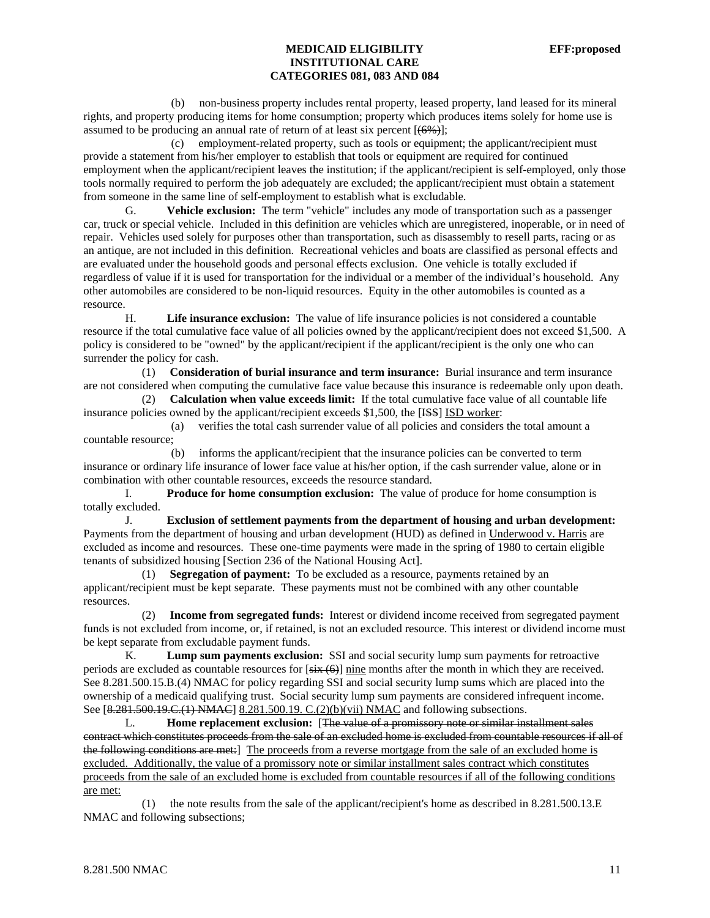(b) non-business property includes rental property, leased property, land leased for its mineral rights, and property producing items for home consumption; property which produces items solely for home use is assumed to be producing an annual rate of return of at least six percent  $[(6\%)]$ ;

 (c) employment-related property, such as tools or equipment; the applicant/recipient must provide a statement from his/her employer to establish that tools or equipment are required for continued employment when the applicant/recipient leaves the institution; if the applicant/recipient is self-employed, only those tools normally required to perform the job adequately are excluded; the applicant/recipient must obtain a statement from someone in the same line of self-employment to establish what is excludable.

G. **Vehicle exclusion:** The term "vehicle" includes any mode of transportation such as a passenger car, truck or special vehicle. Included in this definition are vehicles which are unregistered, inoperable, or in need of repair. Vehicles used solely for purposes other than transportation, such as disassembly to resell parts, racing or as an antique, are not included in this definition. Recreational vehicles and boats are classified as personal effects and are evaluated under the household goods and personal effects exclusion. One vehicle is totally excluded if regardless of value if it is used for transportation for the individual or a member of the individual's household. Any other automobiles are considered to be non-liquid resources. Equity in the other automobiles is counted as a resource.

H. **Life insurance exclusion:** The value of life insurance policies is not considered a countable resource if the total cumulative face value of all policies owned by the applicant/recipient does not exceed \$1,500. A policy is considered to be "owned" by the applicant/recipient if the applicant/recipient is the only one who can surrender the policy for cash.

 (1) **Consideration of burial insurance and term insurance:** Burial insurance and term insurance are not considered when computing the cumulative face value because this insurance is redeemable only upon death.

 (2) **Calculation when value exceeds limit:** If the total cumulative face value of all countable life insurance policies owned by the applicant/recipient exceeds \$1,500, the [ISS] ISD worker:

 (a) verifies the total cash surrender value of all policies and considers the total amount a countable resource;

 (b) informs the applicant/recipient that the insurance policies can be converted to term insurance or ordinary life insurance of lower face value at his/her option, if the cash surrender value, alone or in combination with other countable resources, exceeds the resource standard.

I. **Produce for home consumption exclusion:** The value of produce for home consumption is totally excluded.

 J. **Exclusion of settlement payments from the department of housing and urban development:** Payments from the department of housing and urban development (HUD) as defined in Underwood v. Harris are excluded as income and resources. These one-time payments were made in the spring of 1980 to certain eligible tenants of subsidized housing [Section 236 of the National Housing Act].

 (1) **Segregation of payment:** To be excluded as a resource, payments retained by an applicant/recipient must be kept separate. These payments must not be combined with any other countable resources.

 (2) **Income from segregated funds:** Interest or dividend income received from segregated payment funds is not excluded from income, or, if retained, is not an excluded resource. This interest or dividend income must be kept separate from excludable payment funds.

K. **Lump sum payments exclusion:** SSI and social security lump sum payments for retroactive periods are excluded as countable resources for  $[\frac{six}{ }(\theta)]$  nine months after the month in which they are received. See 8.281.500.15.B.(4) NMAC for policy regarding SSI and social security lump sums which are placed into the ownership of a medicaid qualifying trust. Social security lump sum payments are considered infrequent income. See [8.281.500.19.C.(1) NMAC 8.281.500.19. C.(2)(b)(vii) NMAC and following subsections.

L. **Home replacement exclusion:** [The value of a promissory note or similar installment sales contract which constitutes proceeds from the sale of an excluded home is excluded from countable resources if all of the following conditions are met:] The proceeds from a reverse mortgage from the sale of an excluded home is excluded. Additionally, the value of a promissory note or similar installment sales contract which constitutes proceeds from the sale of an excluded home is excluded from countable resources if all of the following conditions are met:

 (1) the note results from the sale of the applicant/recipient's home as described in 8.281.500.13.E NMAC and following subsections;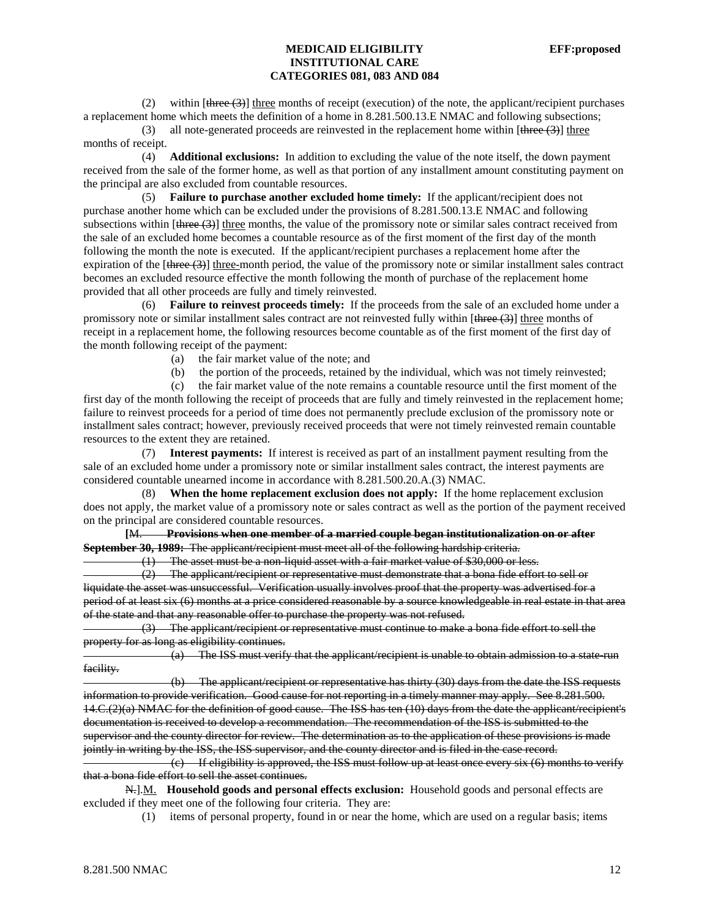(2) within  $[\frac{three(3)}{three(3)}]$  three months of receipt (execution) of the note, the applicant/recipient purchases a replacement home which meets the definition of a home in 8.281.500.13.E NMAC and following subsections;

(3) all note-generated proceeds are reinvested in the replacement home within  $[\frac{three}{3}]$  three months of receipt.

 (4) **Additional exclusions:** In addition to excluding the value of the note itself, the down payment received from the sale of the former home, as well as that portion of any installment amount constituting payment on the principal are also excluded from countable resources.

 (5) **Failure to purchase another excluded home timely:** If the applicant/recipient does not purchase another home which can be excluded under the provisions of 8.281.500.13.E NMAC and following subsections within  $[there (3)]$  three months, the value of the promissory note or similar sales contract received from the sale of an excluded home becomes a countable resource as of the first moment of the first day of the month following the month the note is executed. If the applicant/recipient purchases a replacement home after the expiration of the  $[\frac{three(3)}{1}]$  three-month period, the value of the promissory note or similar installment sales contract becomes an excluded resource effective the month following the month of purchase of the replacement home provided that all other proceeds are fully and timely reinvested.

 (6) **Failure to reinvest proceeds timely:** If the proceeds from the sale of an excluded home under a promissory note or similar installment sales contract are not reinvested fully within  $[three (3)]$  three months of receipt in a replacement home, the following resources become countable as of the first moment of the first day of the month following receipt of the payment:

- (a) the fair market value of the note; and
- (b) the portion of the proceeds, retained by the individual, which was not timely reinvested;

 (c) the fair market value of the note remains a countable resource until the first moment of the first day of the month following the receipt of proceeds that are fully and timely reinvested in the replacement home; failure to reinvest proceeds for a period of time does not permanently preclude exclusion of the promissory note or installment sales contract; however, previously received proceeds that were not timely reinvested remain countable resources to the extent they are retained.

 (7) **Interest payments:** If interest is received as part of an installment payment resulting from the sale of an excluded home under a promissory note or similar installment sales contract, the interest payments are considered countable unearned income in accordance with 8.281.500.20.A.(3) NMAC.

 (8) **When the home replacement exclusion does not apply:** If the home replacement exclusion does not apply, the market value of a promissory note or sales contract as well as the portion of the payment received on the principal are considered countable resources.

 **[**M. **Provisions when one member of a married couple began institutionalization on or after September 30, 1989:** The applicant/recipient must meet all of the following hardship criteria.

(1) The asset must be a non-liquid asset with a fair market value of \$30,000 or less.

 (2) The applicant/recipient or representative must demonstrate that a bona fide effort to sell or liquidate the asset was unsuccessful. Verification usually involves proof that the property was advertised for a period of at least six (6) months at a price considered reasonable by a source knowledgeable in real estate in that area of the state and that any reasonable offer to purchase the property was not refused.

 (3) The applicant/recipient or representative must continue to make a bona fide effort to sell the property for as long as eligibility continues.

 (a) The ISS must verify that the applicant/recipient is unable to obtain admission to a state-run facility.

 (b) The applicant/recipient or representative has thirty (30) days from the date the ISS requests information to provide verification. Good cause for not reporting in a timely manner may apply. See 8.281.500. 14.C.(2)(a) NMAC for the definition of good cause. The ISS has ten (10) days from the date the applicant/recipient's documentation is received to develop a recommendation. The recommendation of the ISS is submitted to the supervisor and the county director for review. The determination as to the application of these provisions is made jointly in writing by the ISS, the ISS supervisor, and the county director and is filed in the case record.

 $\epsilon$ ) If eligibility is approved, the ISS must follow up at least once every six  $\epsilon$  months to verify that a bona fide effort to sell the asset continues.

N.].M. **Household goods and personal effects exclusion:** Household goods and personal effects are excluded if they meet one of the following four criteria. They are:

(1) items of personal property, found in or near the home, which are used on a regular basis; items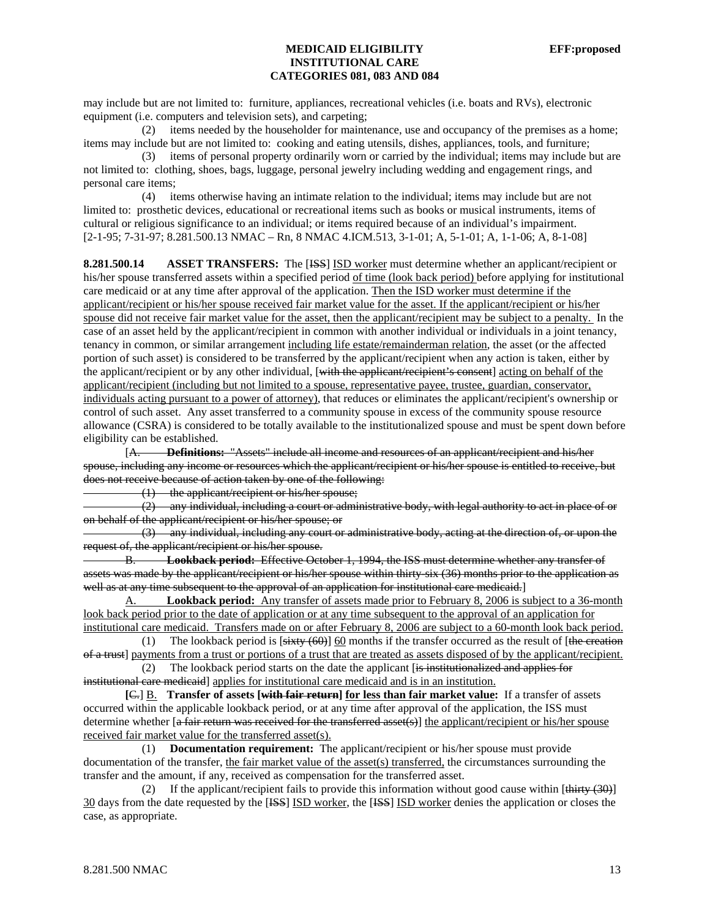may include but are not limited to: furniture, appliances, recreational vehicles (i.e. boats and RVs), electronic equipment (i.e. computers and television sets), and carpeting;

 (2) items needed by the householder for maintenance, use and occupancy of the premises as a home; items may include but are not limited to: cooking and eating utensils, dishes, appliances, tools, and furniture;

 (3) items of personal property ordinarily worn or carried by the individual; items may include but are not limited to: clothing, shoes, bags, luggage, personal jewelry including wedding and engagement rings, and personal care items;

 (4) items otherwise having an intimate relation to the individual; items may include but are not limited to: prosthetic devices, educational or recreational items such as books or musical instruments, items of cultural or religious significance to an individual; or items required because of an individual's impairment. [2-1-95; 7-31-97; 8.281.500.13 NMAC – Rn, 8 NMAC 4.ICM.513, 3-1-01; A, 5-1-01; A, 1-1-06; A, 8-1-08]

**8.281.500.14 ASSET TRANSFERS:** The [ISS] ISD worker must determine whether an applicant/recipient or his/her spouse transferred assets within a specified period of time (look back period) before applying for institutional care medicaid or at any time after approval of the application. Then the ISD worker must determine if the applicant/recipient or his/her spouse received fair market value for the asset. If the applicant/recipient or his/her spouse did not receive fair market value for the asset, then the applicant/recipient may be subject to a penalty. In the case of an asset held by the applicant/recipient in common with another individual or individuals in a joint tenancy, tenancy in common, or similar arrangement including life estate/remainderman relation, the asset (or the affected portion of such asset) is considered to be transferred by the applicant/recipient when any action is taken, either by the applicant/recipient or by any other individual, [with the applicant/recipient's consent] acting on behalf of the applicant/recipient (including but not limited to a spouse, representative payee, trustee, guardian, conservator, individuals acting pursuant to a power of attorney), that reduces or eliminates the applicant/recipient's ownership or control of such asset. Any asset transferred to a community spouse in excess of the community spouse resource allowance (CSRA) is considered to be totally available to the institutionalized spouse and must be spent down before eligibility can be established.

 [A. **Definitions:** "Assets" include all income and resources of an applicant/recipient and his/her spouse, including any income or resources which the applicant/recipient or his/her spouse is entitled to receive, but does not receive because of action taken by one of the following:

(1) the applicant/recipient or his/her spouse;

 (2) any individual, including a court or administrative body, with legal authority to act in place of or on behalf of the applicant/recipient or his/her spouse; or

 (3) any individual, including any court or administrative body, acting at the direction of, or upon the request of, the applicant/recipient or his/her spouse.

B. **Lookback period:** Effective October 1, 1994, the ISS must determine whether any transfer of assets was made by the applicant/recipient or his/her spouse within thirty-six (36) months prior to the application as well as at any time subsequent to the approval of an application for institutional care medicaid.

A. **Lookback period:** Any transfer of assets made prior to February 8, 2006 is subject to a 36-month look back period prior to the date of application or at any time subsequent to the approval of an application for institutional care medicaid. Transfers made on or after February 8, 2006 are subject to a 60-month look back period.

(1) The lookback period is  $[sixty (60)]$  60 months if the transfer occurred as the result of [the creation of a trust] payments from a trust or portions of a trust that are treated as assets disposed of by the applicant/recipient.

 (2) The lookback period starts on the date the applicant [is institutionalized and applies for institutional care medicaid] applies for institutional care medicaid and is in an institution.

 **[**C.] B. **Transfer of assets [with fair return] for less than fair market value:** If a transfer of assets occurred within the applicable lookback period, or at any time after approval of the application, the ISS must determine whether [a fair return was received for the transferred asset(s)] the applicant/recipient or his/her spouse received fair market value for the transferred asset(s).

 (1) **Documentation requirement:** The applicant/recipient or his/her spouse must provide documentation of the transfer, the fair market value of the asset(s) transferred, the circumstances surrounding the transfer and the amount, if any, received as compensation for the transferred asset.

(2) If the applicant/recipient fails to provide this information without good cause within  $[\frac{\text{thirty (30)}}{\text{thirty (30)}}]$ 30 days from the date requested by the [ISS] ISD worker, the [ISS] ISD worker denies the application or closes the case, as appropriate.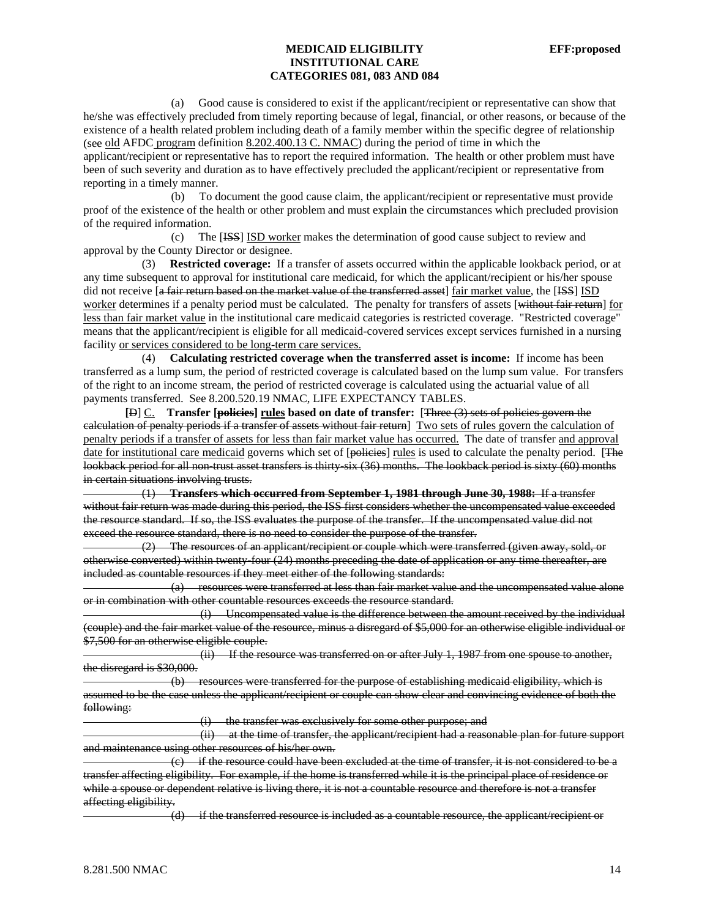(a) Good cause is considered to exist if the applicant/recipient or representative can show that he/she was effectively precluded from timely reporting because of legal, financial, or other reasons, or because of the existence of a health related problem including death of a family member within the specific degree of relationship (see old AFDC program definition 8.202.400.13 C. NMAC) during the period of time in which the applicant/recipient or representative has to report the required information. The health or other problem must have been of such severity and duration as to have effectively precluded the applicant/recipient or representative from reporting in a timely manner.

 (b) To document the good cause claim, the applicant/recipient or representative must provide proof of the existence of the health or other problem and must explain the circumstances which precluded provision of the required information.

 (c) The [ISS] ISD worker makes the determination of good cause subject to review and approval by the County Director or designee.

 (3) **Restricted coverage:** If a transfer of assets occurred within the applicable lookback period, or at any time subsequent to approval for institutional care medicaid, for which the applicant/recipient or his/her spouse did not receive [a fair return based on the market value of the transferred asset] fair market value, the [ISS] ISD worker determines if a penalty period must be calculated. The penalty for transfers of assets [without fair return] for less than fair market value in the institutional care medicaid categories is restricted coverage. "Restricted coverage" means that the applicant/recipient is eligible for all medicaid-covered services except services furnished in a nursing facility or services considered to be long-term care services.

 (4) **Calculating restricted coverage when the transferred asset is income:** If income has been transferred as a lump sum, the period of restricted coverage is calculated based on the lump sum value. For transfers of the right to an income stream, the period of restricted coverage is calculated using the actuarial value of all payments transferred. See 8.200.520.19 NMAC, LIFE EXPECTANCY TABLES.

 **[**D] C. **Transfer [policies] rules based on date of transfer:** [Three (3) sets of policies govern the calculation of penalty periods if a transfer of assets without fair return] Two sets of rules govern the calculation of penalty periods if a transfer of assets for less than fair market value has occurred. The date of transfer and approval date for institutional care medicaid governs which set of [policies] rules is used to calculate the penalty period. [The lookback period for all non-trust asset transfers is thirty-six (36) months. The lookback period is sixty (60) months in certain situations involving trusts.

 (1) **Transfers which occurred from September 1, 1981 through June 30, 1988:** If a transfer without fair return was made during this period, the ISS first considers whether the uncompensated value exceeded the resource standard. If so, the ISS evaluates the purpose of the transfer. If the uncompensated value did not exceed the resource standard, there is no need to consider the purpose of the transfer.

 (2) The resources of an applicant/recipient or couple which were transferred (given away, sold, or otherwise converted) within twenty-four (24) months preceding the date of application or any time thereafter, are included as countable resources if they meet either of the following standards:

 (a) resources were transferred at less than fair market value and the uncompensated value alone or in combination with other countable resources exceeds the resource standard.

 (i) Uncompensated value is the difference between the amount received by the individual (couple) and the fair market value of the resource, minus a disregard of \$5,000 for an otherwise eligible individual or \$7,500 for an otherwise eligible couple.

 (ii) If the resource was transferred on or after July 1, 1987 from one spouse to another, the disregard is \$30,000.

 (b) resources were transferred for the purpose of establishing medicaid eligibility, which is assumed to be the case unless the applicant/recipient or couple can show clear and convincing evidence of both the following:

(i) the transfer was exclusively for some other purpose; and

 (ii) at the time of transfer, the applicant/recipient had a reasonable plan for future support and maintenance using other resources of his/her own.

 (c) if the resource could have been excluded at the time of transfer, it is not considered to be a transfer affecting eligibility. For example, if the home is transferred while it is the principal place of residence or while a spouse or dependent relative is living there, it is not a countable resource and therefore is not a transfer affecting eligibility.

if the transferred resource is included as a countable resource, the applicant/recipient or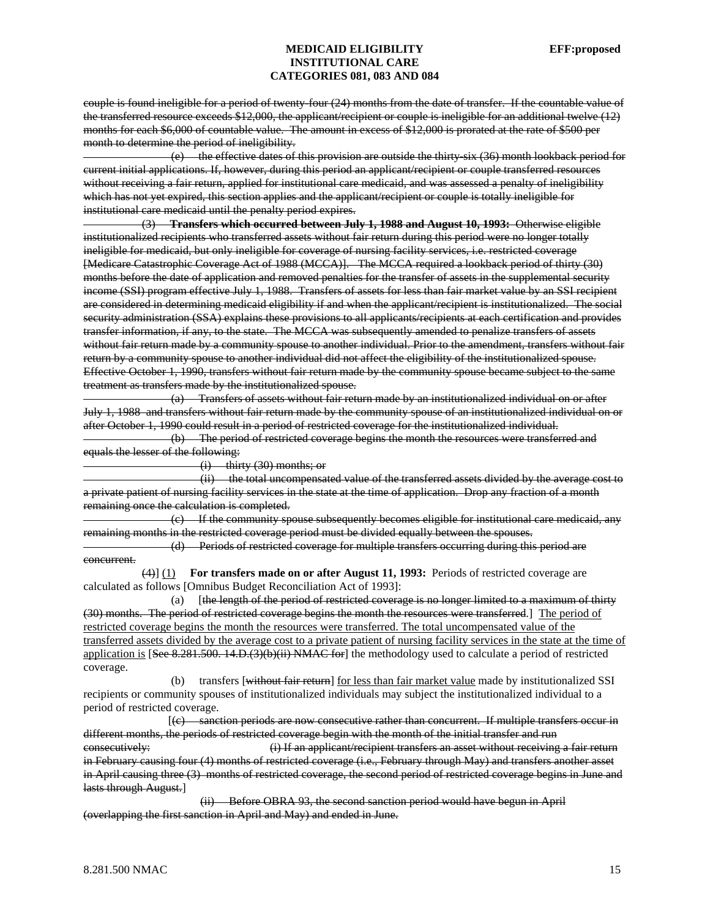couple is found ineligible for a period of twenty-four (24) months from the date of transfer. If the countable value of the transferred resource exceeds \$12,000, the applicant/recipient or couple is ineligible for an additional twelve (12) months for each \$6,000 of countable value. The amount in excess of \$12,000 is prorated at the rate of \$500 per month to determine the period of ineligibility.

 (e) the effective dates of this provision are outside the thirty-six (36) month lookback period for current initial applications. If, however, during this period an applicant/recipient or couple transferred resources without receiving a fair return, applied for institutional care medicaid, and was assessed a penalty of ineligibility which has not yet expired, this section applies and the applicant/recipient or couple is totally ineligible for institutional care medicaid until the penalty period expires.

 (3) **Transfers which occurred between July 1, 1988 and August 10, 1993:** Otherwise eligible institutionalized recipients who transferred assets without fair return during this period were no longer totally ineligible for medicaid, but only ineligible for coverage of nursing facility services, i.e. restricted coverage [Medicare Catastrophic Coverage Act of 1988 (MCCA)]. The MCCA required a lookback period of thirty (30) months before the date of application and removed penalties for the transfer of assets in the supplemental security income (SSI) program effective July 1, 1988. Transfers of assets for less than fair market value by an SSI recipient are considered in determining medicaid eligibility if and when the applicant/recipient is institutionalized. The social security administration (SSA) explains these provisions to all applicants/recipients at each certification and provides transfer information, if any, to the state. The MCCA was subsequently amended to penalize transfers of assets without fair return made by a community spouse to another individual. Prior to the amendment, transfers without fair return by a community spouse to another individual did not affect the eligibility of the institutionalized spouse. Effective October 1, 1990, transfers without fair return made by the community spouse became subject to the same treatment as transfers made by the institutionalized spouse.

 (a) Transfers of assets without fair return made by an institutionalized individual on or after July 1, 1988 and transfers without fair return made by the community spouse of an institutionalized individual on or after October 1, 1990 could result in a period of restricted coverage for the institutionalized individual.

 (b) The period of restricted coverage begins the month the resources were transferred and equals the lesser of the following:

(i) thirty (30) months; or

 (ii) the total uncompensated value of the transferred assets divided by the average cost to a private patient of nursing facility services in the state at the time of application. Drop any fraction of a month remaining once the calculation is completed.

 (c) If the community spouse subsequently becomes eligible for institutional care medicaid, any remaining months in the restricted coverage period must be divided equally between the spouses.

 (d) Periods of restricted coverage for multiple transfers occurring during this period are concurrent.

 (4)] (1) **For transfers made on or after August 11, 1993:** Periods of restricted coverage are calculated as follows [Omnibus Budget Reconciliation Act of 1993]:

 (a) [the length of the period of restricted coverage is no longer limited to a maximum of thirty (30) months. The period of restricted coverage begins the month the resources were transferred.] The period of restricted coverage begins the month the resources were transferred. The total uncompensated value of the transferred assets divided by the average cost to a private patient of nursing facility services in the state at the time of application is [See 8.281.500. 14.D.(3)(b)(ii) NMAC for] the methodology used to calculate a period of restricted coverage.

(b) transfers [without fair return] for less than fair market value made by institutionalized SSI recipients or community spouses of institutionalized individuals may subject the institutionalized individual to a period of restricted coverage.

 [(c) sanction periods are now consecutive rather than concurrent. If multiple transfers occur in different months, the periods of restricted coverage begin with the month of the initial transfer and run consecutively: (i) If an applicant/recipient transfers an asset without receiving a fair return in February causing four (4) months of restricted coverage (i.e., February through May) and transfers another asset in April causing three (3) months of restricted coverage, the second period of restricted coverage begins in June and lasts through August.]

 (ii) Before OBRA 93, the second sanction period would have begun in April (overlapping the first sanction in April and May) and ended in June.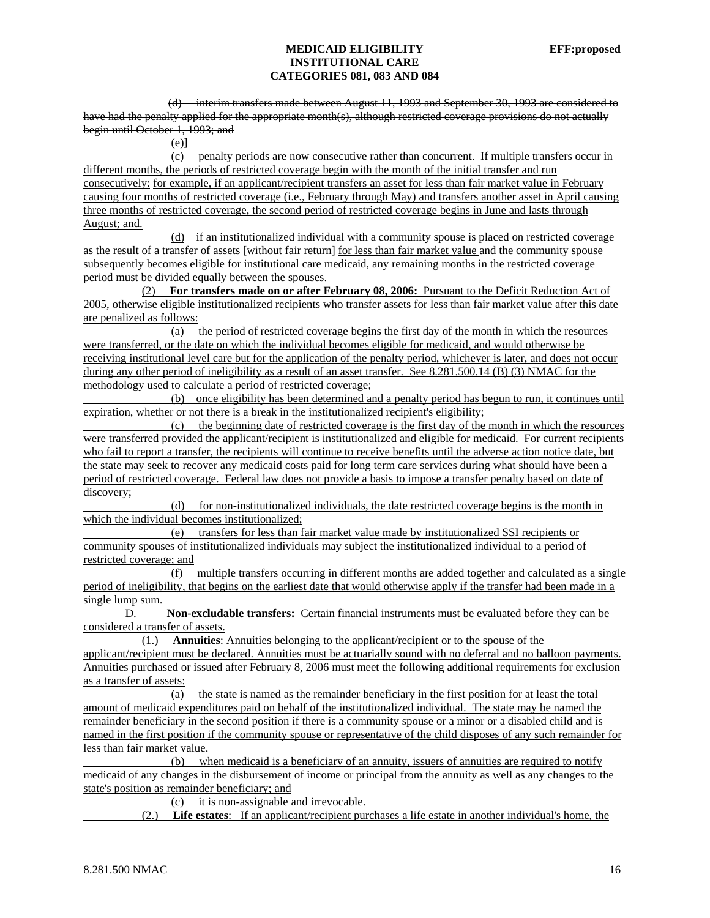(d) interim transfers made between August 11, 1993 and September 30, 1993 are considered to have had the penalty applied for the appropriate month(s), although restricted coverage provisions do not actually begin until October 1, 1993; and

 $(e)$ ]

 (c) penalty periods are now consecutive rather than concurrent. If multiple transfers occur in different months, the periods of restricted coverage begin with the month of the initial transfer and run consecutively: for example, if an applicant/recipient transfers an asset for less than fair market value in February causing four months of restricted coverage (i.e., February through May) and transfers another asset in April causing three months of restricted coverage, the second period of restricted coverage begins in June and lasts through August; and.

 (d) if an institutionalized individual with a community spouse is placed on restricted coverage as the result of a transfer of assets [without fair return] for less than fair market value and the community spouse subsequently becomes eligible for institutional care medicaid, any remaining months in the restricted coverage period must be divided equally between the spouses.

 (2) **For transfers made on or after February 08, 2006:** Pursuant to the Deficit Reduction Act of 2005, otherwise eligible institutionalized recipients who transfer assets for less than fair market value after this date are penalized as follows:

 (a) the period of restricted coverage begins the first day of the month in which the resources were transferred, or the date on which the individual becomes eligible for medicaid, and would otherwise be receiving institutional level care but for the application of the penalty period, whichever is later, and does not occur during any other period of ineligibility as a result of an asset transfer. See 8.281.500.14 (B) (3) NMAC for the methodology used to calculate a period of restricted coverage;

 (b) once eligibility has been determined and a penalty period has begun to run, it continues until expiration, whether or not there is a break in the institutionalized recipient's eligibility;

 (c) the beginning date of restricted coverage is the first day of the month in which the resources were transferred provided the applicant/recipient is institutionalized and eligible for medicaid. For current recipients who fail to report a transfer, the recipients will continue to receive benefits until the adverse action notice date, but the state may seek to recover any medicaid costs paid for long term care services during what should have been a period of restricted coverage. Federal law does not provide a basis to impose a transfer penalty based on date of discovery;

 (d) for non-institutionalized individuals, the date restricted coverage begins is the month in which the individual becomes institutionalized;

 (e) transfers for less than fair market value made by institutionalized SSI recipients or community spouses of institutionalized individuals may subject the institutionalized individual to a period of restricted coverage; and

 (f) multiple transfers occurring in different months are added together and calculated as a single period of ineligibility, that begins on the earliest date that would otherwise apply if the transfer had been made in a single lump sum.

 D. **Non-excludable transfers:** Certain financial instruments must be evaluated before they can be considered a transfer of assets.

 (1.) **Annuities**: Annuities belonging to the applicant/recipient or to the spouse of the applicant/recipient must be declared. Annuities must be actuarially sound with no deferral and no balloon payments. Annuities purchased or issued after February 8, 2006 must meet the following additional requirements for exclusion as a transfer of assets:

 (a) the state is named as the remainder beneficiary in the first position for at least the total amount of medicaid expenditures paid on behalf of the institutionalized individual. The state may be named the remainder beneficiary in the second position if there is a community spouse or a minor or a disabled child and is named in the first position if the community spouse or representative of the child disposes of any such remainder for less than fair market value.

 (b) when medicaid is a beneficiary of an annuity, issuers of annuities are required to notify medicaid of any changes in the disbursement of income or principal from the annuity as well as any changes to the state's position as remainder beneficiary; and

(c) it is non-assignable and irrevocable.

(2.) **Life estates**: If an applicant/recipient purchases a life estate in another individual's home, the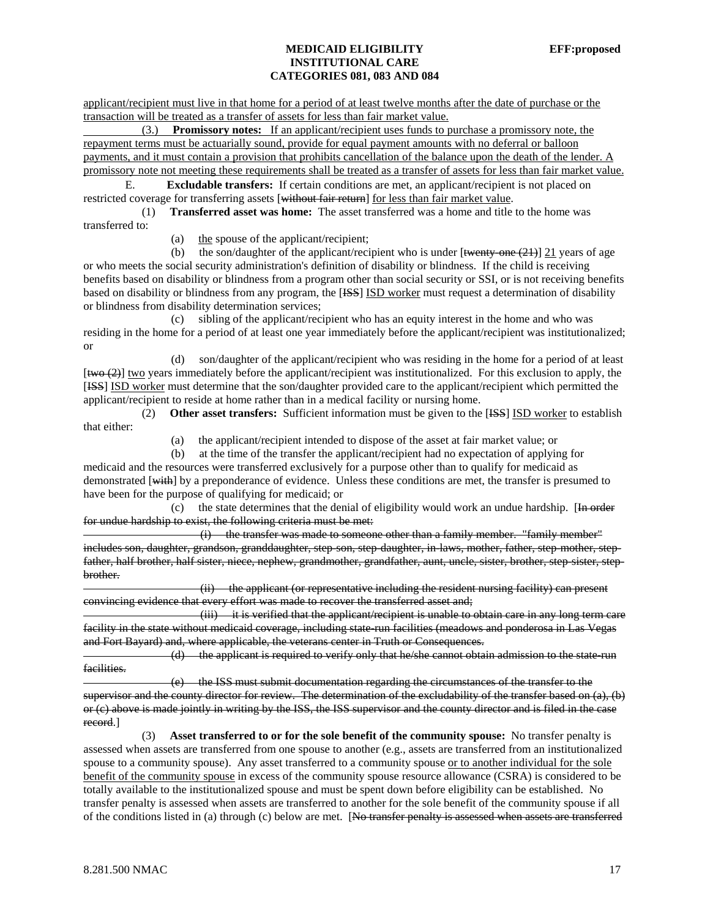applicant/recipient must live in that home for a period of at least twelve months after the date of purchase or the transaction will be treated as a transfer of assets for less than fair market value.

 (3.) **Promissory notes:** If an applicant/recipient uses funds to purchase a promissory note, the repayment terms must be actuarially sound, provide for equal payment amounts with no deferral or balloon payments, and it must contain a provision that prohibits cancellation of the balance upon the death of the lender. A promissory note not meeting these requirements shall be treated as a transfer of assets for less than fair market value.

 E. **Excludable transfers:** If certain conditions are met, an applicant/recipient is not placed on restricted coverage for transferring assets [without fair return] for less than fair market value.

 (1) **Transferred asset was home:** The asset transferred was a home and title to the home was transferred to:

(a) the spouse of the applicant/recipient;

(b) the son/daughter of the applicant/recipient who is under  $[\frac{t_{\text{wently one}}(21)]}{21}$  years of age or who meets the social security administration's definition of disability or blindness. If the child is receiving benefits based on disability or blindness from a program other than social security or SSI, or is not receiving benefits based on disability or blindness from any program, the [ISS] ISD worker must request a determination of disability or blindness from disability determination services;

 (c) sibling of the applicant/recipient who has an equity interest in the home and who was residing in the home for a period of at least one year immediately before the applicant/recipient was institutionalized; or

 (d) son/daughter of the applicant/recipient who was residing in the home for a period of at least  $[tw<sub>0</sub>(2)]$  two years immediately before the applicant/recipient was institutionalized. For this exclusion to apply, the [ISS] ISD worker must determine that the son/daughter provided care to the applicant/recipient which permitted the applicant/recipient to reside at home rather than in a medical facility or nursing home.

 (2) **Other asset transfers:** Sufficient information must be given to the [ISS] ISD worker to establish that either:

(a) the applicant/recipient intended to dispose of the asset at fair market value; or

(b) at the time of the transfer the applicant/recipient had no expectation of applying for

medicaid and the resources were transferred exclusively for a purpose other than to qualify for medicaid as demonstrated [with] by a preponderance of evidence. Unless these conditions are met, the transfer is presumed to have been for the purpose of qualifying for medicaid; or

(c) the state determines that the denial of eligibility would work an undue hardship.  $[$ In order for undue hardship to exist, the following criteria must be met:

 (i) the transfer was made to someone other than a family member. "family member" includes son, daughter, grandson, granddaughter, step-son, step-daughter, in-laws, mother, father, step-mother, stepfather, half brother, half sister, niece, nephew, grandmother, grandfather, aunt, uncle, sister, brother, step-sister, stepbrother.

 (ii) the applicant (or representative including the resident nursing facility) can present convincing evidence that every effort was made to recover the transferred asset and;

 (iii) it is verified that the applicant/recipient is unable to obtain care in any long term care facility in the state without medicaid coverage, including state run facilities (meadows and ponderosa in Las Vegas and Fort Bayard) and, where applicable, the veterans center in Truth or Consequences.

 (d) the applicant is required to verify only that he/she cannot obtain admission to the state-run facilities.

 (e) the ISS must submit documentation regarding the circumstances of the transfer to the supervisor and the county director for review. The determination of the excludability of the transfer based on (a), (b) or (c) above is made jointly in writing by the ISS, the ISS supervisor and the county director and is filed in the case record.]

 (3) **Asset transferred to or for the sole benefit of the community spouse:** No transfer penalty is assessed when assets are transferred from one spouse to another (e.g., assets are transferred from an institutionalized spouse to a community spouse). Any asset transferred to a community spouse or to another individual for the sole benefit of the community spouse in excess of the community spouse resource allowance (CSRA) is considered to be totally available to the institutionalized spouse and must be spent down before eligibility can be established. No transfer penalty is assessed when assets are transferred to another for the sole benefit of the community spouse if all of the conditions listed in (a) through (c) below are met. [No transfer penalty is assessed when assets are transferred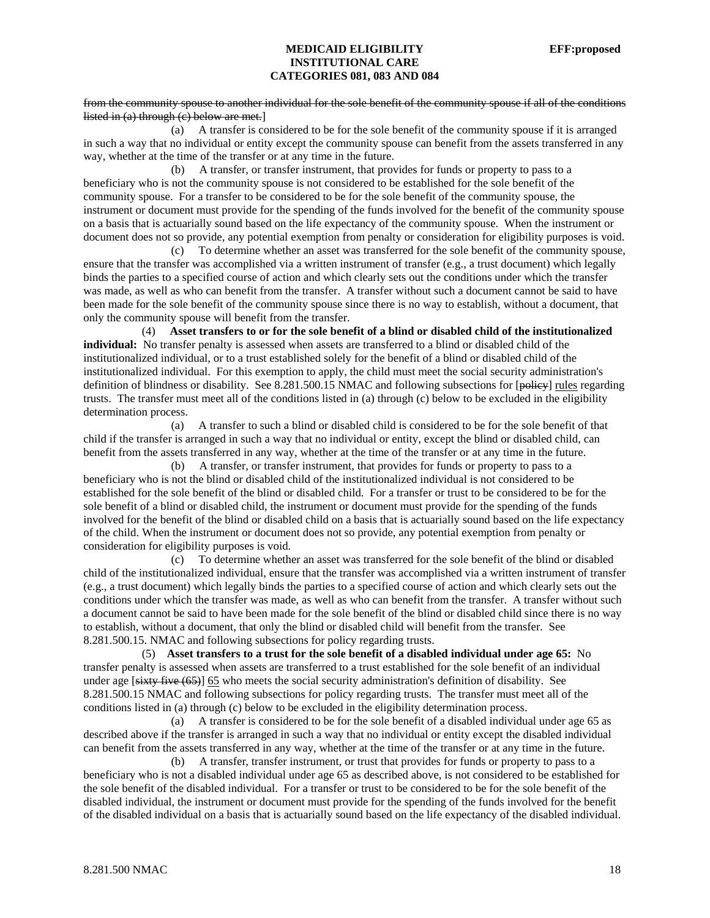#### from the community spouse to another individual for the sole benefit of the community spouse if all of the conditions listed in (a) through (c) below are met.]

 (a) A transfer is considered to be for the sole benefit of the community spouse if it is arranged in such a way that no individual or entity except the community spouse can benefit from the assets transferred in any way, whether at the time of the transfer or at any time in the future.

 (b) A transfer, or transfer instrument, that provides for funds or property to pass to a beneficiary who is not the community spouse is not considered to be established for the sole benefit of the community spouse. For a transfer to be considered to be for the sole benefit of the community spouse, the instrument or document must provide for the spending of the funds involved for the benefit of the community spouse on a basis that is actuarially sound based on the life expectancy of the community spouse. When the instrument or document does not so provide, any potential exemption from penalty or consideration for eligibility purposes is void.

 (c) To determine whether an asset was transferred for the sole benefit of the community spouse, ensure that the transfer was accomplished via a written instrument of transfer (e.g., a trust document) which legally binds the parties to a specified course of action and which clearly sets out the conditions under which the transfer was made, as well as who can benefit from the transfer. A transfer without such a document cannot be said to have been made for the sole benefit of the community spouse since there is no way to establish, without a document, that only the community spouse will benefit from the transfer.

 (4) **Asset transfers to or for the sole benefit of a blind or disabled child of the institutionalized individual:** No transfer penalty is assessed when assets are transferred to a blind or disabled child of the institutionalized individual, or to a trust established solely for the benefit of a blind or disabled child of the institutionalized individual. For this exemption to apply, the child must meet the social security administration's definition of blindness or disability. See 8.281.500.15 NMAC and following subsections for [policy] rules regarding trusts. The transfer must meet all of the conditions listed in (a) through (c) below to be excluded in the eligibility determination process.

 (a) A transfer to such a blind or disabled child is considered to be for the sole benefit of that child if the transfer is arranged in such a way that no individual or entity, except the blind or disabled child, can benefit from the assets transferred in any way, whether at the time of the transfer or at any time in the future.

 (b) A transfer, or transfer instrument, that provides for funds or property to pass to a beneficiary who is not the blind or disabled child of the institutionalized individual is not considered to be established for the sole benefit of the blind or disabled child. For a transfer or trust to be considered to be for the sole benefit of a blind or disabled child, the instrument or document must provide for the spending of the funds involved for the benefit of the blind or disabled child on a basis that is actuarially sound based on the life expectancy of the child. When the instrument or document does not so provide, any potential exemption from penalty or consideration for eligibility purposes is void.

 (c) To determine whether an asset was transferred for the sole benefit of the blind or disabled child of the institutionalized individual, ensure that the transfer was accomplished via a written instrument of transfer (e.g., a trust document) which legally binds the parties to a specified course of action and which clearly sets out the conditions under which the transfer was made, as well as who can benefit from the transfer. A transfer without such a document cannot be said to have been made for the sole benefit of the blind or disabled child since there is no way to establish, without a document, that only the blind or disabled child will benefit from the transfer. See 8.281.500.15. NMAC and following subsections for policy regarding trusts.

 (5) **Asset transfers to a trust for the sole benefit of a disabled individual under age 65:** No transfer penalty is assessed when assets are transferred to a trust established for the sole benefit of an individual under age [sixty five (65)] 65 who meets the social security administration's definition of disability. See 8.281.500.15 NMAC and following subsections for policy regarding trusts. The transfer must meet all of the conditions listed in (a) through (c) below to be excluded in the eligibility determination process.

 (a) A transfer is considered to be for the sole benefit of a disabled individual under age 65 as described above if the transfer is arranged in such a way that no individual or entity except the disabled individual can benefit from the assets transferred in any way, whether at the time of the transfer or at any time in the future.

 (b) A transfer, transfer instrument, or trust that provides for funds or property to pass to a beneficiary who is not a disabled individual under age 65 as described above, is not considered to be established for the sole benefit of the disabled individual. For a transfer or trust to be considered to be for the sole benefit of the disabled individual, the instrument or document must provide for the spending of the funds involved for the benefit of the disabled individual on a basis that is actuarially sound based on the life expectancy of the disabled individual.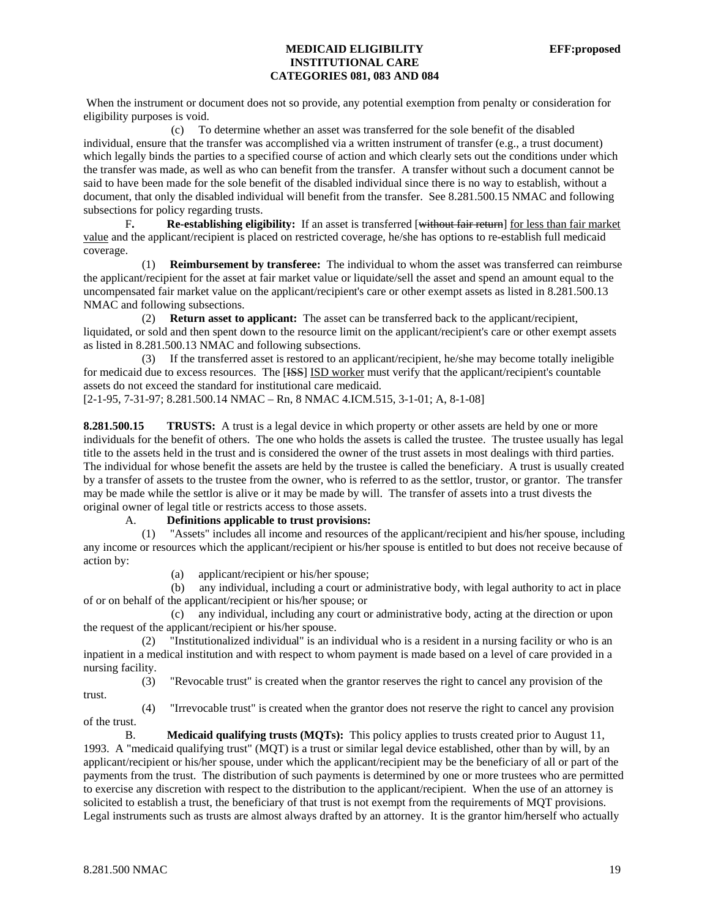When the instrument or document does not so provide, any potential exemption from penalty or consideration for eligibility purposes is void.

 (c) To determine whether an asset was transferred for the sole benefit of the disabled individual, ensure that the transfer was accomplished via a written instrument of transfer (e.g., a trust document) which legally binds the parties to a specified course of action and which clearly sets out the conditions under which the transfer was made, as well as who can benefit from the transfer. A transfer without such a document cannot be said to have been made for the sole benefit of the disabled individual since there is no way to establish, without a document, that only the disabled individual will benefit from the transfer. See 8.281.500.15 NMAC and following subsections for policy regarding trusts.

 F**. Re-establishing eligibility:** If an asset is transferred [without fair return] for less than fair market value and the applicant/recipient is placed on restricted coverage, he/she has options to re-establish full medicaid coverage.

 (1) **Reimbursement by transferee:** The individual to whom the asset was transferred can reimburse the applicant/recipient for the asset at fair market value or liquidate/sell the asset and spend an amount equal to the uncompensated fair market value on the applicant/recipient's care or other exempt assets as listed in 8.281.500.13 NMAC and following subsections.

 (2) **Return asset to applicant:** The asset can be transferred back to the applicant/recipient, liquidated, or sold and then spent down to the resource limit on the applicant/recipient's care or other exempt assets as listed in 8.281.500.13 NMAC and following subsections.

 (3) If the transferred asset is restored to an applicant/recipient, he/she may become totally ineligible for medicaid due to excess resources. The [ISS] ISD worker must verify that the applicant/recipient's countable assets do not exceed the standard for institutional care medicaid.

[2-1-95, 7-31-97; 8.281.500.14 NMAC – Rn, 8 NMAC 4.ICM.515, 3-1-01; A, 8-1-08]

**8.281.500.15** TRUSTS: A trust is a legal device in which property or other assets are held by one or more individuals for the benefit of others. The one who holds the assets is called the trustee. The trustee usually has legal title to the assets held in the trust and is considered the owner of the trust assets in most dealings with third parties. The individual for whose benefit the assets are held by the trustee is called the beneficiary. A trust is usually created by a transfer of assets to the trustee from the owner, who is referred to as the settlor, trustor, or grantor. The transfer may be made while the settlor is alive or it may be made by will. The transfer of assets into a trust divests the original owner of legal title or restricts access to those assets.

### A. **Definitions applicable to trust provisions:**

 (1) "Assets" includes all income and resources of the applicant/recipient and his/her spouse, including any income or resources which the applicant/recipient or his/her spouse is entitled to but does not receive because of action by:

(a) applicant/recipient or his/her spouse;

 (b) any individual, including a court or administrative body, with legal authority to act in place of or on behalf of the applicant/recipient or his/her spouse; or

 (c) any individual, including any court or administrative body, acting at the direction or upon the request of the applicant/recipient or his/her spouse.

 (2) "Institutionalized individual" is an individual who is a resident in a nursing facility or who is an inpatient in a medical institution and with respect to whom payment is made based on a level of care provided in a nursing facility.

 (3) "Revocable trust" is created when the grantor reserves the right to cancel any provision of the trust.

 (4) "Irrevocable trust" is created when the grantor does not reserve the right to cancel any provision of the trust.

B. **Medicaid qualifying trusts (MQTs):** This policy applies to trusts created prior to August 11, 1993. A "medicaid qualifying trust" (MQT) is a trust or similar legal device established, other than by will, by an applicant/recipient or his/her spouse, under which the applicant/recipient may be the beneficiary of all or part of the payments from the trust. The distribution of such payments is determined by one or more trustees who are permitted to exercise any discretion with respect to the distribution to the applicant/recipient. When the use of an attorney is solicited to establish a trust, the beneficiary of that trust is not exempt from the requirements of MQT provisions. Legal instruments such as trusts are almost always drafted by an attorney. It is the grantor him/herself who actually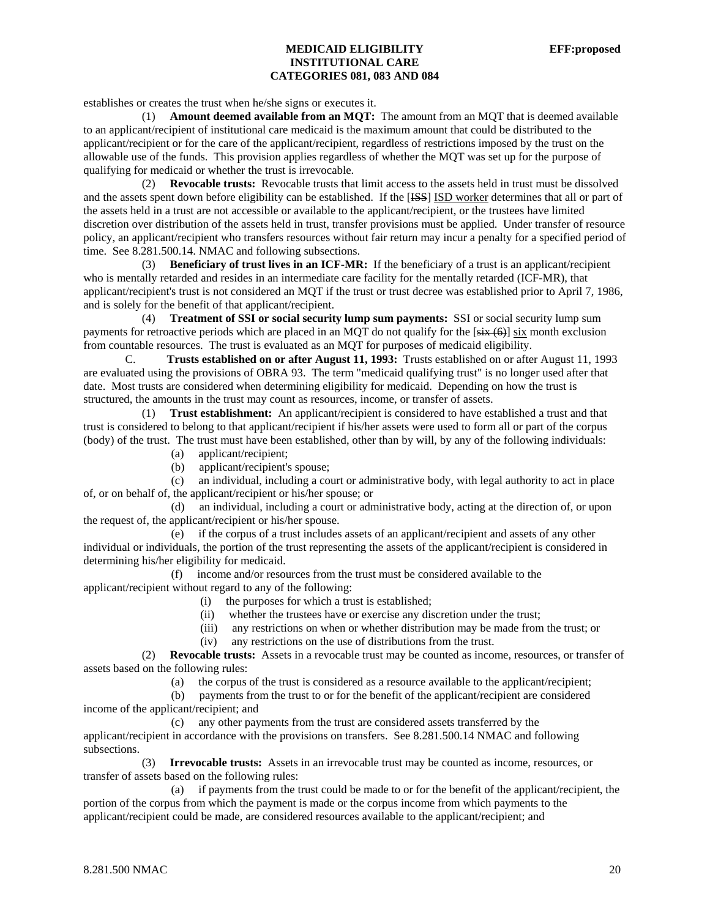establishes or creates the trust when he/she signs or executes it.

 (1) **Amount deemed available from an MQT:** The amount from an MQT that is deemed available to an applicant/recipient of institutional care medicaid is the maximum amount that could be distributed to the applicant/recipient or for the care of the applicant/recipient, regardless of restrictions imposed by the trust on the allowable use of the funds. This provision applies regardless of whether the MQT was set up for the purpose of qualifying for medicaid or whether the trust is irrevocable.

 (2) **Revocable trusts:** Revocable trusts that limit access to the assets held in trust must be dissolved and the assets spent down before eligibility can be established. If the [<del>ISS</del>] ISD worker determines that all or part of the assets held in a trust are not accessible or available to the applicant/recipient, or the trustees have limited discretion over distribution of the assets held in trust, transfer provisions must be applied. Under transfer of resource policy, an applicant/recipient who transfers resources without fair return may incur a penalty for a specified period of time. See 8.281.500.14. NMAC and following subsections.

 (3) **Beneficiary of trust lives in an ICF-MR:** If the beneficiary of a trust is an applicant/recipient who is mentally retarded and resides in an intermediate care facility for the mentally retarded (ICF-MR), that applicant/recipient's trust is not considered an MQT if the trust or trust decree was established prior to April 7, 1986, and is solely for the benefit of that applicant/recipient.

 (4) **Treatment of SSI or social security lump sum payments:** SSI or social security lump sum payments for retroactive periods which are placed in an MQT do not qualify for the  $[s\ddot{x} + (6)]$  six month exclusion from countable resources. The trust is evaluated as an MQT for purposes of medicaid eligibility.

C. **Trusts established on or after August 11, 1993:** Trusts established on or after August 11, 1993 are evaluated using the provisions of OBRA 93. The term "medicaid qualifying trust" is no longer used after that date. Most trusts are considered when determining eligibility for medicaid. Depending on how the trust is structured, the amounts in the trust may count as resources, income, or transfer of assets.

 (1) **Trust establishment:** An applicant/recipient is considered to have established a trust and that trust is considered to belong to that applicant/recipient if his/her assets were used to form all or part of the corpus (body) of the trust. The trust must have been established, other than by will, by any of the following individuals:<br>(a) applicant/recipient:

- applicant/recipient;
- (b) applicant/recipient's spouse;

 (c) an individual, including a court or administrative body, with legal authority to act in place of, or on behalf of, the applicant/recipient or his/her spouse; or

 (d) an individual, including a court or administrative body, acting at the direction of, or upon the request of, the applicant/recipient or his/her spouse.

 (e) if the corpus of a trust includes assets of an applicant/recipient and assets of any other individual or individuals, the portion of the trust representing the assets of the applicant/recipient is considered in determining his/her eligibility for medicaid.

 (f) income and/or resources from the trust must be considered available to the applicant/recipient without regard to any of the following:

- (i) the purposes for which a trust is established;
- (ii) whether the trustees have or exercise any discretion under the trust;
- (iii) any restrictions on when or whether distribution may be made from the trust; or
- (iv) any restrictions on the use of distributions from the trust.

 (2) **Revocable trusts:** Assets in a revocable trust may be counted as income, resources, or transfer of assets based on the following rules:

(a) the corpus of the trust is considered as a resource available to the applicant/recipient;

(b) payments from the trust to or for the benefit of the applicant/recipient are considered

income of the applicant/recipient; and

(c) any other payments from the trust are considered assets transferred by the

applicant/recipient in accordance with the provisions on transfers. See 8.281.500.14 NMAC and following subsections.

 (3) **Irrevocable trusts:** Assets in an irrevocable trust may be counted as income, resources, or transfer of assets based on the following rules:

 (a) if payments from the trust could be made to or for the benefit of the applicant/recipient, the portion of the corpus from which the payment is made or the corpus income from which payments to the applicant/recipient could be made, are considered resources available to the applicant/recipient; and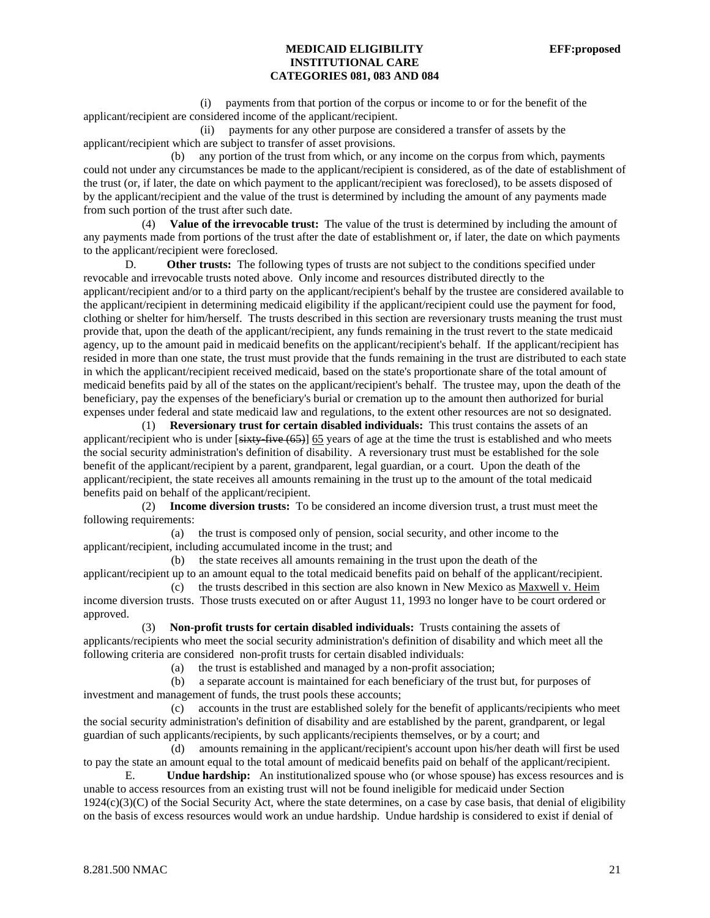(i) payments from that portion of the corpus or income to or for the benefit of the applicant/recipient are considered income of the applicant/recipient.

 (ii) payments for any other purpose are considered a transfer of assets by the applicant/recipient which are subject to transfer of asset provisions.

 (b) any portion of the trust from which, or any income on the corpus from which, payments could not under any circumstances be made to the applicant/recipient is considered, as of the date of establishment of the trust (or, if later, the date on which payment to the applicant/recipient was foreclosed), to be assets disposed of by the applicant/recipient and the value of the trust is determined by including the amount of any payments made from such portion of the trust after such date.

 (4) **Value of the irrevocable trust:** The value of the trust is determined by including the amount of any payments made from portions of the trust after the date of establishment or, if later, the date on which payments to the applicant/recipient were foreclosed.

D. Other trusts: The following types of trusts are not subject to the conditions specified under revocable and irrevocable trusts noted above. Only income and resources distributed directly to the applicant/recipient and/or to a third party on the applicant/recipient's behalf by the trustee are considered available to the applicant/recipient in determining medicaid eligibility if the applicant/recipient could use the payment for food, clothing or shelter for him/herself. The trusts described in this section are reversionary trusts meaning the trust must provide that, upon the death of the applicant/recipient, any funds remaining in the trust revert to the state medicaid agency, up to the amount paid in medicaid benefits on the applicant/recipient's behalf. If the applicant/recipient has resided in more than one state, the trust must provide that the funds remaining in the trust are distributed to each state in which the applicant/recipient received medicaid, based on the state's proportionate share of the total amount of medicaid benefits paid by all of the states on the applicant/recipient's behalf. The trustee may, upon the death of the beneficiary, pay the expenses of the beneficiary's burial or cremation up to the amount then authorized for burial expenses under federal and state medicaid law and regulations, to the extent other resources are not so designated.

 (1) **Reversionary trust for certain disabled individuals:** This trust contains the assets of an applicant/recipient who is under [sixty-five (65)] 65 years of age at the time the trust is established and who meets the social security administration's definition of disability. A reversionary trust must be established for the sole benefit of the applicant/recipient by a parent, grandparent, legal guardian, or a court. Upon the death of the applicant/recipient, the state receives all amounts remaining in the trust up to the amount of the total medicaid benefits paid on behalf of the applicant/recipient.

 (2) **Income diversion trusts:** To be considered an income diversion trust, a trust must meet the following requirements:

 (a) the trust is composed only of pension, social security, and other income to the applicant/recipient, including accumulated income in the trust; and

 (b) the state receives all amounts remaining in the trust upon the death of the applicant/recipient up to an amount equal to the total medicaid benefits paid on behalf of the applicant/recipient. (c) the trusts described in this section are also known in New Mexico as Maxwell v. Heim

income diversion trusts. Those trusts executed on or after August 11, 1993 no longer have to be court ordered or approved.

 (3) **Non-profit trusts for certain disabled individuals:** Trusts containing the assets of applicants/recipients who meet the social security administration's definition of disability and which meet all the following criteria are considered non-profit trusts for certain disabled individuals:

(a) the trust is established and managed by a non-profit association;

 (b) a separate account is maintained for each beneficiary of the trust but, for purposes of investment and management of funds, the trust pools these accounts;

 (c) accounts in the trust are established solely for the benefit of applicants/recipients who meet the social security administration's definition of disability and are established by the parent, grandparent, or legal guardian of such applicants/recipients, by such applicants/recipients themselves, or by a court; and

 (d) amounts remaining in the applicant/recipient's account upon his/her death will first be used to pay the state an amount equal to the total amount of medicaid benefits paid on behalf of the applicant/recipient.

E. **Undue hardship:** An institutionalized spouse who (or whose spouse) has excess resources and is unable to access resources from an existing trust will not be found ineligible for medicaid under Section  $1924(c)(3)(C)$  of the Social Security Act, where the state determines, on a case by case basis, that denial of eligibility on the basis of excess resources would work an undue hardship. Undue hardship is considered to exist if denial of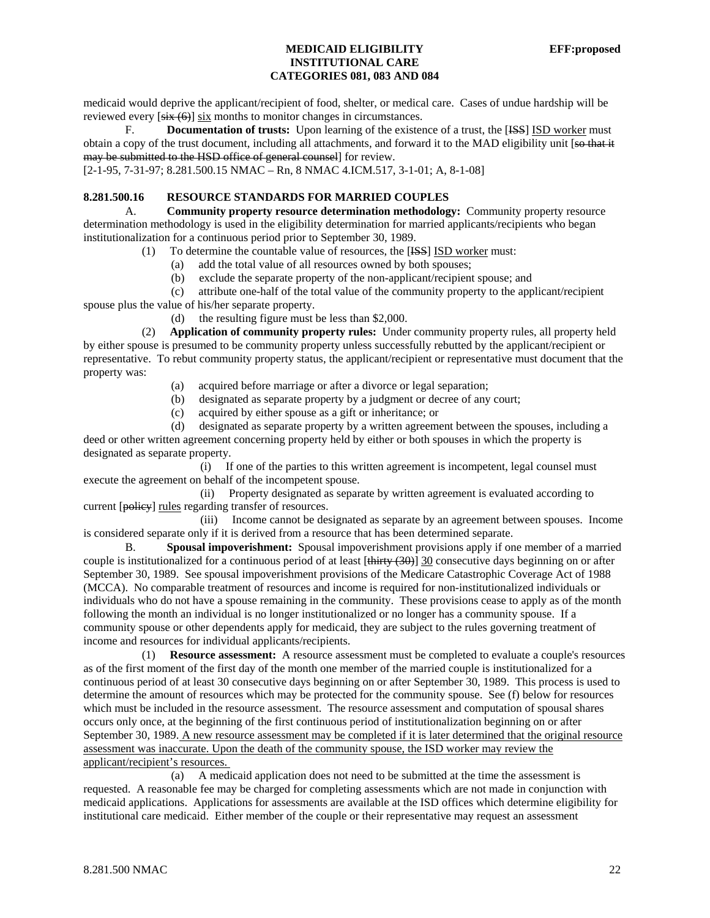medicaid would deprive the applicant/recipient of food, shelter, or medical care. Cases of undue hardship will be reviewed every  $[s\ddot{x}(\theta)]$  six months to monitor changes in circumstances.

F. **Documentation of trusts:** Upon learning of the existence of a trust, the [<del>ISS</del>] ISD worker must obtain a copy of the trust document, including all attachments, and forward it to the MAD eligibility unit [so that it may be submitted to the HSD office of general counsel] for review.

[2-1-95, 7-31-97; 8.281.500.15 NMAC – Rn, 8 NMAC 4.ICM.517, 3-1-01; A, 8-1-08]

# **8.281.500.16 RESOURCE STANDARDS FOR MARRIED COUPLES**

A. **Community property resource determination methodology:** Community property resource determination methodology is used in the eligibility determination for married applicants/recipients who began institutionalization for a continuous period prior to September 30, 1989.

(1) To determine the countable value of resources, the [ISS] ISD worker must:

- (a) add the total value of all resources owned by both spouses;
- (b) exclude the separate property of the non-applicant/recipient spouse; and

 (c) attribute one-half of the total value of the community property to the applicant/recipient spouse plus the value of his/her separate property.

(d) the resulting figure must be less than \$2,000.

 (2) **Application of community property rules:** Under community property rules, all property held by either spouse is presumed to be community property unless successfully rebutted by the applicant/recipient or representative. To rebut community property status, the applicant/recipient or representative must document that the property was:

- (a) acquired before marriage or after a divorce or legal separation;
- (b) designated as separate property by a judgment or decree of any court;
- (c) acquired by either spouse as a gift or inheritance; or

 (d) designated as separate property by a written agreement between the spouses, including a deed or other written agreement concerning property held by either or both spouses in which the property is designated as separate property.

 (i) If one of the parties to this written agreement is incompetent, legal counsel must execute the agreement on behalf of the incompetent spouse.

 (ii) Property designated as separate by written agreement is evaluated according to current [policy] rules regarding transfer of resources.

 (iii) Income cannot be designated as separate by an agreement between spouses. Income is considered separate only if it is derived from a resource that has been determined separate.

B. **Spousal impoverishment:** Spousal impoverishment provisions apply if one member of a married couple is institutionalized for a continuous period of at least [thirty (30)] 30 consecutive days beginning on or after September 30, 1989. See spousal impoverishment provisions of the Medicare Catastrophic Coverage Act of 1988 (MCCA). No comparable treatment of resources and income is required for non-institutionalized individuals or individuals who do not have a spouse remaining in the community. These provisions cease to apply as of the month following the month an individual is no longer institutionalized or no longer has a community spouse. If a community spouse or other dependents apply for medicaid, they are subject to the rules governing treatment of income and resources for individual applicants/recipients.

 (1) **Resource assessment:** A resource assessment must be completed to evaluate a couple's resources as of the first moment of the first day of the month one member of the married couple is institutionalized for a continuous period of at least 30 consecutive days beginning on or after September 30, 1989. This process is used to determine the amount of resources which may be protected for the community spouse. See (f) below for resources which must be included in the resource assessment. The resource assessment and computation of spousal shares occurs only once, at the beginning of the first continuous period of institutionalization beginning on or after September 30, 1989. A new resource assessment may be completed if it is later determined that the original resource assessment was inaccurate. Upon the death of the community spouse, the ISD worker may review the applicant/recipient's resources.

 (a) A medicaid application does not need to be submitted at the time the assessment is requested. A reasonable fee may be charged for completing assessments which are not made in conjunction with medicaid applications. Applications for assessments are available at the ISD offices which determine eligibility for institutional care medicaid. Either member of the couple or their representative may request an assessment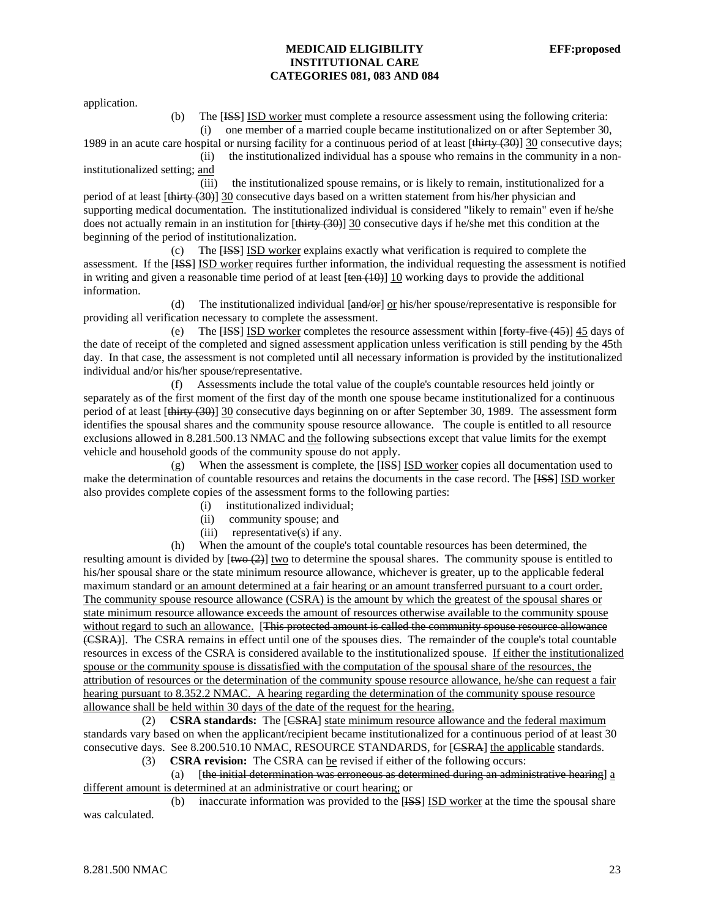application.

 (b) The [ISS] ISD worker must complete a resource assessment using the following criteria: (i) one member of a married couple became institutionalized on or after September 30,

1989 in an acute care hospital or nursing facility for a continuous period of at least  $[\frac{\text{thirty (30)}}{30}$  consecutive days; (ii) the institutionalized individual has a spouse who remains in the community in a noninstitutionalized setting; and

 (iii) the institutionalized spouse remains, or is likely to remain, institutionalized for a period of at least [thirty (30)] 30 consecutive days based on a written statement from his/her physician and supporting medical documentation. The institutionalized individual is considered "likely to remain" even if he/she does not actually remain in an institution for [thirty (30)] 30 consecutive days if he/she met this condition at the beginning of the period of institutionalization.

 (c) The [ISS] ISD worker explains exactly what verification is required to complete the assessment. If the [ISS] ISD worker requires further information, the individual requesting the assessment is notified in writing and given a reasonable time period of at least  $[\tan (10)]$  10 working days to provide the additional information.

 (d) The institutionalized individual [and/or] or his/her spouse/representative is responsible for providing all verification necessary to complete the assessment.

(e) The [HSS] ISD worker completes the resource assessment within  $[$  forty-five (45)] 45 days of the date of receipt of the completed and signed assessment application unless verification is still pending by the 45th day. In that case, the assessment is not completed until all necessary information is provided by the institutionalized individual and/or his/her spouse/representative.

 (f) Assessments include the total value of the couple's countable resources held jointly or separately as of the first moment of the first day of the month one spouse became institutionalized for a continuous period of at least [thirty (30)] 30 consecutive days beginning on or after September 30, 1989. The assessment form identifies the spousal shares and the community spouse resource allowance. The couple is entitled to all resource exclusions allowed in 8.281.500.13 NMAC and the following subsections except that value limits for the exempt vehicle and household goods of the community spouse do not apply.

 (g) When the assessment is complete, the [ISS] ISD worker copies all documentation used to make the determination of countable resources and retains the documents in the case record. The [ISS] ISD worker also provides complete copies of the assessment forms to the following parties:

- (i) institutionalized individual;
- (ii) community spouse; and
- (iii) representative(s) if any.

 (h) When the amount of the couple's total countable resources has been determined, the resulting amount is divided by  $[\overline{two (2)}]$  two to determine the spousal shares. The community spouse is entitled to his/her spousal share or the state minimum resource allowance, whichever is greater, up to the applicable federal maximum standard or an amount determined at a fair hearing or an amount transferred pursuant to a court order. The community spouse resource allowance (CSRA) is the amount by which the greatest of the spousal shares or state minimum resource allowance exceeds the amount of resources otherwise available to the community spouse without regard to such an allowance. [This protected amount is called the community spouse resource allowance (CSRA)]. The CSRA remains in effect until one of the spouses dies. The remainder of the couple's total countable resources in excess of the CSRA is considered available to the institutionalized spouse. If either the institutionalized spouse or the community spouse is dissatisfied with the computation of the spousal share of the resources, the attribution of resources or the determination of the community spouse resource allowance, he/she can request a fair hearing pursuant to 8.352.2 NMAC. A hearing regarding the determination of the community spouse resource allowance shall be held within 30 days of the date of the request for the hearing.

 (2) **CSRA standards:** The [CSRA] state minimum resource allowance and the federal maximum standards vary based on when the applicant/recipient became institutionalized for a continuous period of at least 30 consecutive days. See 8.200.510.10 NMAC, RESOURCE STANDARDS, for [<del>CSRA</del>] the applicable standards.

(3) **CSRA revision:** The CSRA can be revised if either of the following occurs:

(a)  $\int$  [the initial determination was erroneous as determined during an administrative hearing] a different amount is determined at an administrative or court hearing; or

 (b) inaccurate information was provided to the [ISS] ISD worker at the time the spousal share was calculated.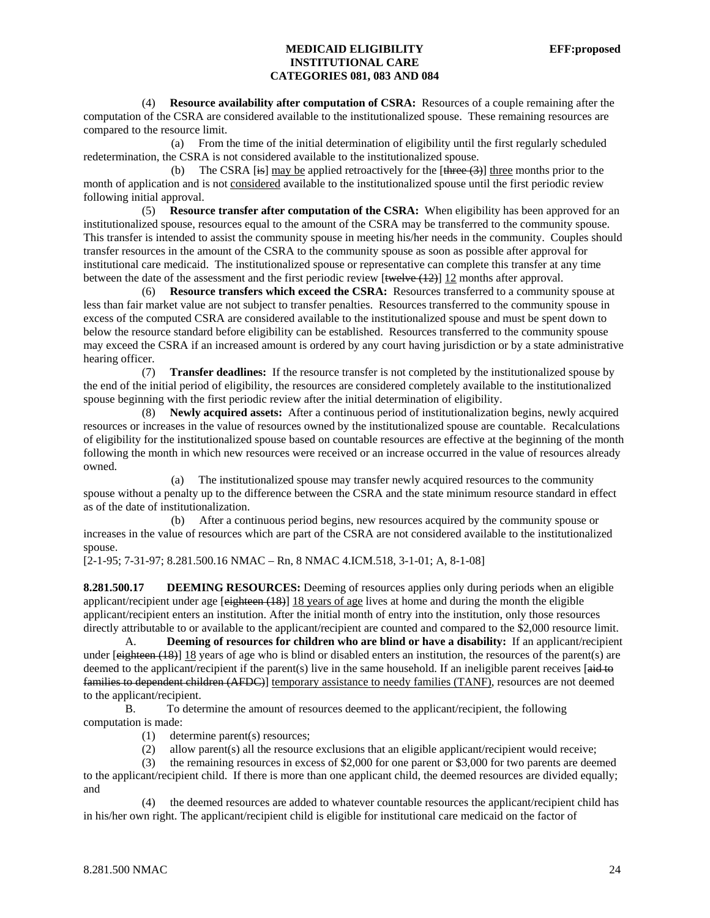(4) **Resource availability after computation of CSRA:** Resources of a couple remaining after the computation of the CSRA are considered available to the institutionalized spouse. These remaining resources are compared to the resource limit.

 (a) From the time of the initial determination of eligibility until the first regularly scheduled redetermination, the CSRA is not considered available to the institutionalized spouse.

(b) The CSRA [is] may be applied retroactively for the  $[\frac{4 \text{hree}(3)]}{\text{hree}}]$  three months prior to the month of application and is not considered available to the institutionalized spouse until the first periodic review following initial approval.

 (5) **Resource transfer after computation of the CSRA:** When eligibility has been approved for an institutionalized spouse, resources equal to the amount of the CSRA may be transferred to the community spouse. This transfer is intended to assist the community spouse in meeting his/her needs in the community. Couples should transfer resources in the amount of the CSRA to the community spouse as soon as possible after approval for institutional care medicaid. The institutionalized spouse or representative can complete this transfer at any time between the date of the assessment and the first periodic review  $[\text{twelve} (12)]$  12 months after approval.

 (6) **Resource transfers which exceed the CSRA:** Resources transferred to a community spouse at less than fair market value are not subject to transfer penalties. Resources transferred to the community spouse in excess of the computed CSRA are considered available to the institutionalized spouse and must be spent down to below the resource standard before eligibility can be established. Resources transferred to the community spouse may exceed the CSRA if an increased amount is ordered by any court having jurisdiction or by a state administrative hearing officer.

 (7) **Transfer deadlines:** If the resource transfer is not completed by the institutionalized spouse by the end of the initial period of eligibility, the resources are considered completely available to the institutionalized spouse beginning with the first periodic review after the initial determination of eligibility.

 (8) **Newly acquired assets:** After a continuous period of institutionalization begins, newly acquired resources or increases in the value of resources owned by the institutionalized spouse are countable. Recalculations of eligibility for the institutionalized spouse based on countable resources are effective at the beginning of the month following the month in which new resources were received or an increase occurred in the value of resources already owned.

 (a) The institutionalized spouse may transfer newly acquired resources to the community spouse without a penalty up to the difference between the CSRA and the state minimum resource standard in effect as of the date of institutionalization.

 (b) After a continuous period begins, new resources acquired by the community spouse or increases in the value of resources which are part of the CSRA are not considered available to the institutionalized spouse.

[2-1-95; 7-31-97; 8.281.500.16 NMAC – Rn, 8 NMAC 4.ICM.518, 3-1-01; A, 8-1-08]

**8.281.500.17 DEEMING RESOURCES:** Deeming of resources applies only during periods when an eligible applicant/recipient under age  $[$ eighteen  $(18)$ ] 18 years of age lives at home and during the month the eligible applicant/recipient enters an institution. After the initial month of entry into the institution, only those resources directly attributable to or available to the applicant/recipient are counted and compared to the \$2,000 resource limit.

 A. **Deeming of resources for children who are blind or have a disability:** If an applicant/recipient under  $[$ eighteen (18)] 18 years of age who is blind or disabled enters an institution, the resources of the parent(s) are deemed to the applicant/recipient if the parent(s) live in the same household. If an ineligible parent receives [aid to families to dependent children (AFDC)] temporary assistance to needy families (TANF), resources are not deemed to the applicant/recipient.

 B. To determine the amount of resources deemed to the applicant/recipient, the following computation is made:

- (1) determine parent(s) resources;
- (2) allow parent(s) all the resource exclusions that an eligible applicant/recipient would receive;

 (3) the remaining resources in excess of \$2,000 for one parent or \$3,000 for two parents are deemed to the applicant/recipient child. If there is more than one applicant child, the deemed resources are divided equally; and

 (4) the deemed resources are added to whatever countable resources the applicant/recipient child has in his/her own right. The applicant/recipient child is eligible for institutional care medicaid on the factor of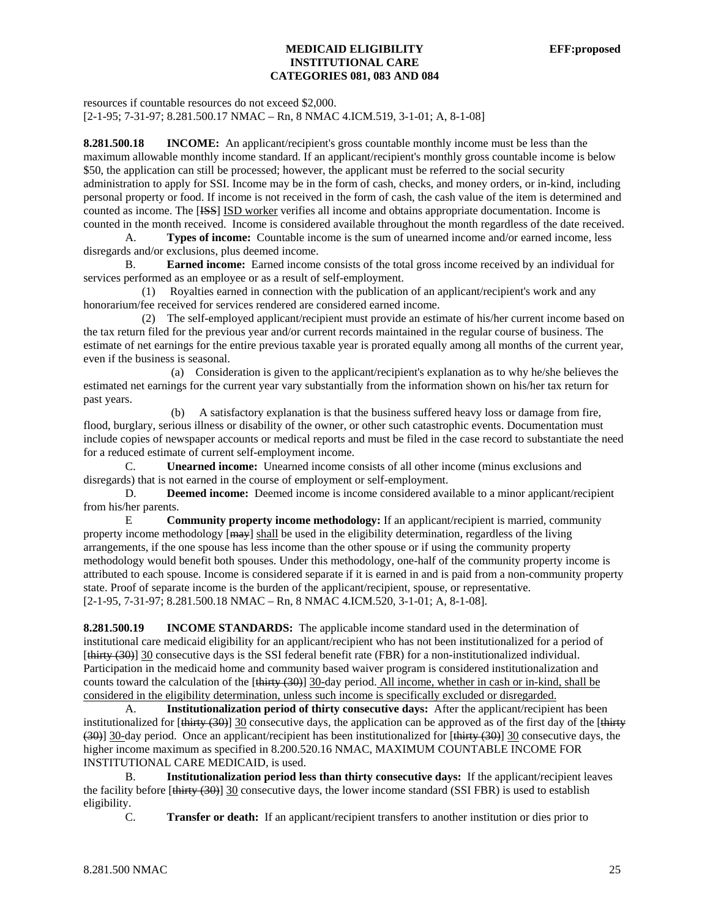resources if countable resources do not exceed \$2,000. [2-1-95; 7-31-97; 8.281.500.17 NMAC – Rn, 8 NMAC 4.ICM.519, 3-1-01; A, 8-1-08]

**8.281.500.18 INCOME:** An applicant/recipient's gross countable monthly income must be less than the maximum allowable monthly income standard. If an applicant/recipient's monthly gross countable income is below \$50, the application can still be processed; however, the applicant must be referred to the social security administration to apply for SSI. Income may be in the form of cash, checks, and money orders, or in-kind, including personal property or food. If income is not received in the form of cash, the cash value of the item is determined and counted as income. The [ISS] ISD worker verifies all income and obtains appropriate documentation. Income is counted in the month received. Income is considered available throughout the month regardless of the date received.

 A. **Types of income:** Countable income is the sum of unearned income and/or earned income, less disregards and/or exclusions, plus deemed income.

 B. **Earned income:** Earned income consists of the total gross income received by an individual for services performed as an employee or as a result of self-employment.

 (1) Royalties earned in connection with the publication of an applicant/recipient's work and any honorarium/fee received for services rendered are considered earned income.

 (2) The self-employed applicant/recipient must provide an estimate of his/her current income based on the tax return filed for the previous year and/or current records maintained in the regular course of business. The estimate of net earnings for the entire previous taxable year is prorated equally among all months of the current year, even if the business is seasonal.

 (a) Consideration is given to the applicant/recipient's explanation as to why he/she believes the estimated net earnings for the current year vary substantially from the information shown on his/her tax return for past years.

 (b) A satisfactory explanation is that the business suffered heavy loss or damage from fire, flood, burglary, serious illness or disability of the owner, or other such catastrophic events. Documentation must include copies of newspaper accounts or medical reports and must be filed in the case record to substantiate the need for a reduced estimate of current self-employment income.

C. **Unearned income:** Unearned income consists of all other income (minus exclusions and disregards) that is not earned in the course of employment or self-employment.

 D. **Deemed income:** Deemed income is income considered available to a minor applicant/recipient from his/her parents.

 E **Community property income methodology:** If an applicant/recipient is married, community property income methodology [ $\text{max}$ ] shall be used in the eligibility determination, regardless of the living arrangements, if the one spouse has less income than the other spouse or if using the community property methodology would benefit both spouses. Under this methodology, one-half of the community property income is attributed to each spouse. Income is considered separate if it is earned in and is paid from a non-community property state. Proof of separate income is the burden of the applicant/recipient, spouse, or representative. [2-1-95, 7-31-97; 8.281.500.18 NMAC – Rn, 8 NMAC 4.ICM.520, 3-1-01; A, 8-1-08].

**8.281.500.19 INCOME STANDARDS:** The applicable income standard used in the determination of institutional care medicaid eligibility for an applicant/recipient who has not been institutionalized for a period of [thirty (30)] 30 consecutive days is the SSI federal benefit rate (FBR) for a non-institutionalized individual. Participation in the medicaid home and community based waiver program is considered institutionalization and counts toward the calculation of the [thirty (30)] 30-day period. All income, whether in cash or in-kind, shall be considered in the eligibility determination, unless such income is specifically excluded or disregarded.

 A. **Institutionalization period of thirty consecutive days:** After the applicant/recipient has been institutionalized for  $[\frac{\text{thirty}}{30}]$  30 consecutive days, the application can be approved as of the first day of the  $[\frac{\text{thirty}}{30}]$ (30)] 30-day period. Once an applicant/recipient has been institutionalized for [thirty (30)] 30 consecutive days, the higher income maximum as specified in 8.200.520.16 NMAC, MAXIMUM COUNTABLE INCOME FOR INSTITUTIONAL CARE MEDICAID, is used.

 B. **Institutionalization period less than thirty consecutive days:** If the applicant/recipient leaves the facility before [thirty (30)] 30 consecutive days, the lower income standard (SSI FBR) is used to establish eligibility.

C. **Transfer or death:** If an applicant/recipient transfers to another institution or dies prior to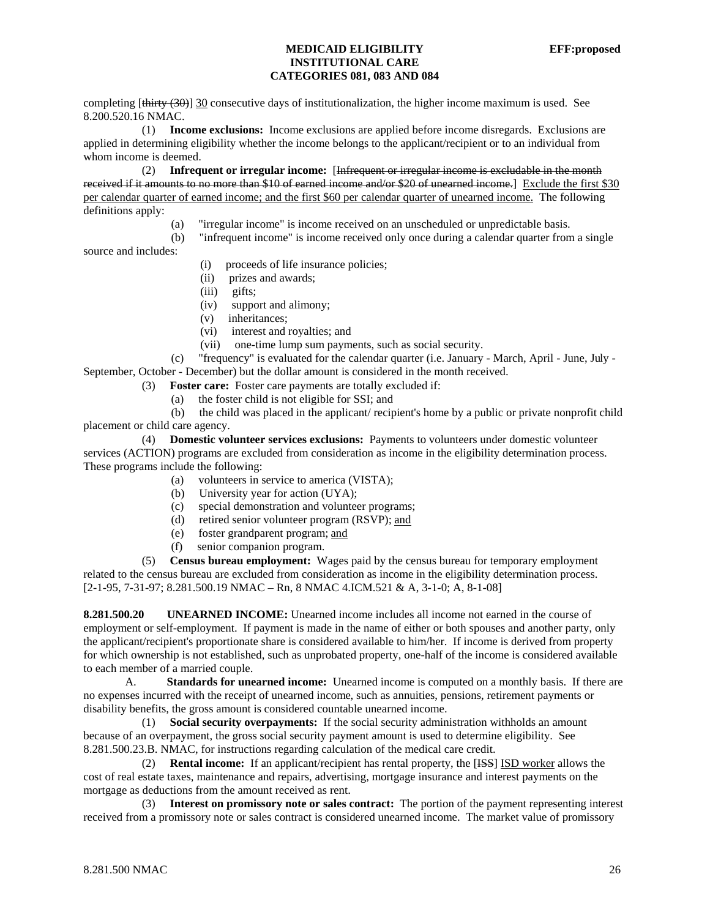completing [thirty (30)] 30 consecutive days of institutionalization, the higher income maximum is used. See 8.200.520.16 NMAC.

 (1) **Income exclusions:** Income exclusions are applied before income disregards. Exclusions are applied in determining eligibility whether the income belongs to the applicant/recipient or to an individual from whom income is deemed.

 (2) **Infrequent or irregular income:** [Infrequent or irregular income is excludable in the month received if it amounts to no more than \$10 of earned income and/or \$20 of unearned income.] Exclude the first \$30 per calendar quarter of earned income; and the first \$60 per calendar quarter of unearned income. The following definitions apply:

- (a) "irregular income" is income received on an unscheduled or unpredictable basis.
- (b) "infrequent income" is income received only once during a calendar quarter from a single

source and includes:

- (i) proceeds of life insurance policies;
- (ii) prizes and awards;
- (iii) gifts;
- (iv) support and alimony;
- (v) inheritances;
- (vi) interest and royalties; and
- (vii) one-time lump sum payments, such as social security.

 (c) "frequency" is evaluated for the calendar quarter (i.e. January - March, April - June, July - September, October - December) but the dollar amount is considered in the month received.

(3) **Foster care:** Foster care payments are totally excluded if:

(a) the foster child is not eligible for SSI; and

 (b) the child was placed in the applicant/ recipient's home by a public or private nonprofit child placement or child care agency.

 (4) **Domestic volunteer services exclusions:** Payments to volunteers under domestic volunteer services (ACTION) programs are excluded from consideration as income in the eligibility determination process. These programs include the following:

- (a) volunteers in service to america (VISTA);
- (b) University year for action (UYA);
- (c) special demonstration and volunteer programs;
- (d) retired senior volunteer program (RSVP); and
- (e) foster grandparent program; and
- (f) senior companion program.

 (5) **Census bureau employment:** Wages paid by the census bureau for temporary employment related to the census bureau are excluded from consideration as income in the eligibility determination process. [2-1-95, 7-31-97; 8.281.500.19 NMAC – Rn, 8 NMAC 4.ICM.521 & A, 3-1-0; A, 8-1-08]

**8.281.500.20 UNEARNED INCOME:** Unearned income includes all income not earned in the course of employment or self-employment. If payment is made in the name of either or both spouses and another party, only the applicant/recipient's proportionate share is considered available to him/her. If income is derived from property for which ownership is not established, such as unprobated property, one-half of the income is considered available to each member of a married couple.

A. **Standards for unearned income:** Unearned income is computed on a monthly basis. If there are no expenses incurred with the receipt of unearned income, such as annuities, pensions, retirement payments or disability benefits, the gross amount is considered countable unearned income.

 (1) **Social security overpayments:** If the social security administration withholds an amount because of an overpayment, the gross social security payment amount is used to determine eligibility. See 8.281.500.23.B. NMAC, for instructions regarding calculation of the medical care credit.

 (2) **Rental income:** If an applicant/recipient has rental property, the [ISS] ISD worker allows the cost of real estate taxes, maintenance and repairs, advertising, mortgage insurance and interest payments on the mortgage as deductions from the amount received as rent.

 (3) **Interest on promissory note or sales contract:** The portion of the payment representing interest received from a promissory note or sales contract is considered unearned income. The market value of promissory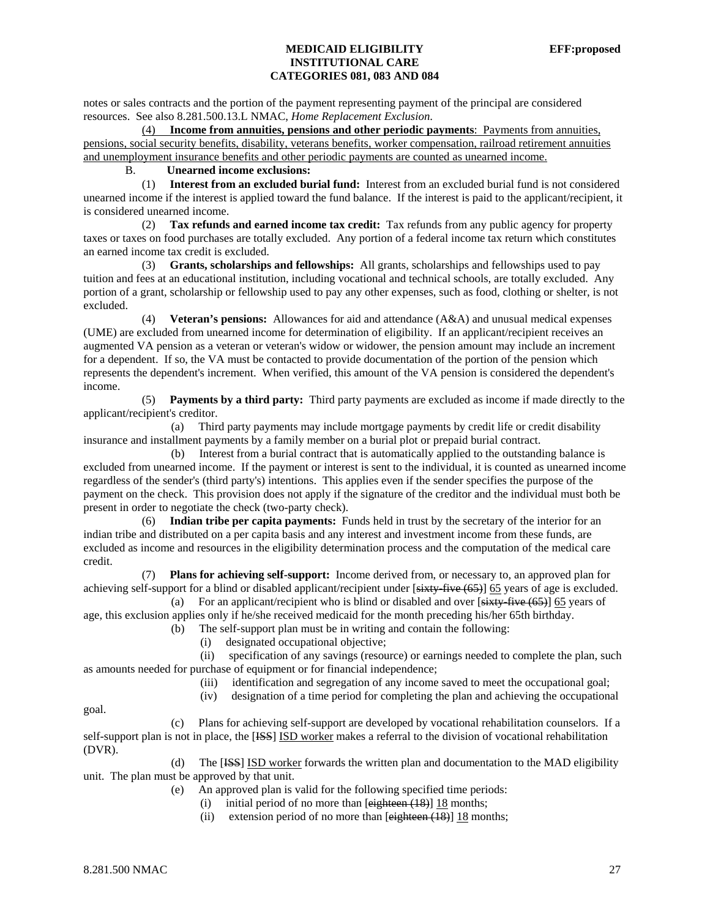notes or sales contracts and the portion of the payment representing payment of the principal are considered resources. See also 8.281.500.13.L NMAC, *Home Replacement Exclusion*.

 (4) **Income from annuities, pensions and other periodic payments**: Payments from annuities, pensions, social security benefits, disability, veterans benefits, worker compensation, railroad retirement annuities and unemployment insurance benefits and other periodic payments are counted as unearned income.

# B. **Unearned income exclusions:**

 (1) **Interest from an excluded burial fund:** Interest from an excluded burial fund is not considered unearned income if the interest is applied toward the fund balance. If the interest is paid to the applicant/recipient, it is considered unearned income.

 (2) **Tax refunds and earned income tax credit:** Tax refunds from any public agency for property taxes or taxes on food purchases are totally excluded. Any portion of a federal income tax return which constitutes an earned income tax credit is excluded.

 (3) **Grants, scholarships and fellowships:** All grants, scholarships and fellowships used to pay tuition and fees at an educational institution, including vocational and technical schools, are totally excluded. Any portion of a grant, scholarship or fellowship used to pay any other expenses, such as food, clothing or shelter, is not excluded.

 (4) **Veteran's pensions:** Allowances for aid and attendance (A&A) and unusual medical expenses (UME) are excluded from unearned income for determination of eligibility. If an applicant/recipient receives an augmented VA pension as a veteran or veteran's widow or widower, the pension amount may include an increment for a dependent. If so, the VA must be contacted to provide documentation of the portion of the pension which represents the dependent's increment. When verified, this amount of the VA pension is considered the dependent's income.

 (5) **Payments by a third party:** Third party payments are excluded as income if made directly to the applicant/recipient's creditor.

 (a) Third party payments may include mortgage payments by credit life or credit disability insurance and installment payments by a family member on a burial plot or prepaid burial contract.

 (b) Interest from a burial contract that is automatically applied to the outstanding balance is excluded from unearned income. If the payment or interest is sent to the individual, it is counted as unearned income regardless of the sender's (third party's) intentions. This applies even if the sender specifies the purpose of the payment on the check. This provision does not apply if the signature of the creditor and the individual must both be present in order to negotiate the check (two-party check).

 (6) **Indian tribe per capita payments:** Funds held in trust by the secretary of the interior for an indian tribe and distributed on a per capita basis and any interest and investment income from these funds, are excluded as income and resources in the eligibility determination process and the computation of the medical care credit.

 (7) **Plans for achieving self-support:** Income derived from, or necessary to, an approved plan for achieving self-support for a blind or disabled applicant/recipient under [sixty-five (65)] 65 years of age is excluded.

(a) For an applicant/recipient who is blind or disabled and over  $[sixty\times 65]$  65 years of age, this exclusion applies only if he/she received medicaid for the month preceding his/her 65th birthday.

- (b) The self-support plan must be in writing and contain the following:
	- (i) designated occupational objective;

 (ii) specification of any savings (resource) or earnings needed to complete the plan, such as amounts needed for purchase of equipment or for financial independence;

- (iii) identification and segregation of any income saved to meet the occupational goal;
- (iv) designation of a time period for completing the plan and achieving the occupational

goal.

 (c) Plans for achieving self-support are developed by vocational rehabilitation counselors. If a self-support plan is not in place, the [ISS] ISD worker makes a referral to the division of vocational rehabilitation (DVR).

 (d) The [ISS] ISD worker forwards the written plan and documentation to the MAD eligibility unit. The plan must be approved by that unit.

(e) An approved plan is valid for the following specified time periods:

- (i) initial period of no more than  $[$ eighteen  $(18)$ ]  $18$  months;
- (ii) extension period of no more than  $[e^{i\theta} + (18)]$  18 months;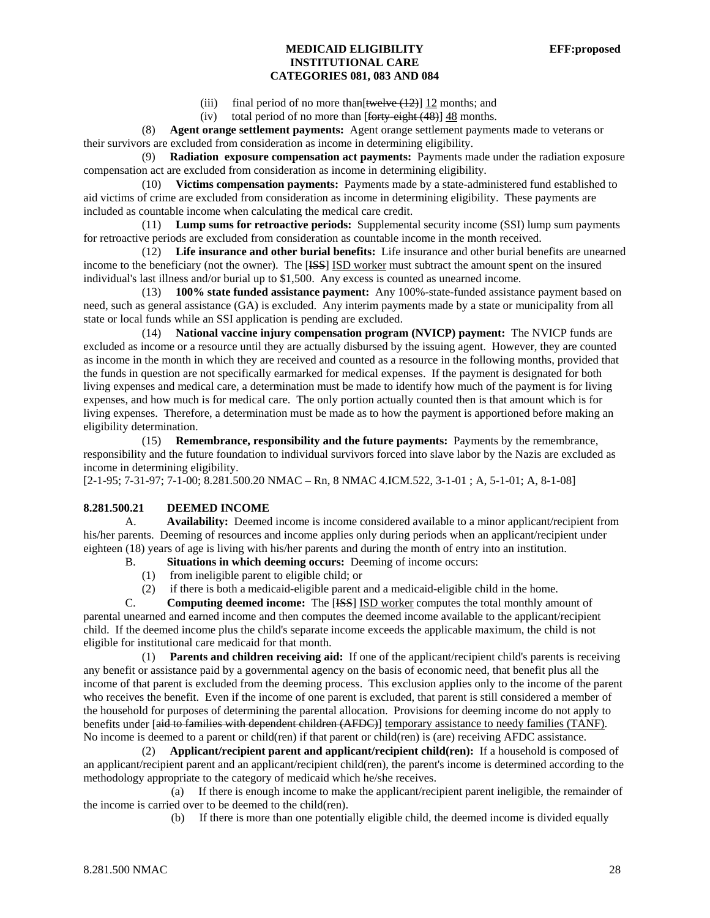- (iii) final period of no more than  $[$ twelve  $(12)$ ] 12 months; and
- (iv) total period of no more than  $[$ forty-eight  $(48)$ ] 48 months.

 (8) **Agent orange settlement payments:** Agent orange settlement payments made to veterans or their survivors are excluded from consideration as income in determining eligibility.

 (9) **Radiation exposure compensation act payments:** Payments made under the radiation exposure compensation act are excluded from consideration as income in determining eligibility.

 (10) **Victims compensation payments:** Payments made by a state-administered fund established to aid victims of crime are excluded from consideration as income in determining eligibility. These payments are included as countable income when calculating the medical care credit.

 (11) **Lump sums for retroactive periods:** Supplemental security income (SSI) lump sum payments for retroactive periods are excluded from consideration as countable income in the month received.

 (12) **Life insurance and other burial benefits:** Life insurance and other burial benefits are unearned income to the beneficiary (not the owner). The [ISS] ISD worker must subtract the amount spent on the insured individual's last illness and/or burial up to \$1,500. Any excess is counted as unearned income.

 (13) **100% state funded assistance payment:** Any 100%-state-funded assistance payment based on need, such as general assistance (GA) is excluded. Any interim payments made by a state or municipality from all state or local funds while an SSI application is pending are excluded.

 (14) **National vaccine injury compensation program (NVICP) payment:** The NVICP funds are excluded as income or a resource until they are actually disbursed by the issuing agent. However, they are counted as income in the month in which they are received and counted as a resource in the following months, provided that the funds in question are not specifically earmarked for medical expenses. If the payment is designated for both living expenses and medical care, a determination must be made to identify how much of the payment is for living expenses, and how much is for medical care. The only portion actually counted then is that amount which is for living expenses. Therefore, a determination must be made as to how the payment is apportioned before making an eligibility determination.

 (15) **Remembrance, responsibility and the future payments:** Payments by the remembrance, responsibility and the future foundation to individual survivors forced into slave labor by the Nazis are excluded as income in determining eligibility.

[2-1-95; 7-31-97; 7-1-00; 8.281.500.20 NMAC – Rn, 8 NMAC 4.ICM.522, 3-1-01 ; A, 5-1-01; A, 8-1-08]

### **8.281.500.21 DEEMED INCOME**

A. **Availability:** Deemed income is income considered available to a minor applicant/recipient from his/her parents. Deeming of resources and income applies only during periods when an applicant/recipient under eighteen (18) years of age is living with his/her parents and during the month of entry into an institution.

- B. **Situations in which deeming occurs:** Deeming of income occurs:
	- (1) from ineligible parent to eligible child; or
	- (2) if there is both a medicaid-eligible parent and a medicaid-eligible child in the home.

C. **Computing deemed income:** The [ISS] ISD worker computes the total monthly amount of parental unearned and earned income and then computes the deemed income available to the applicant/recipient child. If the deemed income plus the child's separate income exceeds the applicable maximum, the child is not eligible for institutional care medicaid for that month.

 (1) **Parents and children receiving aid:** If one of the applicant/recipient child's parents is receiving any benefit or assistance paid by a governmental agency on the basis of economic need, that benefit plus all the income of that parent is excluded from the deeming process. This exclusion applies only to the income of the parent who receives the benefit. Even if the income of one parent is excluded, that parent is still considered a member of the household for purposes of determining the parental allocation. Provisions for deeming income do not apply to benefits under [aid to families with dependent children (AFDC)] temporary assistance to needy families (TANF). No income is deemed to a parent or child(ren) if that parent or child(ren) is (are) receiving AFDC assistance.

 (2) **Applicant/recipient parent and applicant/recipient child(ren):** If a household is composed of an applicant/recipient parent and an applicant/recipient child(ren), the parent's income is determined according to the methodology appropriate to the category of medicaid which he/she receives.

 (a) If there is enough income to make the applicant/recipient parent ineligible, the remainder of the income is carried over to be deemed to the child(ren).

(b) If there is more than one potentially eligible child, the deemed income is divided equally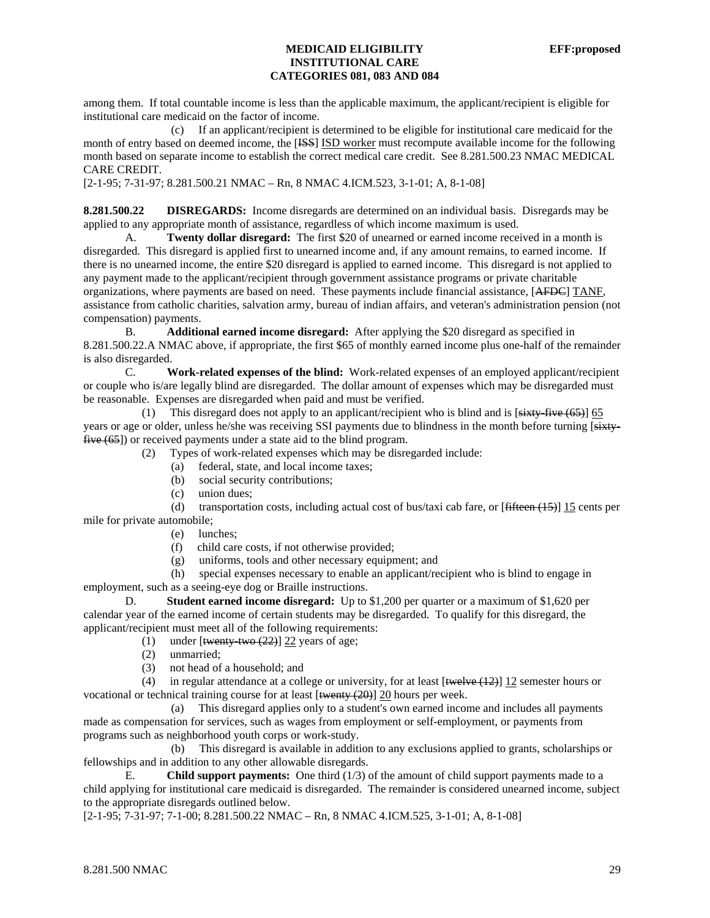among them. If total countable income is less than the applicable maximum, the applicant/recipient is eligible for institutional care medicaid on the factor of income.

 (c) If an applicant/recipient is determined to be eligible for institutional care medicaid for the month of entry based on deemed income, the [ISS] ISD worker must recompute available income for the following month based on separate income to establish the correct medical care credit. See 8.281.500.23 NMAC MEDICAL CARE CREDIT.

[2-1-95; 7-31-97; 8.281.500.21 NMAC – Rn, 8 NMAC 4.ICM.523, 3-1-01; A, 8-1-08]

**8.281.500.22 DISREGARDS:** Income disregards are determined on an individual basis. Disregards may be applied to any appropriate month of assistance, regardless of which income maximum is used.

A. **Twenty dollar disregard:** The first \$20 of unearned or earned income received in a month is disregarded. This disregard is applied first to unearned income and, if any amount remains, to earned income. If there is no unearned income, the entire \$20 disregard is applied to earned income. This disregard is not applied to any payment made to the applicant/recipient through government assistance programs or private charitable organizations, where payments are based on need. These payments include financial assistance, [AFDC] TANF, assistance from catholic charities, salvation army, bureau of indian affairs, and veteran's administration pension (not compensation) payments.

B. **Additional earned income disregard:** After applying the \$20 disregard as specified in 8.281.500.22.A NMAC above, if appropriate, the first \$65 of monthly earned income plus one-half of the remainder is also disregarded.

C. **Work-related expenses of the blind:** Work-related expenses of an employed applicant/recipient or couple who is/are legally blind are disregarded. The dollar amount of expenses which may be disregarded must be reasonable. Expenses are disregarded when paid and must be verified.

(1) This disregard does not apply to an applicant/recipient who is blind and is  $[sixty-five(65)]$  65 years or age or older, unless he/she was receiving SSI payments due to blindness in the month before turning [sixtyfive (65]) or received payments under a state aid to the blind program.

(2) Types of work-related expenses which may be disregarded include:

- (a) federal, state, and local income taxes;
- (b) social security contributions;
- (c) union dues;

(d) transportation costs, including actual cost of bus/taxi cab fare, or  $[fifteen (15)]$  15 cents per mile for private automobile;

- (e) lunches;
- (f) child care costs, if not otherwise provided;
- (g) uniforms, tools and other necessary equipment; and

 (h) special expenses necessary to enable an applicant/recipient who is blind to engage in employment, such as a seeing-eye dog or Braille instructions.

D. **Student earned income disregard:** Up to \$1,200 per quarter or a maximum of \$1,620 per calendar year of the earned income of certain students may be disregarded. To qualify for this disregard, the applicant/recipient must meet all of the following requirements:

- (1) under  $[\frac{\text{twenty-two} (22)}{22 \text{ years of age}}]$
- (2) unmarried;
- (3) not head of a household; and

(4) in regular attendance at a college or university, for at least  $[\frac{\text{twelve}(12)}{2}]$  12 semester hours or vocational or technical training course for at least [twenty (20)] 20 hours per week.

 (a) This disregard applies only to a student's own earned income and includes all payments made as compensation for services, such as wages from employment or self-employment, or payments from programs such as neighborhood youth corps or work-study.

 (b) This disregard is available in addition to any exclusions applied to grants, scholarships or fellowships and in addition to any other allowable disregards.

E. **Child support payments:** One third (1/3) of the amount of child support payments made to a child applying for institutional care medicaid is disregarded. The remainder is considered unearned income, subject to the appropriate disregards outlined below.

[2-1-95; 7-31-97; 7-1-00; 8.281.500.22 NMAC – Rn, 8 NMAC 4.ICM.525, 3-1-01; A, 8-1-08]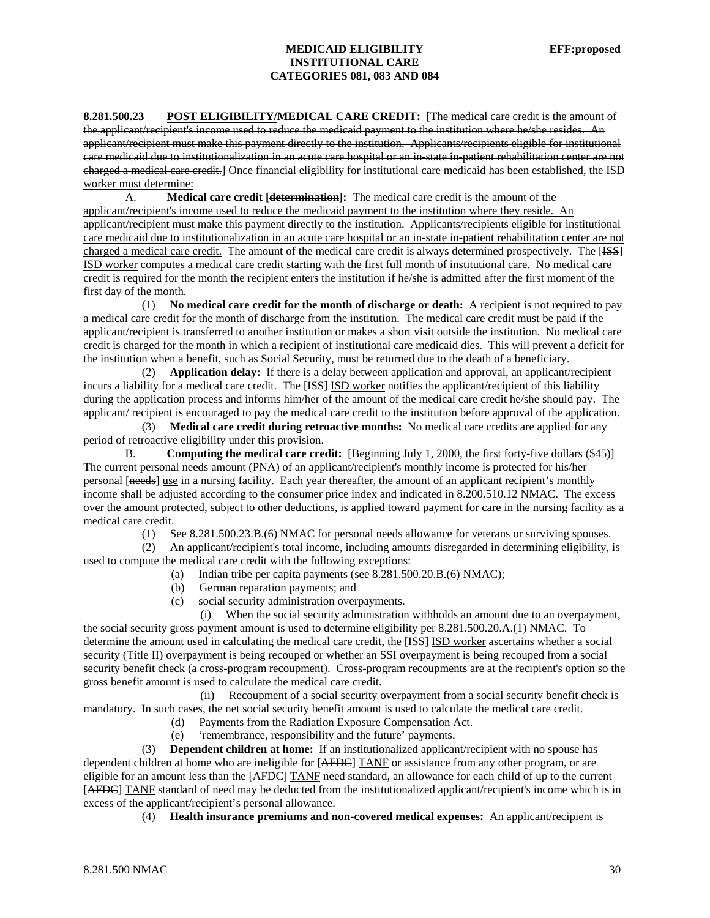**8.281.500.23 POST ELIGIBILITY/MEDICAL CARE CREDIT:** [The medical care credit is the amount of the applicant/recipient's income used to reduce the medicaid payment to the institution where he/she resides. An applicant/recipient must make this payment directly to the institution. Applicants/recipients eligible for institutional care medicaid due to institutionalization in an acute care hospital or an in-state in-patient rehabilitation center are not charged a medical care credit.] Once financial eligibility for institutional care medicaid has been established, the ISD worker must determine:

A. **Medical care credit [determination]:** The medical care credit is the amount of the applicant/recipient's income used to reduce the medicaid payment to the institution where they reside. An applicant/recipient must make this payment directly to the institution. Applicants/recipients eligible for institutional care medicaid due to institutionalization in an acute care hospital or an in-state in-patient rehabilitation center are not charged a medical care credit. The amount of the medical care credit is always determined prospectively. The [ISS] ISD worker computes a medical care credit starting with the first full month of institutional care. No medical care credit is required for the month the recipient enters the institution if he/she is admitted after the first moment of the first day of the month.

 (1) **No medical care credit for the month of discharge or death:** A recipient is not required to pay a medical care credit for the month of discharge from the institution. The medical care credit must be paid if the applicant/recipient is transferred to another institution or makes a short visit outside the institution. No medical care credit is charged for the month in which a recipient of institutional care medicaid dies. This will prevent a deficit for the institution when a benefit, such as Social Security, must be returned due to the death of a beneficiary.

 (2) **Application delay:** If there is a delay between application and approval, an applicant/recipient incurs a liability for a medical care credit. The [ISS] ISD worker notifies the applicant/recipient of this liability during the application process and informs him/her of the amount of the medical care credit he/she should pay. The applicant/ recipient is encouraged to pay the medical care credit to the institution before approval of the application.

 (3) **Medical care credit during retroactive months:** No medical care credits are applied for any period of retroactive eligibility under this provision.

B. **Computing the medical care credit:** [Beginning July 1, 2000, the first forty-five dollars (\$45)] The current personal needs amount (PNA) of an applicant/recipient's monthly income is protected for his/her personal [needs] use in a nursing facility. Each year thereafter, the amount of an applicant recipient's monthly income shall be adjusted according to the consumer price index and indicated in 8.200.510.12 NMAC. The excess over the amount protected, subject to other deductions, is applied toward payment for care in the nursing facility as a medical care credit.

(1) See 8.281.500.23.B.(6) NMAC for personal needs allowance for veterans or surviving spouses.

 (2) An applicant/recipient's total income, including amounts disregarded in determining eligibility, is used to compute the medical care credit with the following exceptions:

- (a) Indian tribe per capita payments (see 8.281.500.20.B.(6) NMAC);
- (b) German reparation payments; and
- (c) social security administration overpayments.

 (i) When the social security administration withholds an amount due to an overpayment, the social security gross payment amount is used to determine eligibility per 8.281.500.20.A.(1) NMAC. To determine the amount used in calculating the medical care credit, the [ISS] ISD worker ascertains whether a social security (Title II) overpayment is being recouped or whether an SSI overpayment is being recouped from a social security benefit check (a cross-program recoupment). Cross-program recoupments are at the recipient's option so the gross benefit amount is used to calculate the medical care credit.

 (ii) Recoupment of a social security overpayment from a social security benefit check is mandatory. In such cases, the net social security benefit amount is used to calculate the medical care credit. (d) Payments from the Radiation Exposure Compensation Act.

(e) 'remembrance, responsibility and the future' payments.

 (3) **Dependent children at home:** If an institutionalized applicant/recipient with no spouse has dependent children at home who are ineligible for [AFDC] TANF or assistance from any other program, or are eligible for an amount less than the [AFDC] TANF need standard, an allowance for each child of up to the current [AFDC] TANF standard of need may be deducted from the institutionalized applicant/recipient's income which is in excess of the applicant/recipient's personal allowance.

(4) **Health insurance premiums and non-covered medical expenses:** An applicant/recipient is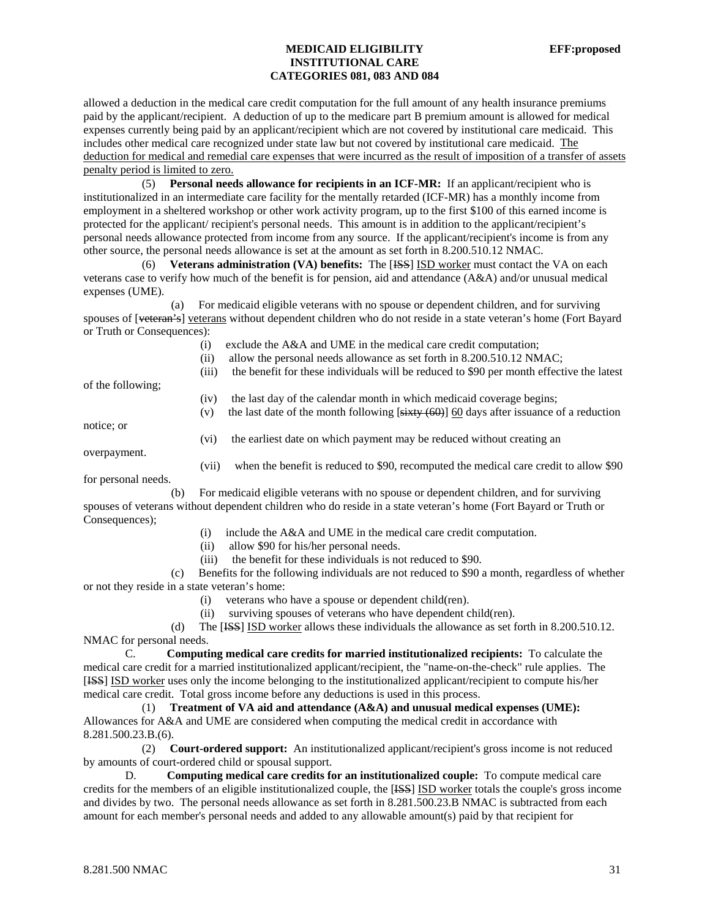allowed a deduction in the medical care credit computation for the full amount of any health insurance premiums paid by the applicant/recipient. A deduction of up to the medicare part B premium amount is allowed for medical expenses currently being paid by an applicant/recipient which are not covered by institutional care medicaid. This includes other medical care recognized under state law but not covered by institutional care medicaid. The deduction for medical and remedial care expenses that were incurred as the result of imposition of a transfer of assets penalty period is limited to zero.

 (5) **Personal needs allowance for recipients in an ICF-MR:** If an applicant/recipient who is institutionalized in an intermediate care facility for the mentally retarded (ICF-MR) has a monthly income from employment in a sheltered workshop or other work activity program, up to the first \$100 of this earned income is protected for the applicant/ recipient's personal needs. This amount is in addition to the applicant/recipient's personal needs allowance protected from income from any source. If the applicant/recipient's income is from any other source, the personal needs allowance is set at the amount as set forth in 8.200.510.12 NMAC.

 (6) **Veterans administration (VA) benefits:** The [ISS] ISD worker must contact the VA on each veterans case to verify how much of the benefit is for pension, aid and attendance (A&A) and/or unusual medical expenses (UME).

 (a) For medicaid eligible veterans with no spouse or dependent children, and for surviving spouses of [veteran's] veterans without dependent children who do not reside in a state veteran's home (Fort Bayard or Truth or Consequences):

(i) exclude the A&A and UME in the medical care credit computation;

(ii) allow the personal needs allowance as set forth in 8.200.510.12 NMAC;

(iii) the benefit for these individuals will be reduced to \$90 per month effective the latest

of the following;

- (iv) the last day of the calendar month in which medicaid coverage begins;
- (v) the last date of the month following  $[sitxy (60)]$  60 days after issuance of a reduction

notice; or

(vi) the earliest date on which payment may be reduced without creating an

overpayment.

(vii) when the benefit is reduced to \$90, recomputed the medical care credit to allow \$90

for personal needs.

 (b) For medicaid eligible veterans with no spouse or dependent children, and for surviving spouses of veterans without dependent children who do reside in a state veteran's home (Fort Bayard or Truth or Consequences);

- (i) include the A&A and UME in the medical care credit computation.
- (ii) allow \$90 for his/her personal needs.
- (iii) the benefit for these individuals is not reduced to \$90.

 (c) Benefits for the following individuals are not reduced to \$90 a month, regardless of whether or not they reside in a state veteran's home:

- (i) veterans who have a spouse or dependent child(ren).
- (ii) surviving spouses of veterans who have dependent child(ren).

 (d) The [ISS] ISD worker allows these individuals the allowance as set forth in 8.200.510.12. NMAC for personal needs.

C. **Computing medical care credits for married institutionalized recipients:** To calculate the medical care credit for a married institutionalized applicant/recipient, the "name-on-the-check" rule applies. The [ISS] ISD worker uses only the income belonging to the institutionalized applicant/recipient to compute his/her medical care credit. Total gross income before any deductions is used in this process.

 (1) **Treatment of VA aid and attendance (A&A) and unusual medical expenses (UME):** Allowances for A&A and UME are considered when computing the medical credit in accordance with 8.281.500.23.B.(6).

 (2) **Court-ordered support:** An institutionalized applicant/recipient's gross income is not reduced by amounts of court-ordered child or spousal support.

D. **Computing medical care credits for an institutionalized couple:** To compute medical care credits for the members of an eligible institutionalized couple, the [ISS] ISD worker totals the couple's gross income and divides by two. The personal needs allowance as set forth in 8.281.500.23.B NMAC is subtracted from each amount for each member's personal needs and added to any allowable amount(s) paid by that recipient for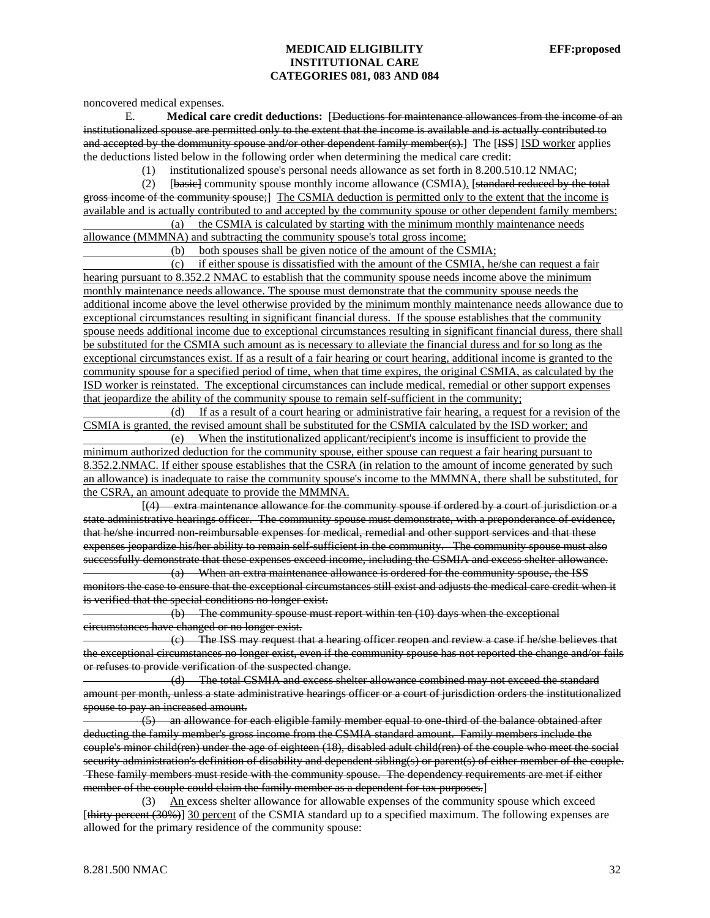noncovered medical expenses.

E. **Medical care credit deductions:** [Deductions for maintenance allowances from the income of an institutionalized spouse are permitted only to the extent that the income is available and is actually contributed to and accepted by the dommunity spouse and/or other dependent family member(s). The [ISS] ISD worker applies the deductions listed below in the following order when determining the medical care credit:

(1) institutionalized spouse's personal needs allowance as set forth in 8.200.510.12 NMAC;

 (2) [basic] community spouse monthly income allowance (CSMIA). [standard reduced by the total gross income of the community spouse;] The CSMIA deduction is permitted only to the extent that the income is available and is actually contributed to and accepted by the community spouse or other dependent family members:

 (a) the CSMIA is calculated by starting with the minimum monthly maintenance needs allowance (MMMNA) and subtracting the community spouse's total gross income;

(b) both spouses shall be given notice of the amount of the CSMIA;

 (c) if either spouse is dissatisfied with the amount of the CSMIA, he/she can request a fair hearing pursuant to 8.352.2 NMAC to establish that the community spouse needs income above the minimum monthly maintenance needs allowance. The spouse must demonstrate that the community spouse needs the additional income above the level otherwise provided by the minimum monthly maintenance needs allowance due to exceptional circumstances resulting in significant financial duress. If the spouse establishes that the community spouse needs additional income due to exceptional circumstances resulting in significant financial duress, there shall be substituted for the CSMIA such amount as is necessary to alleviate the financial duress and for so long as the exceptional circumstances exist. If as a result of a fair hearing or court hearing, additional income is granted to the community spouse for a specified period of time, when that time expires, the original CSMIA, as calculated by the ISD worker is reinstated. The exceptional circumstances can include medical, remedial or other support expenses that jeopardize the ability of the community spouse to remain self-sufficient in the community;

 (d) If as a result of a court hearing or administrative fair hearing, a request for a revision of the CSMIA is granted, the revised amount shall be substituted for the CSMIA calculated by the ISD worker; and

 (e) When the institutionalized applicant/recipient's income is insufficient to provide the minimum authorized deduction for the community spouse, either spouse can request a fair hearing pursuant to 8.352.2.NMAC. If either spouse establishes that the CSRA (in relation to the amount of income generated by such an allowance) is inadequate to raise the community spouse's income to the MMMNA, there shall be substituted, for the CSRA, an amount adequate to provide the MMMNA.

 [(4) extra maintenance allowance for the community spouse if ordered by a court of jurisdiction or a state administrative hearings officer. The community spouse must demonstrate, with a preponderance of evidence, that he/she incurred non-reimbursable expenses for medical, remedial and other support services and that these expenses jeopardize his/her ability to remain self-sufficient in the community. The community spouse must also successfully demonstrate that these expenses exceed income, including the CSMIA and excess shelter allowance.

 (a) When an extra maintenance allowance is ordered for the community spouse, the ISS monitors the case to ensure that the exceptional circumstances still exist and adjusts the medical care credit when it is verified that the special conditions no longer exist.

 (b) The community spouse must report within ten (10) days when the exceptional circumstances have changed or no longer exist.

 (c) The ISS may request that a hearing officer reopen and review a case if he/she believes that the exceptional circumstances no longer exist, even if the community spouse has not reported the change and/or fails or refuses to provide verification of the suspected change.

 (d) The total CSMIA and excess shelter allowance combined may not exceed the standard amount per month, unless a state administrative hearings officer or a court of jurisdiction orders the institutionalized spouse to pay an increased amount.

 $(5)$  an allowance for each eligible family member equal to one third of the balance obtained after deducting the family member's gross income from the CSMIA standard amount. Family members include the couple's minor child(ren) under the age of eighteen (18), disabled adult child(ren) of the couple who meet the social security administration's definition of disability and dependent sibling(s) or parent(s) of either member of the couple. These family members must reside with the community spouse. The dependency requirements are met if either member of the couple could claim the family member as a dependent for tax purposes.]

 (3) An excess shelter allowance for allowable expenses of the community spouse which exceed [thirty percent (30%)] 30 percent of the CSMIA standard up to a specified maximum. The following expenses are allowed for the primary residence of the community spouse: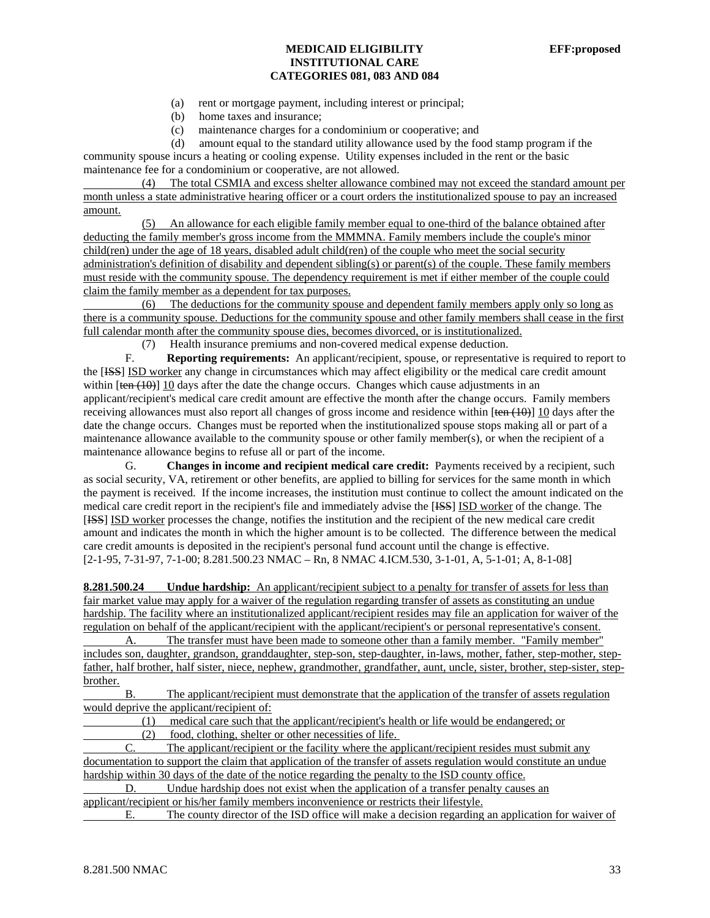- (a) rent or mortgage payment, including interest or principal;
- (b) home taxes and insurance;
- (c) maintenance charges for a condominium or cooperative; and

(d) amount equal to the standard utility allowance used by the food stamp program if the

community spouse incurs a heating or cooling expense. Utility expenses included in the rent or the basic maintenance fee for a condominium or cooperative, are not allowed.

 (4) The total CSMIA and excess shelter allowance combined may not exceed the standard amount per month unless a state administrative hearing officer or a court orders the institutionalized spouse to pay an increased amount.

 (5) An allowance for each eligible family member equal to one-third of the balance obtained after deducting the family member's gross income from the MMMNA. Family members include the couple's minor child(ren) under the age of 18 years, disabled adult child(ren) of the couple who meet the social security administration's definition of disability and dependent sibling(s) or parent(s) of the couple. These family members must reside with the community spouse. The dependency requirement is met if either member of the couple could claim the family member as a dependent for tax purposes.

 (6) The deductions for the community spouse and dependent family members apply only so long as there is a community spouse. Deductions for the community spouse and other family members shall cease in the first full calendar month after the community spouse dies, becomes divorced, or is institutionalized.

(7) Health insurance premiums and non-covered medical expense deduction.

F. **Reporting requirements:** An applicant/recipient, spouse, or representative is required to report to the [ISS] ISD worker any change in circumstances which may affect eligibility or the medical care credit amount within  $[ten (10)]$  10 days after the date the change occurs. Changes which cause adjustments in an applicant/recipient's medical care credit amount are effective the month after the change occurs. Family members receiving allowances must also report all changes of gross income and residence within [ten (10)] 10 days after the date the change occurs. Changes must be reported when the institutionalized spouse stops making all or part of a maintenance allowance available to the community spouse or other family member(s), or when the recipient of a maintenance allowance begins to refuse all or part of the income.

G. **Changes in income and recipient medical care credit:** Payments received by a recipient, such as social security, VA, retirement or other benefits, are applied to billing for services for the same month in which the payment is received. If the income increases, the institution must continue to collect the amount indicated on the medical care credit report in the recipient's file and immediately advise the [ISS] ISD worker of the change. The [ISS] ISD worker processes the change, notifies the institution and the recipient of the new medical care credit amount and indicates the month in which the higher amount is to be collected. The difference between the medical care credit amounts is deposited in the recipient's personal fund account until the change is effective. [2-1-95, 7-31-97, 7-1-00; 8.281.500.23 NMAC – Rn, 8 NMAC 4.ICM.530, 3-1-01, A, 5-1-01; A, 8-1-08]

**8.281.500.24 Undue hardship:** An applicant/recipient subject to a penalty for transfer of assets for less than fair market value may apply for a waiver of the regulation regarding transfer of assets as constituting an undue hardship. The facility where an institutionalized applicant/recipient resides may file an application for waiver of the regulation on behalf of the applicant/recipient with the applicant/recipient's or personal representative's consent.

 A. The transfer must have been made to someone other than a family member. "Family member" includes son, daughter, grandson, granddaughter, step-son, step-daughter, in-laws, mother, father, step-mother, stepfather, half brother, half sister, niece, nephew, grandmother, grandfather, aunt, uncle, sister, brother, step-sister, stepbrother.

 B. The applicant/recipient must demonstrate that the application of the transfer of assets regulation would deprive the applicant/recipient of:

(1) medical care such that the applicant/recipient's health or life would be endangered; or

(2) food, clothing, shelter or other necessities of life.

 C. The applicant/recipient or the facility where the applicant/recipient resides must submit any documentation to support the claim that application of the transfer of assets regulation would constitute an undue hardship within 30 days of the date of the notice regarding the penalty to the ISD county office.

 D. Undue hardship does not exist when the application of a transfer penalty causes an applicant/recipient or his/her family members inconvenience or restricts their lifestyle.

E. The county director of the ISD office will make a decision regarding an application for waiver of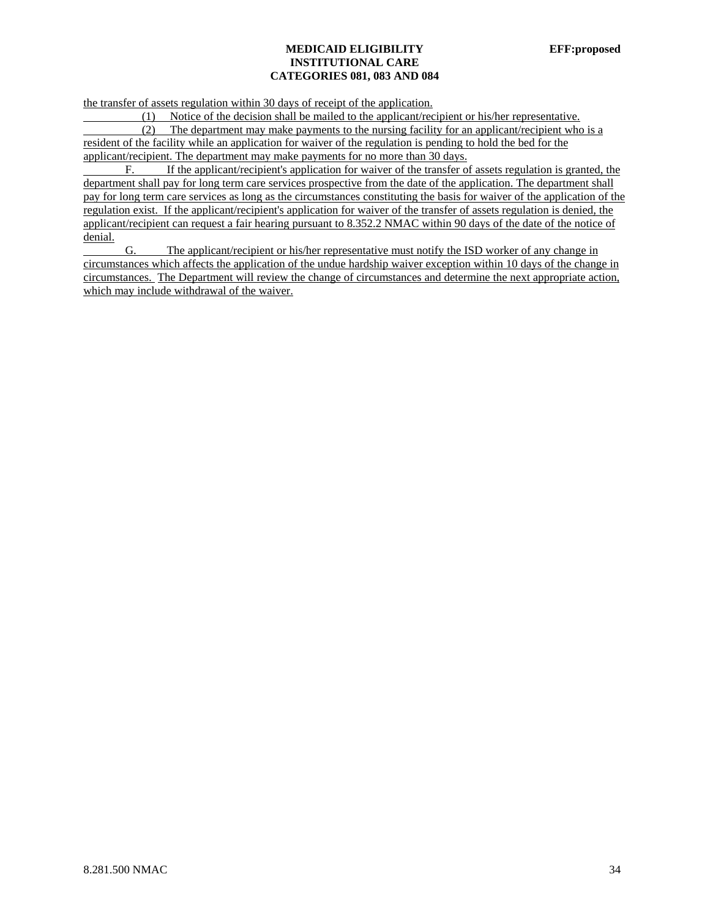the transfer of assets regulation within 30 days of receipt of the application.

(1) Notice of the decision shall be mailed to the applicant/recipient or his/her representative.

 (2) The department may make payments to the nursing facility for an applicant/recipient who is a resident of the facility while an application for waiver of the regulation is pending to hold the bed for the applicant/recipient. The department may make payments for no more than 30 days.

 F. If the applicant/recipient's application for waiver of the transfer of assets regulation is granted, the department shall pay for long term care services prospective from the date of the application. The department shall pay for long term care services as long as the circumstances constituting the basis for waiver of the application of the regulation exist. If the applicant/recipient's application for waiver of the transfer of assets regulation is denied, the applicant/recipient can request a fair hearing pursuant to 8.352.2 NMAC within 90 days of the date of the notice of denial.

 G. The applicant/recipient or his/her representative must notify the ISD worker of any change in circumstances which affects the application of the undue hardship waiver exception within 10 days of the change in circumstances. The Department will review the change of circumstances and determine the next appropriate action, which may include withdrawal of the waiver.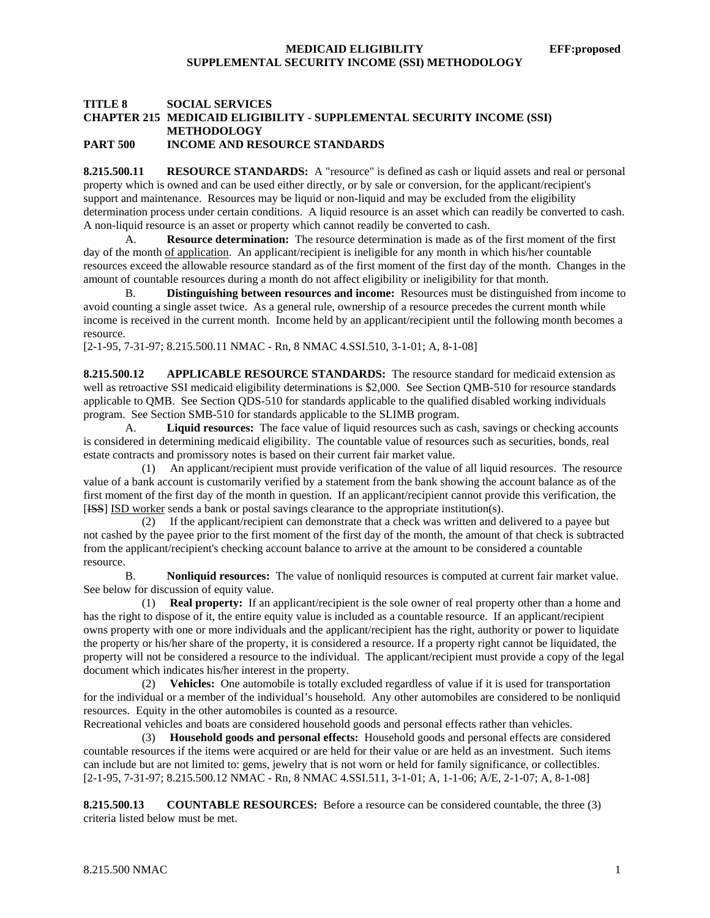### **TITLE 8 SOCIAL SERVICES CHAPTER 215 MEDICAID ELIGIBILITY - SUPPLEMENTAL SECURITY INCOME (SSI) METHODOLOGY PART 500 INCOME AND RESOURCE STANDARDS**

**8.215.500.11 RESOURCE STANDARDS:** A "resource" is defined as cash or liquid assets and real or personal property which is owned and can be used either directly, or by sale or conversion, for the applicant/recipient's support and maintenance. Resources may be liquid or non-liquid and may be excluded from the eligibility determination process under certain conditions. A liquid resource is an asset which can readily be converted to cash. A non-liquid resource is an asset or property which cannot readily be converted to cash.

A. **Resource determination:** The resource determination is made as of the first moment of the first day of the month <u>of application</u>. An applicant/recipient is ineligible for any month in which his/her countable resources exceed the allowable resource standard as of the first moment of the first day of the month. Changes in the amount of countable resources during a month do not affect eligibility or ineligibility for that month.

B. **Distinguishing between resources and income:** Resources must be distinguished from income to avoid counting a single asset twice. As a general rule, ownership of a resource precedes the current month while income is received in the current month. Income held by an applicant/recipient until the following month becomes a resource.

[2-1-95, 7-31-97; 8.215.500.11 NMAC - Rn, 8 NMAC 4.SSI.510, 3-1-01; A, 8-1-08]

**8.215.500.12 APPLICABLE RESOURCE STANDARDS:** The resource standard for medicaid extension as well as retroactive SSI medicaid eligibility determinations is \$2,000. See Section QMB-510 for resource standards applicable to QMB. See Section QDS-510 for standards applicable to the qualified disabled working individuals program. See Section SMB-510 for standards applicable to the SLIMB program.

A. **Liquid resources:** The face value of liquid resources such as cash, savings or checking accounts is considered in determining medicaid eligibility. The countable value of resources such as securities, bonds, real estate contracts and promissory notes is based on their current fair market value.

 (1) An applicant/recipient must provide verification of the value of all liquid resources. The resource value of a bank account is customarily verified by a statement from the bank showing the account balance as of the first moment of the first day of the month in question. If an applicant/recipient cannot provide this verification, the [ISS] ISD worker sends a bank or postal savings clearance to the appropriate institution(s).

 (2) If the applicant/recipient can demonstrate that a check was written and delivered to a payee but not cashed by the payee prior to the first moment of the first day of the month, the amount of that check is subtracted from the applicant/recipient's checking account balance to arrive at the amount to be considered a countable resource.

B. **Nonliquid resources:** The value of nonliquid resources is computed at current fair market value. See below for discussion of equity value.

 (1) **Real property:** If an applicant/recipient is the sole owner of real property other than a home and has the right to dispose of it, the entire equity value is included as a countable resource. If an applicant/recipient owns property with one or more individuals and the applicant/recipient has the right, authority or power to liquidate the property or his/her share of the property, it is considered a resource. If a property right cannot be liquidated, the property will not be considered a resource to the individual. The applicant/recipient must provide a copy of the legal document which indicates his/her interest in the property.

 (2) **Vehicles:** One automobile is totally excluded regardless of value if it is used for transportation for the individual or a member of the individual's household. Any other automobiles are considered to be nonliquid resources. Equity in the other automobiles is counted as a resource.

Recreational vehicles and boats are considered household goods and personal effects rather than vehicles.

 (3) **Household goods and personal effects:** Household goods and personal effects are considered countable resources if the items were acquired or are held for their value or are held as an investment. Such items can include but are not limited to: gems, jewelry that is not worn or held for family significance, or collectibles. [2-1-95, 7-31-97; 8.215.500.12 NMAC - Rn, 8 NMAC 4.SSI.511, 3-1-01; A, 1-1-06; A/E, 2-1-07; A, 8-1-08]

**8.215.500.13 COUNTABLE RESOURCES:** Before a resource can be considered countable, the three (3) criteria listed below must be met.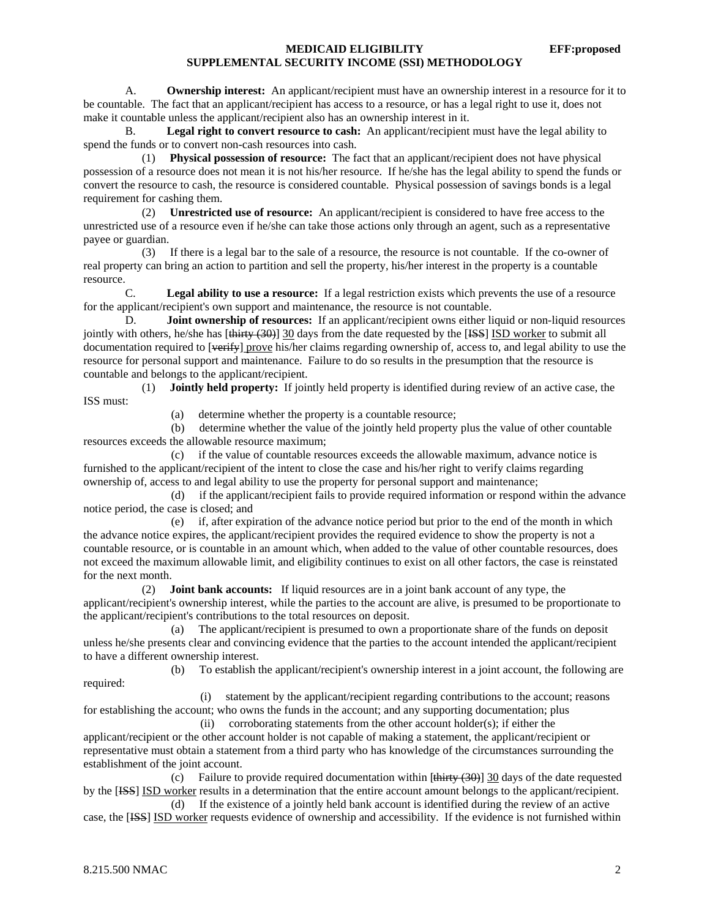A. **Ownership interest:** An applicant/recipient must have an ownership interest in a resource for it to be countable. The fact that an applicant/recipient has access to a resource, or has a legal right to use it, does not make it countable unless the applicant/recipient also has an ownership interest in it.

B. **Legal right to convert resource to cash:** An applicant/recipient must have the legal ability to spend the funds or to convert non-cash resources into cash.

 (1) **Physical possession of resource:** The fact that an applicant/recipient does not have physical possession of a resource does not mean it is not his/her resource. If he/she has the legal ability to spend the funds or convert the resource to cash, the resource is considered countable. Physical possession of savings bonds is a legal requirement for cashing them.

 (2) **Unrestricted use of resource:** An applicant/recipient is considered to have free access to the unrestricted use of a resource even if he/she can take those actions only through an agent, such as a representative payee or guardian.

 (3) If there is a legal bar to the sale of a resource, the resource is not countable. If the co-owner of real property can bring an action to partition and sell the property, his/her interest in the property is a countable resource.

 C. **Legal ability to use a resource:** If a legal restriction exists which prevents the use of a resource for the applicant/recipient's own support and maintenance, the resource is not countable.

 D. **Joint ownership of resources:** If an applicant/recipient owns either liquid or non-liquid resources jointly with others, he/she has [thirty (30)] 30 days from the date requested by the [ISS] ISD worker to submit all documentation required to [verify] prove his/her claims regarding ownership of, access to, and legal ability to use the resource for personal support and maintenance. Failure to do so results in the presumption that the resource is countable and belongs to the applicant/recipient.

 (1) **Jointly held property:** If jointly held property is identified during review of an active case, the ISS must:

(a) determine whether the property is a countable resource;

 (b) determine whether the value of the jointly held property plus the value of other countable resources exceeds the allowable resource maximum;

 (c) if the value of countable resources exceeds the allowable maximum, advance notice is furnished to the applicant/recipient of the intent to close the case and his/her right to verify claims regarding ownership of, access to and legal ability to use the property for personal support and maintenance;

 (d) if the applicant/recipient fails to provide required information or respond within the advance notice period, the case is closed; and

 (e) if, after expiration of the advance notice period but prior to the end of the month in which the advance notice expires, the applicant/recipient provides the required evidence to show the property is not a countable resource, or is countable in an amount which, when added to the value of other countable resources, does not exceed the maximum allowable limit, and eligibility continues to exist on all other factors, the case is reinstated for the next month.

 (2) **Joint bank accounts:** If liquid resources are in a joint bank account of any type, the applicant/recipient's ownership interest, while the parties to the account are alive, is presumed to be proportionate to the applicant/recipient's contributions to the total resources on deposit.

 (a) The applicant/recipient is presumed to own a proportionate share of the funds on deposit unless he/she presents clear and convincing evidence that the parties to the account intended the applicant/recipient to have a different ownership interest.

 (b) To establish the applicant/recipient's ownership interest in a joint account, the following are required:

 (i) statement by the applicant/recipient regarding contributions to the account; reasons for establishing the account; who owns the funds in the account; and any supporting documentation; plus

 (ii) corroborating statements from the other account holder(s); if either the applicant/recipient or the other account holder is not capable of making a statement, the applicant/recipient or representative must obtain a statement from a third party who has knowledge of the circumstances surrounding the establishment of the joint account.

(c) Failure to provide required documentation within  $[\frac{thirey (30)}{30}]$  and Soldar requested by the [HSS] ISD worker results in a determination that the entire account amount belongs to the applicant/recipient.

 (d) If the existence of a jointly held bank account is identified during the review of an active case, the [ISS] ISD worker requests evidence of ownership and accessibility. If the evidence is not furnished within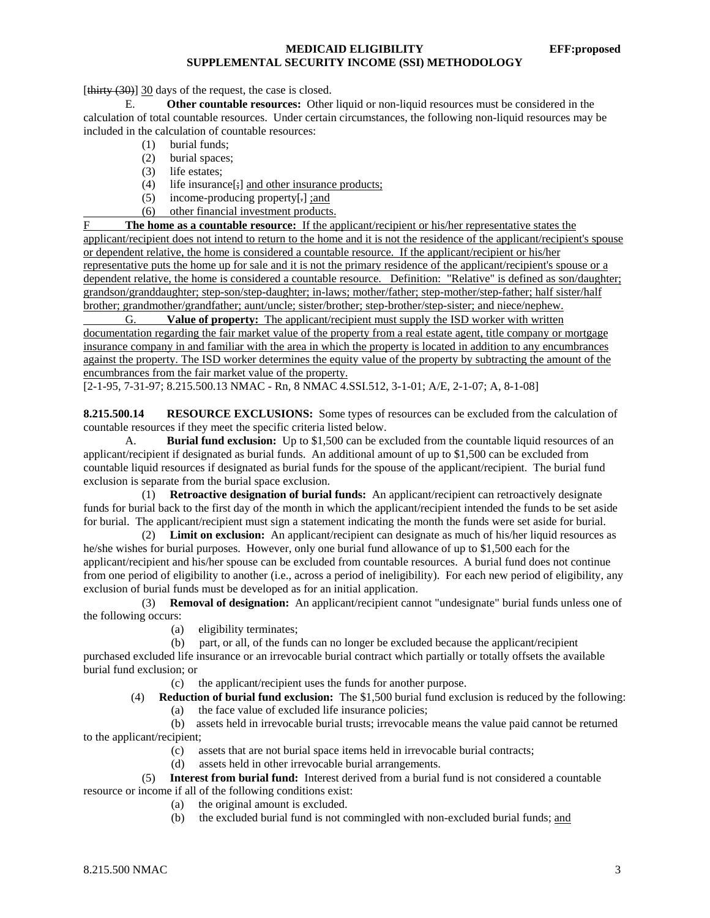[thirty (30)] 30 days of the request, the case is closed.

 E. **Other countable resources:** Other liquid or non-liquid resources must be considered in the calculation of total countable resources. Under certain circumstances, the following non-liquid resources may be included in the calculation of countable resources:

- (1) burial funds;
- (2) burial spaces;
- (3) life estates;
- (4) life insurance $[\frac{1}{2}]$  and other insurance products;
- (5) income-producing property[.] ;and
- (6) other financial investment products.

F **The home as a countable resource:** If the applicant/recipient or his/her representative states the applicant/recipient does not intend to return to the home and it is not the residence of the applicant/recipient's spouse or dependent relative, the home is considered a countable resource. If the applicant/recipient or his/her representative puts the home up for sale and it is not the primary residence of the applicant/recipient's spouse or a dependent relative, the home is considered a countable resource. Definition: "Relative" is defined as son/daughter; grandson/granddaughter; step-son/step-daughter; in-laws; mother/father; step-mother/step-father; half sister/half brother; grandmother/grandfather; aunt/uncle; sister/brother; step-brother/step-sister; and niece/nephew.

 G. **Value of property:** The applicant/recipient must supply the ISD worker with written documentation regarding the fair market value of the property from a real estate agent, title company or mortgage insurance company in and familiar with the area in which the property is located in addition to any encumbrances against the property. The ISD worker determines the equity value of the property by subtracting the amount of the encumbrances from the fair market value of the property.

[2-1-95, 7-31-97; 8.215.500.13 NMAC - Rn, 8 NMAC 4.SSI.512, 3-1-01; A/E, 2-1-07; A, 8-1-08]

**8.215.500.14 RESOURCE EXCLUSIONS:** Some types of resources can be excluded from the calculation of countable resources if they meet the specific criteria listed below.

A. **Burial fund exclusion:** Up to \$1,500 can be excluded from the countable liquid resources of an applicant/recipient if designated as burial funds. An additional amount of up to \$1,500 can be excluded from countable liquid resources if designated as burial funds for the spouse of the applicant/recipient. The burial fund exclusion is separate from the burial space exclusion.

 (1) **Retroactive designation of burial funds:** An applicant/recipient can retroactively designate funds for burial back to the first day of the month in which the applicant/recipient intended the funds to be set aside for burial. The applicant/recipient must sign a statement indicating the month the funds were set aside for burial.

 (2) **Limit on exclusion:** An applicant/recipient can designate as much of his/her liquid resources as he/she wishes for burial purposes. However, only one burial fund allowance of up to \$1,500 each for the applicant/recipient and his/her spouse can be excluded from countable resources. A burial fund does not continue from one period of eligibility to another (i.e., across a period of ineligibility). For each new period of eligibility, any exclusion of burial funds must be developed as for an initial application.

 (3) **Removal of designation:** An applicant/recipient cannot "undesignate" burial funds unless one of the following occurs:

(a) eligibility terminates;

(b) part, or all, of the funds can no longer be excluded because the applicant/recipient

purchased excluded life insurance or an irrevocable burial contract which partially or totally offsets the available burial fund exclusion; or

(c) the applicant/recipient uses the funds for another purpose.

(4) **Reduction of burial fund exclusion:** The \$1,500 burial fund exclusion is reduced by the following:

(a) the face value of excluded life insurance policies;

 (b) assets held in irrevocable burial trusts; irrevocable means the value paid cannot be returned to the applicant/recipient;

- (c) assets that are not burial space items held in irrevocable burial contracts;
- (d) assets held in other irrevocable burial arrangements.

 (5) **Interest from burial fund:** Interest derived from a burial fund is not considered a countable resource or income if all of the following conditions exist:

- (a) the original amount is excluded.
- (b) the excluded burial fund is not commingled with non-excluded burial funds; and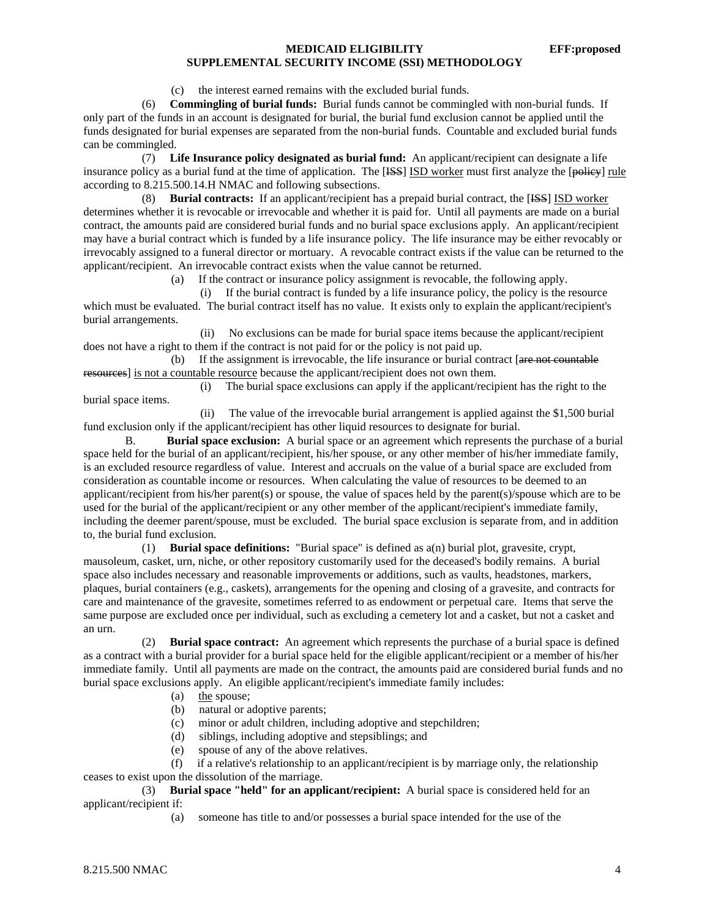(c) the interest earned remains with the excluded burial funds.

 (6) **Commingling of burial funds:** Burial funds cannot be commingled with non-burial funds. If only part of the funds in an account is designated for burial, the burial fund exclusion cannot be applied until the funds designated for burial expenses are separated from the non-burial funds. Countable and excluded burial funds can be commingled.

 (7) **Life Insurance policy designated as burial fund:** An applicant/recipient can designate a life insurance policy as a burial fund at the time of application. The [ISS] ISD worker must first analyze the [policy] rule according to 8.215.500.14.H NMAC and following subsections.

 (8) **Burial contracts:** If an applicant/recipient has a prepaid burial contract, the [ISS] ISD worker determines whether it is revocable or irrevocable and whether it is paid for. Until all payments are made on a burial contract, the amounts paid are considered burial funds and no burial space exclusions apply. An applicant/recipient may have a burial contract which is funded by a life insurance policy. The life insurance may be either revocably or irrevocably assigned to a funeral director or mortuary. A revocable contract exists if the value can be returned to the applicant/recipient. An irrevocable contract exists when the value cannot be returned.

(a) If the contract or insurance policy assignment is revocable, the following apply.

 (i) If the burial contract is funded by a life insurance policy, the policy is the resource which must be evaluated. The burial contract itself has no value. It exists only to explain the applicant/recipient's burial arrangements.

 (ii) No exclusions can be made for burial space items because the applicant/recipient does not have a right to them if the contract is not paid for or the policy is not paid up.

(b) If the assignment is irrevocable, the life insurance or burial contract  $\left[$  are not countable resources] is not a countable resource because the applicant/recipient does not own them.

 (i) The burial space exclusions can apply if the applicant/recipient has the right to the burial space items.

 (ii) The value of the irrevocable burial arrangement is applied against the \$1,500 burial fund exclusion only if the applicant/recipient has other liquid resources to designate for burial.

 B. **Burial space exclusion:** A burial space or an agreement which represents the purchase of a burial space held for the burial of an applicant/recipient, his/her spouse, or any other member of his/her immediate family, is an excluded resource regardless of value. Interest and accruals on the value of a burial space are excluded from consideration as countable income or resources. When calculating the value of resources to be deemed to an applicant/recipient from his/her parent(s) or spouse, the value of spaces held by the parent(s)/spouse which are to be used for the burial of the applicant/recipient or any other member of the applicant/recipient's immediate family, including the deemer parent/spouse, must be excluded. The burial space exclusion is separate from, and in addition to, the burial fund exclusion.

 (1) **Burial space definitions:** "Burial space" is defined as a(n) burial plot, gravesite, crypt, mausoleum, casket, urn, niche, or other repository customarily used for the deceased's bodily remains. A burial space also includes necessary and reasonable improvements or additions, such as vaults, headstones, markers, plaques, burial containers (e.g., caskets), arrangements for the opening and closing of a gravesite, and contracts for care and maintenance of the gravesite, sometimes referred to as endowment or perpetual care. Items that serve the same purpose are excluded once per individual, such as excluding a cemetery lot and a casket, but not a casket and an urn.

 (2) **Burial space contract:** An agreement which represents the purchase of a burial space is defined as a contract with a burial provider for a burial space held for the eligible applicant/recipient or a member of his/her immediate family. Until all payments are made on the contract, the amounts paid are considered burial funds and no burial space exclusions apply. An eligible applicant/recipient's immediate family includes:

- (a) the spouse;
- (b) natural or adoptive parents;
- (c) minor or adult children, including adoptive and stepchildren;
- (d) siblings, including adoptive and stepsiblings; and
- (e) spouse of any of the above relatives.

 (f) if a relative's relationship to an applicant/recipient is by marriage only, the relationship ceases to exist upon the dissolution of the marriage.

 (3) **Burial space "held" for an applicant/recipient:** A burial space is considered held for an applicant/recipient if:

(a) someone has title to and/or possesses a burial space intended for the use of the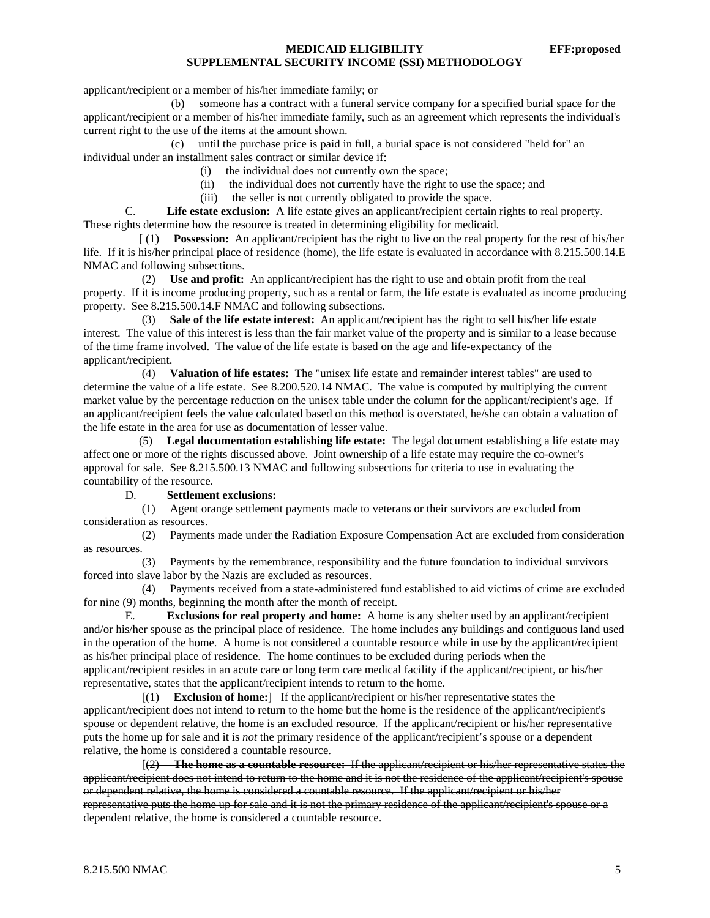applicant/recipient or a member of his/her immediate family; or

 (b) someone has a contract with a funeral service company for a specified burial space for the applicant/recipient or a member of his/her immediate family, such as an agreement which represents the individual's current right to the use of the items at the amount shown.

 (c) until the purchase price is paid in full, a burial space is not considered "held for" an individual under an installment sales contract or similar device if:

- (i) the individual does not currently own the space;
- (ii) the individual does not currently have the right to use the space; and
- (iii) the seller is not currently obligated to provide the space.

C. **Life estate exclusion:** A life estate gives an applicant/recipient certain rights to real property. These rights determine how the resource is treated in determining eligibility for medicaid.

 [ (1) **Possession:** An applicant/recipient has the right to live on the real property for the rest of his/her life. If it is his/her principal place of residence (home), the life estate is evaluated in accordance with 8.215.500.14.E NMAC and following subsections.

 (2) **Use and profit:** An applicant/recipient has the right to use and obtain profit from the real property. If it is income producing property, such as a rental or farm, the life estate is evaluated as income producing property. See 8.215.500.14.F NMAC and following subsections.

 (3) **Sale of the life estate interest:** An applicant/recipient has the right to sell his/her life estate interest. The value of this interest is less than the fair market value of the property and is similar to a lease because of the time frame involved. The value of the life estate is based on the age and life-expectancy of the applicant/recipient.

 (4) **Valuation of life estates:** The "unisex life estate and remainder interest tables" are used to determine the value of a life estate. See 8.200.520.14 NMAC. The value is computed by multiplying the current market value by the percentage reduction on the unisex table under the column for the applicant/recipient's age. If an applicant/recipient feels the value calculated based on this method is overstated, he/she can obtain a valuation of the life estate in the area for use as documentation of lesser value.

 (5) **Legal documentation establishing life estate:** The legal document establishing a life estate may affect one or more of the rights discussed above. Joint ownership of a life estate may require the co-owner's approval for sale. See 8.215.500.13 NMAC and following subsections for criteria to use in evaluating the countability of the resource.

#### D. **Settlement exclusions:**

 (1) Agent orange settlement payments made to veterans or their survivors are excluded from consideration as resources.

 (2) Payments made under the Radiation Exposure Compensation Act are excluded from consideration as resources.

 (3) Payments by the remembrance, responsibility and the future foundation to individual survivors forced into slave labor by the Nazis are excluded as resources.

 (4) Payments received from a state-administered fund established to aid victims of crime are excluded for nine (9) months, beginning the month after the month of receipt.

E. **Exclusions for real property and home:** A home is any shelter used by an applicant/recipient and/or his/her spouse as the principal place of residence. The home includes any buildings and contiguous land used in the operation of the home. A home is not considered a countable resource while in use by the applicant/recipient as his/her principal place of residence. The home continues to be excluded during periods when the applicant/recipient resides in an acute care or long term care medical facility if the applicant/recipient, or his/her representative, states that the applicant/recipient intends to return to the home.

 [(1) **Exclusion of home:**] If the applicant/recipient or his/her representative states the applicant/recipient does not intend to return to the home but the home is the residence of the applicant/recipient's spouse or dependent relative, the home is an excluded resource. If the applicant/recipient or his/her representative puts the home up for sale and it is *not* the primary residence of the applicant/recipient's spouse or a dependent relative, the home is considered a countable resource.

 [(2) **The home as a countable resource:** If the applicant/recipient or his/her representative states the applicant/recipient does not intend to return to the home and it is not the residence of the applicant/recipient's spouse or dependent relative, the home is considered a countable resource. If the applicant/recipient or his/her representative puts the home up for sale and it is not the primary residence of the applicant/recipient's spouse or a dependent relative, the home is considered a countable resource.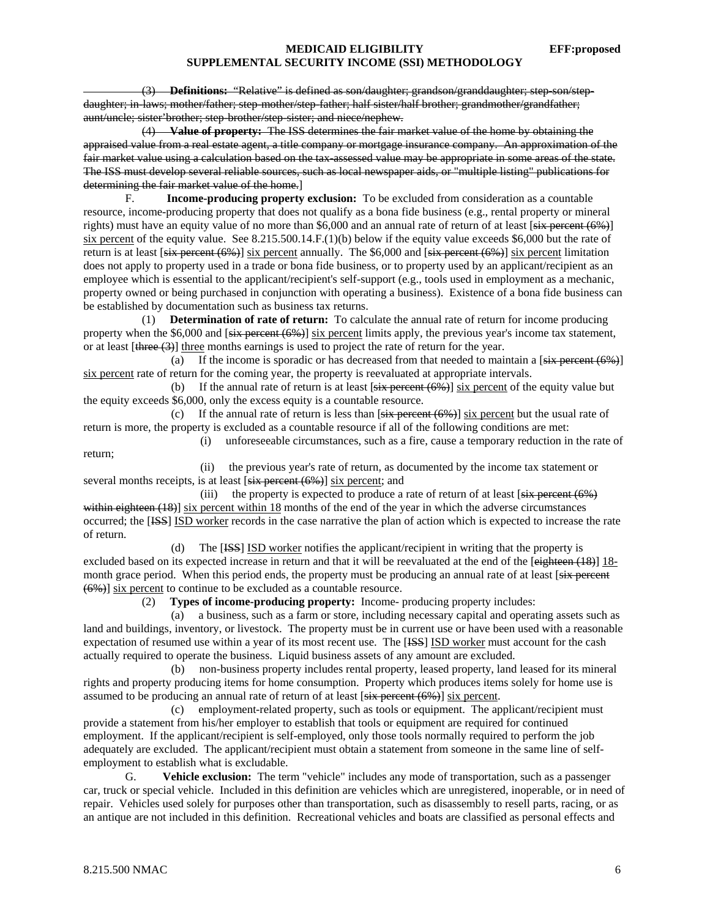(3) **Definitions:** "Relative" is defined as son/daughter; grandson/granddaughter; step-son/stepdaughter; in-laws; mother/father; step-mother/step-father; half sister/half brother; grandmother/grandfather; aunt/uncle; sister'brother; step-brother/step-sister; and niece/nephew.

 (4) **Value of property:** The ISS determines the fair market value of the home by obtaining the appraised value from a real estate agent, a title company or mortgage insurance company. An approximation of the fair market value using a calculation based on the tax-assessed value may be appropriate in some areas of the state. The ISS must develop several reliable sources, such as local newspaper aids, or "multiple listing" publications for determining the fair market value of the home.]

F. **Income-producing property exclusion:** To be excluded from consideration as a countable resource, income-producing property that does not qualify as a bona fide business (e.g., rental property or mineral rights) must have an equity value of no more than \$6,000 and an annual rate of return of at least  $[six]$  percent (6%) six percent of the equity value. See 8.215.500.14.F.(1)(b) below if the equity value exceeds \$6,000 but the rate of return is at least  $[six]$  percent  $(6%)$  is percent annually. The \$6,000 and  $[six]$  percent  $(6%)$  is percent limitation does not apply to property used in a trade or bona fide business, or to property used by an applicant/recipient as an employee which is essential to the applicant/recipient's self-support (e.g., tools used in employment as a mechanic, property owned or being purchased in conjunction with operating a business). Existence of a bona fide business can be established by documentation such as business tax returns.

 (1) **Determination of rate of return:** To calculate the annual rate of return for income producing property when the  $$6,000$  and  $[six]$  percent  $(6%)$  six percent limits apply, the previous year's income tax statement, or at least [three (3)] three months earnings is used to project the rate of return for the year.

(a) If the income is sporadic or has decreased from that needed to maintain a  $[s<sub>i</sub>$  percent (6%) six percent rate of return for the coming year, the property is reevaluated at appropriate intervals.

(b) If the annual rate of return is at least  $[s\ddot{x} + s\ddot{x} + s\ddot{x} + s\ddot{x} + s\ddot{x} + s\ddot{x} + s\ddot{x} + s\ddot{x} + s\ddot{x} + s\ddot{x} + s\ddot{x} + s\ddot{x} + s\ddot{x} + s\ddot{x} + s\ddot{x} + s\ddot{x} + s\ddot{x} + s\ddot{x} + s\ddot{x} + s\ddot{x} + s\ddot{x} + s\ddot{x} + s\ddot{x} + s\ddot{x} + s\ddot{x} +$ the equity exceeds \$6,000, only the excess equity is a countable resource.

(c) If the annual rate of return is less than  $[s\ddot{i}x]$  percent (6%)] six percent but the usual rate of return is more, the property is excluded as a countable resource if all of the following conditions are met:

 (i) unforeseeable circumstances, such as a fire, cause a temporary reduction in the rate of return;

 (ii) the previous year's rate of return, as documented by the income tax statement or several months receipts, is at least [six percent (6%)] six percent; and

(iii) the property is expected to produce a rate of return of at least  $[s<sub>ix</sub>$  percent (6<sup>%</sup>) within eighteen (18)] six percent within 18 months of the end of the year in which the adverse circumstances occurred; the [ISS] ISD worker records in the case narrative the plan of action which is expected to increase the rate of return.

 (d) The [ISS] ISD worker notifies the applicant/recipient in writing that the property is excluded based on its expected increase in return and that it will be reevaluated at the end of the [eighteen (18)] 18month grace period. When this period ends, the property must be producing an annual rate of at least [six percent (6%)] six percent to continue to be excluded as a countable resource.

(2) **Types of income-producing property:** Income- producing property includes:

 (a) a business, such as a farm or store, including necessary capital and operating assets such as land and buildings, inventory, or livestock. The property must be in current use or have been used with a reasonable expectation of resumed use within a year of its most recent use. The [ISS] ISD worker must account for the cash actually required to operate the business. Liquid business assets of any amount are excluded.

 (b) non-business property includes rental property, leased property, land leased for its mineral rights and property producing items for home consumption. Property which produces items solely for home use is assumed to be producing an annual rate of return of at least  $[s<sub>i</sub> \rightarrow s<sub>i</sub> \rightarrow s<sub>i</sub> \rightarrow s<sub>i</sub> \rightarrow s<sub>i</sub> \rightarrow s<sub>i</sub> \rightarrow s<sub>i</sub> \rightarrow s<sub>i</sub> \rightarrow s<sub>i</sub> \rightarrow s<sub>i</sub> \rightarrow s<sub>i</sub> \rightarrow s<sub>i</sub> \rightarrow s<sub>i</sub> \rightarrow s<sub>i</sub> \rightarrow s<sub>i</sub> \rightarrow s<sub>i</sub> \rightarrow s<sub>i</sub> \rightarrow s<sub>i</sub>$ 

 (c) employment-related property, such as tools or equipment. The applicant/recipient must provide a statement from his/her employer to establish that tools or equipment are required for continued employment. If the applicant/recipient is self-employed, only those tools normally required to perform the job adequately are excluded. The applicant/recipient must obtain a statement from someone in the same line of selfemployment to establish what is excludable.

 G. **Vehicle exclusion:** The term "vehicle" includes any mode of transportation, such as a passenger car, truck or special vehicle. Included in this definition are vehicles which are unregistered, inoperable, or in need of repair. Vehicles used solely for purposes other than transportation, such as disassembly to resell parts, racing, or as an antique are not included in this definition. Recreational vehicles and boats are classified as personal effects and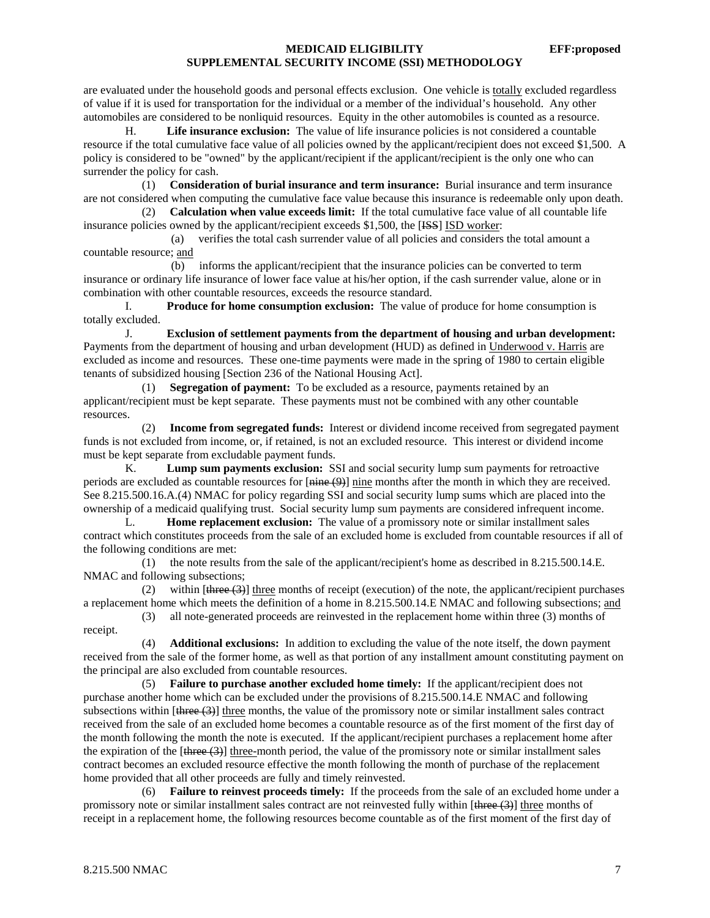are evaluated under the household goods and personal effects exclusion. One vehicle is totally excluded regardless of value if it is used for transportation for the individual or a member of the individual's household. Any other automobiles are considered to be nonliquid resources. Equity in the other automobiles is counted as a resource.

 H. **Life insurance exclusion:** The value of life insurance policies is not considered a countable resource if the total cumulative face value of all policies owned by the applicant/recipient does not exceed \$1,500. A policy is considered to be "owned" by the applicant/recipient if the applicant/recipient is the only one who can surrender the policy for cash.

 (1) **Consideration of burial insurance and term insurance:** Burial insurance and term insurance are not considered when computing the cumulative face value because this insurance is redeemable only upon death.

 (2) **Calculation when value exceeds limit:** If the total cumulative face value of all countable life insurance policies owned by the applicant/recipient exceeds \$1,500, the [<del>ISS</del>] ISD worker:

 (a) verifies the total cash surrender value of all policies and considers the total amount a countable resource; and

 (b) informs the applicant/recipient that the insurance policies can be converted to term insurance or ordinary life insurance of lower face value at his/her option, if the cash surrender value, alone or in combination with other countable resources, exceeds the resource standard.

 I. **Produce for home consumption exclusion:** The value of produce for home consumption is totally excluded.

 J. **Exclusion of settlement payments from the department of housing and urban development:** Payments from the department of housing and urban development (HUD) as defined in Underwood v. Harris are excluded as income and resources. These one-time payments were made in the spring of 1980 to certain eligible tenants of subsidized housing [Section 236 of the National Housing Act].

 (1) **Segregation of payment:** To be excluded as a resource, payments retained by an applicant/recipient must be kept separate. These payments must not be combined with any other countable resources.

 (2) **Income from segregated funds:** Interest or dividend income received from segregated payment funds is not excluded from income, or, if retained, is not an excluded resource. This interest or dividend income must be kept separate from excludable payment funds.

 K. **Lump sum payments exclusion:** SSI and social security lump sum payments for retroactive periods are excluded as countable resources for  $[\frac{m}{n} + \frac{m}{n}]$  nine months after the month in which they are received. See 8.215.500.16.A.(4) NMAC for policy regarding SSI and social security lump sums which are placed into the ownership of a medicaid qualifying trust. Social security lump sum payments are considered infrequent income.

L. **Home replacement exclusion:** The value of a promissory note or similar installment sales contract which constitutes proceeds from the sale of an excluded home is excluded from countable resources if all of the following conditions are met:

 (1) the note results from the sale of the applicant/recipient's home as described in 8.215.500.14.E. NMAC and following subsections;

(2) within  $[t|tree(3)]$  three months of receipt (execution) of the note, the applicant/recipient purchases a replacement home which meets the definition of a home in 8.215.500.14.E NMAC and following subsections; and

(3) all note-generated proceeds are reinvested in the replacement home within three (3) months of

receipt.

 (4) **Additional exclusions:** In addition to excluding the value of the note itself, the down payment received from the sale of the former home, as well as that portion of any installment amount constituting payment on the principal are also excluded from countable resources.

 (5) **Failure to purchase another excluded home timely:** If the applicant/recipient does not purchase another home which can be excluded under the provisions of 8.215.500.14.E NMAC and following subsections within  $[\frac{three}{3}]$  three months, the value of the promissory note or similar installment sales contract received from the sale of an excluded home becomes a countable resource as of the first moment of the first day of the month following the month the note is executed. If the applicant/recipient purchases a replacement home after the expiration of the  $[\frac{three}{3}]$  three-month period, the value of the promissory note or similar installment sales contract becomes an excluded resource effective the month following the month of purchase of the replacement home provided that all other proceeds are fully and timely reinvested.

 (6) **Failure to reinvest proceeds timely:** If the proceeds from the sale of an excluded home under a promissory note or similar installment sales contract are not reinvested fully within  $[three (3)]$  three months of receipt in a replacement home, the following resources become countable as of the first moment of the first day of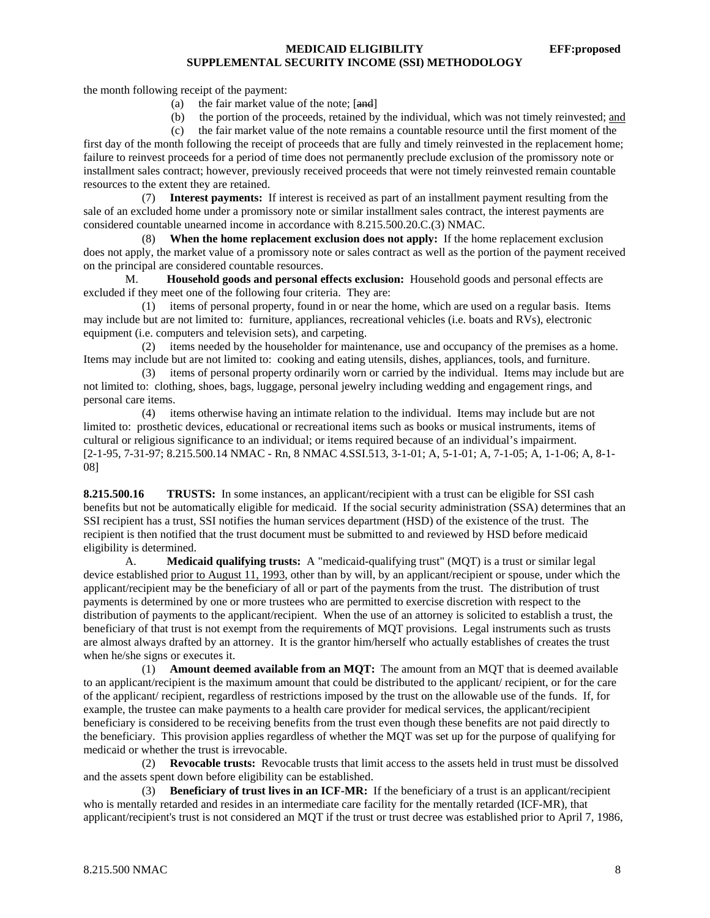the month following receipt of the payment:

(a) the fair market value of the note;  $[and]$ 

(b) the portion of the proceeds, retained by the individual, which was not timely reinvested; and

(c) the fair market value of the note remains a countable resource until the first moment of the

first day of the month following the receipt of proceeds that are fully and timely reinvested in the replacement home; failure to reinvest proceeds for a period of time does not permanently preclude exclusion of the promissory note or installment sales contract; however, previously received proceeds that were not timely reinvested remain countable resources to the extent they are retained.

 (7) **Interest payments:** If interest is received as part of an installment payment resulting from the sale of an excluded home under a promissory note or similar installment sales contract, the interest payments are considered countable unearned income in accordance with 8.215.500.20.C.(3) NMAC.

**When the home replacement exclusion does not apply:** If the home replacement exclusion does not apply, the market value of a promissory note or sales contract as well as the portion of the payment received on the principal are considered countable resources.

 M. **Household goods and personal effects exclusion:** Household goods and personal effects are excluded if they meet one of the following four criteria. They are:

 (1) items of personal property, found in or near the home, which are used on a regular basis. Items may include but are not limited to: furniture, appliances, recreational vehicles (i.e. boats and RVs), electronic equipment (i.e. computers and television sets), and carpeting.

 (2) items needed by the householder for maintenance, use and occupancy of the premises as a home. Items may include but are not limited to: cooking and eating utensils, dishes, appliances, tools, and furniture.

 (3) items of personal property ordinarily worn or carried by the individual. Items may include but are not limited to: clothing, shoes, bags, luggage, personal jewelry including wedding and engagement rings, and personal care items.

 (4) items otherwise having an intimate relation to the individual. Items may include but are not limited to: prosthetic devices, educational or recreational items such as books or musical instruments, items of cultural or religious significance to an individual; or items required because of an individual's impairment. [2-1-95, 7-31-97; 8.215.500.14 NMAC - Rn, 8 NMAC 4.SSI.513, 3-1-01; A, 5-1-01; A, 7-1-05; A, 1-1-06; A, 8-1- 08]

**8.215.500.16 TRUSTS:** In some instances, an applicant/recipient with a trust can be eligible for SSI cash benefits but not be automatically eligible for medicaid. If the social security administration (SSA) determines that an SSI recipient has a trust, SSI notifies the human services department (HSD) of the existence of the trust. The recipient is then notified that the trust document must be submitted to and reviewed by HSD before medicaid eligibility is determined.

 A. **Medicaid qualifying trusts:** A "medicaid-qualifying trust" (MQT) is a trust or similar legal device established prior to August 11, 1993, other than by will, by an applicant/recipient or spouse, under which the applicant/recipient may be the beneficiary of all or part of the payments from the trust. The distribution of trust payments is determined by one or more trustees who are permitted to exercise discretion with respect to the distribution of payments to the applicant/recipient. When the use of an attorney is solicited to establish a trust, the beneficiary of that trust is not exempt from the requirements of MQT provisions. Legal instruments such as trusts are almost always drafted by an attorney. It is the grantor him/herself who actually establishes of creates the trust when he/she signs or executes it.

 (1) **Amount deemed available from an MQT:** The amount from an MQT that is deemed available to an applicant/recipient is the maximum amount that could be distributed to the applicant/ recipient, or for the care of the applicant/ recipient, regardless of restrictions imposed by the trust on the allowable use of the funds. If, for example, the trustee can make payments to a health care provider for medical services, the applicant/recipient beneficiary is considered to be receiving benefits from the trust even though these benefits are not paid directly to the beneficiary. This provision applies regardless of whether the MQT was set up for the purpose of qualifying for medicaid or whether the trust is irrevocable.

 (2) **Revocable trusts:** Revocable trusts that limit access to the assets held in trust must be dissolved and the assets spent down before eligibility can be established.

 (3) **Beneficiary of trust lives in an ICF-MR:** If the beneficiary of a trust is an applicant/recipient who is mentally retarded and resides in an intermediate care facility for the mentally retarded (ICF-MR), that applicant/recipient's trust is not considered an MQT if the trust or trust decree was established prior to April 7, 1986,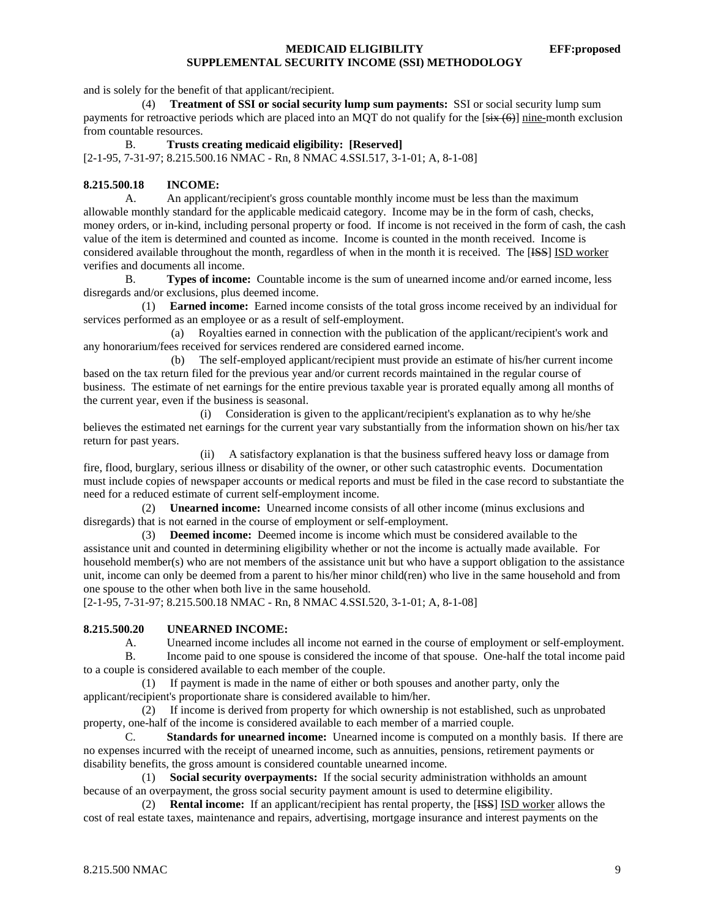and is solely for the benefit of that applicant/recipient.

 (4) **Treatment of SSI or social security lump sum payments:** SSI or social security lump sum payments for retroactive periods which are placed into an MQT do not qualify for the  $[s\ddot{i}x(6)]$  nine-month exclusion from countable resources.

B. **Trusts creating medicaid eligibility: [Reserved]**

[2-1-95, 7-31-97; 8.215.500.16 NMAC - Rn, 8 NMAC 4.SSI.517, 3-1-01; A, 8-1-08]

# **8.215.500.18 INCOME:**

 A. An applicant/recipient's gross countable monthly income must be less than the maximum allowable monthly standard for the applicable medicaid category. Income may be in the form of cash, checks, money orders, or in-kind, including personal property or food. If income is not received in the form of cash, the cash value of the item is determined and counted as income. Income is counted in the month received. Income is considered available throughout the month, regardless of when in the month it is received. The [ISS] ISD worker verifies and documents all income.

 B. **Types of income:** Countable income is the sum of unearned income and/or earned income, less disregards and/or exclusions, plus deemed income.

 (1) **Earned income:** Earned income consists of the total gross income received by an individual for services performed as an employee or as a result of self-employment.

 (a) Royalties earned in connection with the publication of the applicant/recipient's work and any honorarium/fees received for services rendered are considered earned income.

 (b) The self-employed applicant/recipient must provide an estimate of his/her current income based on the tax return filed for the previous year and/or current records maintained in the regular course of business. The estimate of net earnings for the entire previous taxable year is prorated equally among all months of the current year, even if the business is seasonal.

 (i) Consideration is given to the applicant/recipient's explanation as to why he/she believes the estimated net earnings for the current year vary substantially from the information shown on his/her tax return for past years.

 (ii) A satisfactory explanation is that the business suffered heavy loss or damage from fire, flood, burglary, serious illness or disability of the owner, or other such catastrophic events. Documentation must include copies of newspaper accounts or medical reports and must be filed in the case record to substantiate the need for a reduced estimate of current self-employment income.

 (2) **Unearned income:** Unearned income consists of all other income (minus exclusions and disregards) that is not earned in the course of employment or self-employment.

 (3) **Deemed income:** Deemed income is income which must be considered available to the assistance unit and counted in determining eligibility whether or not the income is actually made available. For household member(s) who are not members of the assistance unit but who have a support obligation to the assistance unit, income can only be deemed from a parent to his/her minor child(ren) who live in the same household and from one spouse to the other when both live in the same household.

[2-1-95, 7-31-97; 8.215.500.18 NMAC - Rn, 8 NMAC 4.SSI.520, 3-1-01; A, 8-1-08]

### **8.215.500.20 UNEARNED INCOME:**

A. Unearned income includes all income not earned in the course of employment or self-employment. B. Income paid to one spouse is considered the income of that spouse. One-half the total income paid to a couple is considered available to each member of the couple.

 (1) If payment is made in the name of either or both spouses and another party, only the applicant/recipient's proportionate share is considered available to him/her.

 (2) If income is derived from property for which ownership is not established, such as unprobated property, one-half of the income is considered available to each member of a married couple.

 C. **Standards for unearned income:** Unearned income is computed on a monthly basis. If there are no expenses incurred with the receipt of unearned income, such as annuities, pensions, retirement payments or disability benefits, the gross amount is considered countable unearned income.

 (1) **Social security overpayments:** If the social security administration withholds an amount because of an overpayment, the gross social security payment amount is used to determine eligibility.

 (2) **Rental income:** If an applicant/recipient has rental property, the [ISS] ISD worker allows the cost of real estate taxes, maintenance and repairs, advertising, mortgage insurance and interest payments on the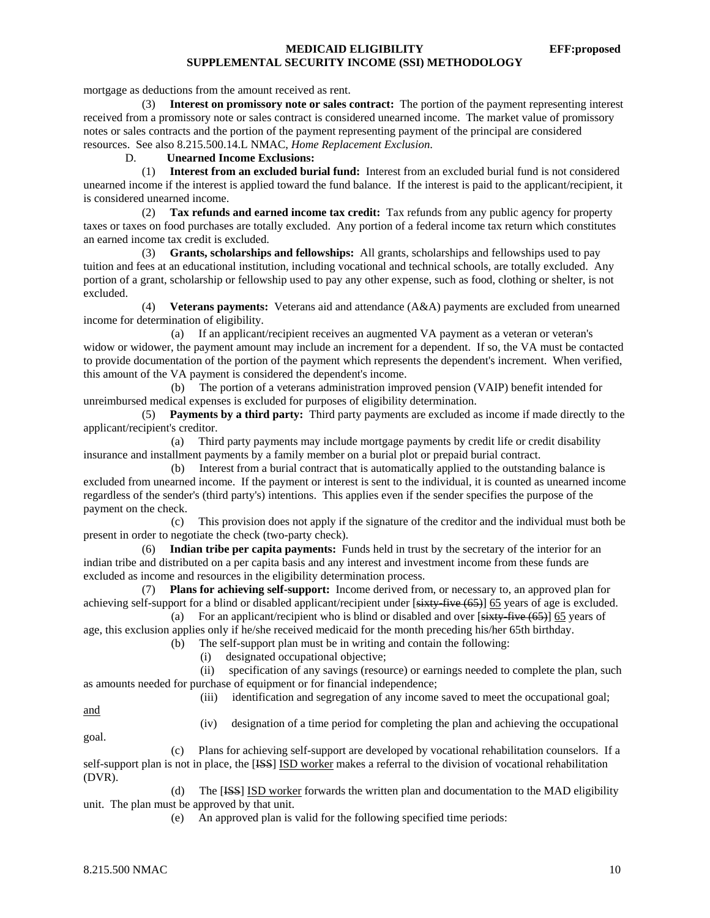mortgage as deductions from the amount received as rent.

 (3) **Interest on promissory note or sales contract:** The portion of the payment representing interest received from a promissory note or sales contract is considered unearned income. The market value of promissory notes or sales contracts and the portion of the payment representing payment of the principal are considered resources. See also 8.215.500.14.L NMAC, *Home Replacement Exclusion*.

# D. **Unearned Income Exclusions:**

 (1) **Interest from an excluded burial fund:** Interest from an excluded burial fund is not considered unearned income if the interest is applied toward the fund balance. If the interest is paid to the applicant/recipient, it is considered unearned income.

 (2) **Tax refunds and earned income tax credit:** Tax refunds from any public agency for property taxes or taxes on food purchases are totally excluded. Any portion of a federal income tax return which constitutes an earned income tax credit is excluded.

 (3) **Grants, scholarships and fellowships:** All grants, scholarships and fellowships used to pay tuition and fees at an educational institution, including vocational and technical schools, are totally excluded. Any portion of a grant, scholarship or fellowship used to pay any other expense, such as food, clothing or shelter, is not excluded.

 (4) **Veterans payments:** Veterans aid and attendance (A&A) payments are excluded from unearned income for determination of eligibility.

 (a) If an applicant/recipient receives an augmented VA payment as a veteran or veteran's widow or widower, the payment amount may include an increment for a dependent. If so, the VA must be contacted to provide documentation of the portion of the payment which represents the dependent's increment. When verified, this amount of the VA payment is considered the dependent's income.

 (b) The portion of a veterans administration improved pension (VAIP) benefit intended for unreimbursed medical expenses is excluded for purposes of eligibility determination.

 (5) **Payments by a third party:** Third party payments are excluded as income if made directly to the applicant/recipient's creditor.

 (a) Third party payments may include mortgage payments by credit life or credit disability insurance and installment payments by a family member on a burial plot or prepaid burial contract.

 (b) Interest from a burial contract that is automatically applied to the outstanding balance is excluded from unearned income. If the payment or interest is sent to the individual, it is counted as unearned income regardless of the sender's (third party's) intentions. This applies even if the sender specifies the purpose of the payment on the check.

 (c) This provision does not apply if the signature of the creditor and the individual must both be present in order to negotiate the check (two-party check).

 (6) **Indian tribe per capita payments:** Funds held in trust by the secretary of the interior for an indian tribe and distributed on a per capita basis and any interest and investment income from these funds are excluded as income and resources in the eligibility determination process.

 (7) **Plans for achieving self-support:** Income derived from, or necessary to, an approved plan for achieving self-support for a blind or disabled applicant/recipient under [sixty-five (65)] 65 years of age is excluded.

 (a) For an applicant/recipient who is blind or disabled and over [sixty-five (65)] 65 years of age, this exclusion applies only if he/she received medicaid for the month preceding his/her 65th birthday.

(b) The self-support plan must be in writing and contain the following:

(i) designated occupational objective;

 (ii) specification of any savings (resource) or earnings needed to complete the plan, such as amounts needed for purchase of equipment or for financial independence;

(iii) identification and segregation of any income saved to meet the occupational goal;

and

(iv) designation of a time period for completing the plan and achieving the occupational

goal.

 (c) Plans for achieving self-support are developed by vocational rehabilitation counselors. If a self-support plan is not in place, the [HSS] ISD worker makes a referral to the division of vocational rehabilitation (DVR).

 (d) The [ISS] ISD worker forwards the written plan and documentation to the MAD eligibility unit. The plan must be approved by that unit.

(e) An approved plan is valid for the following specified time periods: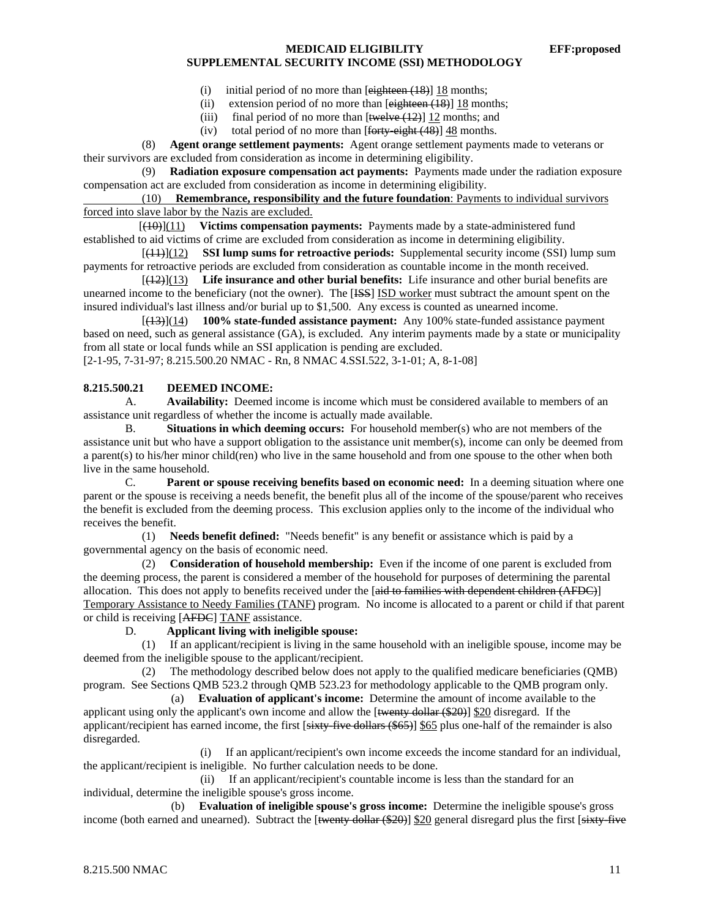- (i) initial period of no more than  $[eightharpoonup e]$  (18)  $18$  months;
- (ii) extension period of no more than  $[*e*]<sub>eth</sub>(*e* + 18)<sub>h</sub>]$  18 months;
- (iii) final period of no more than  $[$ twelve  $(12)$ ] 12 months; and
- (iv) total period of no more than  $[$ forty-eight  $(48)$ ] 48 months.

 (8) **Agent orange settlement payments:** Agent orange settlement payments made to veterans or their survivors are excluded from consideration as income in determining eligibility.

 (9) **Radiation exposure compensation act payments:** Payments made under the radiation exposure compensation act are excluded from consideration as income in determining eligibility.

 (10) **Remembrance, responsibility and the future foundation**: Payments to individual survivors forced into slave labor by the Nazis are excluded.

 [(10)](11) **Victims compensation payments:** Payments made by a state-administered fund established to aid victims of crime are excluded from consideration as income in determining eligibility.

 [(11)](12) **SSI lump sums for retroactive periods:** Supplemental security income (SSI) lump sum payments for retroactive periods are excluded from consideration as countable income in the month received.

 $\frac{1}{2}$  $\frac{1}{2}$  $\frac{13}{13}$  Life insurance and other burial benefits: Life insurance and other burial benefits are unearned income to the beneficiary (not the owner). The [ISS] ISD worker must subtract the amount spent on the insured individual's last illness and/or burial up to \$1,500. Any excess is counted as unearned income.

 [(13)](14) **100% state-funded assistance payment:** Any 100% state-funded assistance payment based on need, such as general assistance (GA), is excluded. Any interim payments made by a state or municipality from all state or local funds while an SSI application is pending are excluded.

[2-1-95, 7-31-97; 8.215.500.20 NMAC - Rn, 8 NMAC 4.SSI.522, 3-1-01; A, 8-1-08]

#### **8.215.500.21 DEEMED INCOME:**

 A. **Availability:** Deemed income is income which must be considered available to members of an assistance unit regardless of whether the income is actually made available.

 B. **Situations in which deeming occurs:** For household member(s) who are not members of the assistance unit but who have a support obligation to the assistance unit member(s), income can only be deemed from a parent(s) to his/her minor child(ren) who live in the same household and from one spouse to the other when both live in the same household.

 C. **Parent or spouse receiving benefits based on economic need:** In a deeming situation where one parent or the spouse is receiving a needs benefit, the benefit plus all of the income of the spouse/parent who receives the benefit is excluded from the deeming process. This exclusion applies only to the income of the individual who receives the benefit.

 (1) **Needs benefit defined:** "Needs benefit" is any benefit or assistance which is paid by a governmental agency on the basis of economic need.

 (2) **Consideration of household membership:** Even if the income of one parent is excluded from the deeming process, the parent is considered a member of the household for purposes of determining the parental allocation. This does not apply to benefits received under the [aid to families with dependent children (AFDC)] Temporary Assistance to Needy Families (TANF) program. No income is allocated to a parent or child if that parent or child is receiving [AFDC] TANF assistance.

### D. **Applicant living with ineligible spouse:**

 (1) If an applicant/recipient is living in the same household with an ineligible spouse, income may be deemed from the ineligible spouse to the applicant/recipient.

 (2) The methodology described below does not apply to the qualified medicare beneficiaries (QMB) program. See Sections QMB 523.2 through QMB 523.23 for methodology applicable to the QMB program only.

 (a) **Evaluation of applicant's income:** Determine the amount of income available to the applicant using only the applicant's own income and allow the  $[\text{twenty dollar ($20)}]$  \$20 disregard. If the applicant/recipient has earned income, the first  $[sixty$ -five dollars  $($65)$ ] \$65 plus one-half of the remainder is also disregarded.

 (i) If an applicant/recipient's own income exceeds the income standard for an individual, the applicant/recipient is ineligible. No further calculation needs to be done.

 (ii) If an applicant/recipient's countable income is less than the standard for an individual, determine the ineligible spouse's gross income.

 (b) **Evaluation of ineligible spouse's gross income:** Determine the ineligible spouse's gross income (both earned and unearned). Subtract the  $\frac{1}{2}$  [sequenty dollar (\$20)] \$20 general disregard plus the first  $\frac{1}{2}$  [sixty-five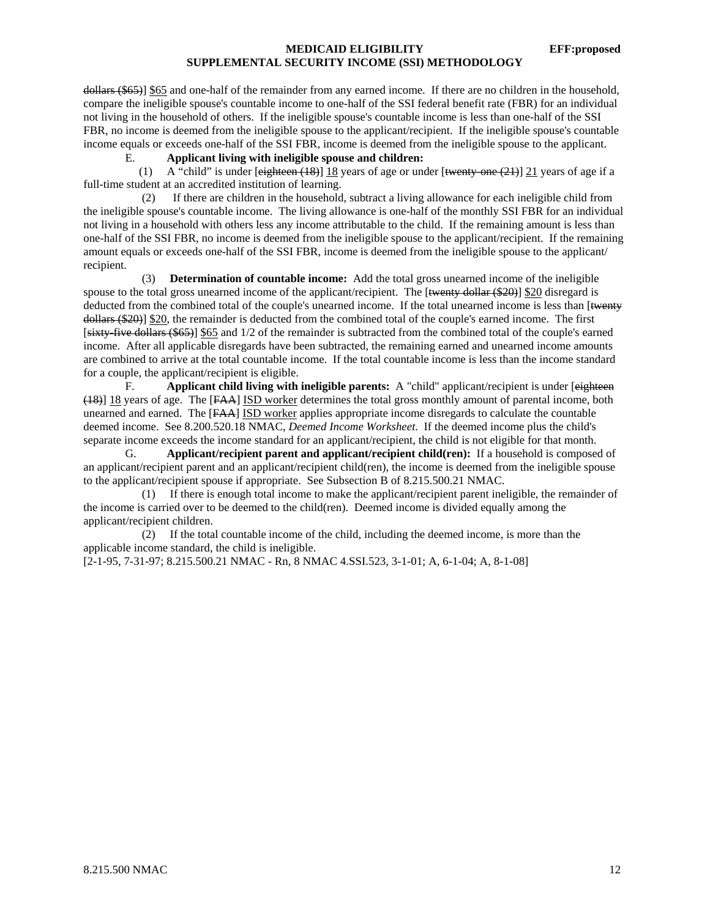dollars (\$65)] \$65 and one-half of the remainder from any earned income. If there are no children in the household, compare the ineligible spouse's countable income to one-half of the SSI federal benefit rate (FBR) for an individual not living in the household of others. If the ineligible spouse's countable income is less than one-half of the SSI FBR, no income is deemed from the ineligible spouse to the applicant/recipient. If the ineligible spouse's countable income equals or exceeds one-half of the SSI FBR, income is deemed from the ineligible spouse to the applicant.

# E. **Applicant living with ineligible spouse and children:**

(1) A "child" is under  $[$ eighteen  $(18)$ ] 18 years of age or under  $[$ twenty-one  $(21)]$  21 years of age if a full-time student at an accredited institution of learning.

 (2) If there are children in the household, subtract a living allowance for each ineligible child from the ineligible spouse's countable income. The living allowance is one-half of the monthly SSI FBR for an individual not living in a household with others less any income attributable to the child. If the remaining amount is less than one-half of the SSI FBR, no income is deemed from the ineligible spouse to the applicant/recipient. If the remaining amount equals or exceeds one-half of the SSI FBR, income is deemed from the ineligible spouse to the applicant/ recipient.

 (3) **Determination of countable income:** Add the total gross unearned income of the ineligible spouse to the total gross unearned income of the applicant/recipient. The [twenty dollar (\$20)] \$20 disregard is deducted from the combined total of the couple's unearned income. If the total unearned income is less than [twenty dollars (\$20)] \$20, the remainder is deducted from the combined total of the couple's earned income. The first [sixty-five dollars (\$65)] \$65 and 1/2 of the remainder is subtracted from the combined total of the couple's earned income. After all applicable disregards have been subtracted, the remaining earned and unearned income amounts are combined to arrive at the total countable income. If the total countable income is less than the income standard for a couple, the applicant/recipient is eligible.

 F. **Applicant child living with ineligible parents:** A "child" applicant/recipient is under [eighteen (18)] 18 years of age. The [FAA] ISD worker determines the total gross monthly amount of parental income, both unearned and earned. The [FAA] ISD worker applies appropriate income disregards to calculate the countable deemed income. See 8.200.520.18 NMAC, *Deemed Income Worksheet*. If the deemed income plus the child's separate income exceeds the income standard for an applicant/recipient, the child is not eligible for that month.

 G. **Applicant/recipient parent and applicant/recipient child(ren):** If a household is composed of an applicant/recipient parent and an applicant/recipient child(ren), the income is deemed from the ineligible spouse to the applicant/recipient spouse if appropriate. See Subsection B of 8.215.500.21 NMAC.

 (1) If there is enough total income to make the applicant/recipient parent ineligible, the remainder of the income is carried over to be deemed to the child(ren). Deemed income is divided equally among the applicant/recipient children.

 (2) If the total countable income of the child, including the deemed income, is more than the applicable income standard, the child is ineligible.

[2-1-95, 7-31-97; 8.215.500.21 NMAC - Rn, 8 NMAC 4.SSI.523, 3-1-01; A, 6-1-04; A, 8-1-08]